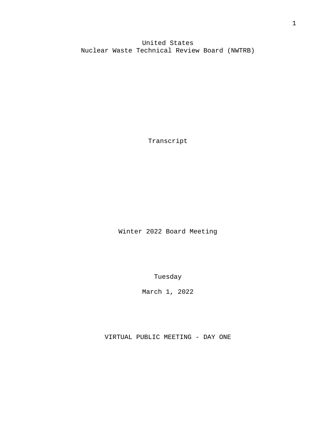United States Nuclear Waste Technical Review Board (NWTRB)

Transcript

Winter 2022 Board Meeting

Tuesday

March 1, 2022

VIRTUAL PUBLIC MEETING - DAY ONE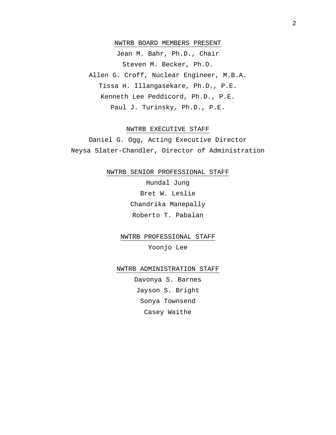## NWTRB BOARD MEMBERS PRESENT

Jean M. Bahr, Ph.D., Chair Steven M. Becker, Ph.D. Allen G. Croff, Nuclear Engineer, M.B.A. Tissa H. Illangasekare, Ph.D., P.E. Kenneth Lee Peddicord, Ph.D., P.E. Paul J. Turinsky, Ph.D., P.E.

## NWTRB EXECUTIVE STAFF

Daniel G. Ogg, Acting Executive Director Neysa Slater-Chandler, Director of Administration

NWTRB SENIOR PROFESSIONAL STAFF

Hundal Jung Bret W. Leslie Chandrika Manepally Roberto T. Pabalan

NWTRB PROFESSIONAL STAFF Yoonjo Lee

NWTRB ADMINISTRATION STAFF

Davonya S. Barnes Jayson S. Bright Sonya Townsend Casey Waithe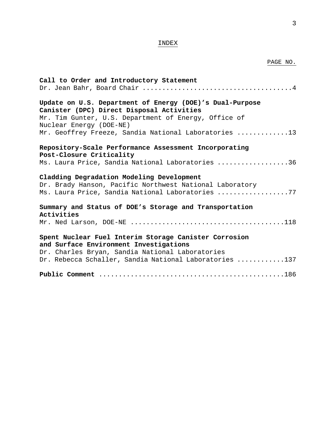## INDEX

## PAGE NO.

| Call to Order and Introductory Statement                                                                                                                 |
|----------------------------------------------------------------------------------------------------------------------------------------------------------|
|                                                                                                                                                          |
| Update on U.S. Department of Energy (DOE)'s Dual-Purpose<br>Canister (DPC) Direct Disposal Activities                                                    |
| Mr. Tim Gunter, U.S. Department of Energy, Office of<br>Nuclear Energy (DOE-NE)                                                                          |
| Mr. Geoffrey Freeze, Sandia National Laboratories 13                                                                                                     |
| Repository-Scale Performance Assessment Incorporating                                                                                                    |
| Post-Closure Criticality<br>Ms. Laura Price, Sandia National Laboratories 36                                                                             |
| Cladding Degradation Modeling Development<br>Dr. Brady Hanson, Pacific Northwest National Laboratory<br>Ms. Laura Price, Sandia National Laboratories 77 |
| Summary and Status of DOE's Storage and Transportation                                                                                                   |
| Activities                                                                                                                                               |
| Spent Nuclear Fuel Interim Storage Canister Corrosion                                                                                                    |
| and Surface Environment Investigations<br>Dr. Charles Bryan, Sandia National Laboratories                                                                |
| Dr. Rebecca Schaller, Sandia National Laboratories 137                                                                                                   |
|                                                                                                                                                          |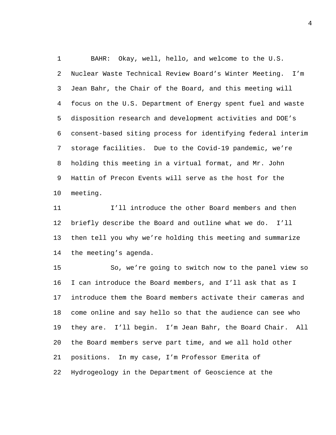BAHR: Okay, well, hello, and welcome to the U.S. Nuclear Waste Technical Review Board's Winter Meeting. I'm Jean Bahr, the Chair of the Board, and this meeting will focus on the U.S. Department of Energy spent fuel and waste disposition research and development activities and DOE's consent-based siting process for identifying federal interim storage facilities. Due to the Covid-19 pandemic, we're holding this meeting in a virtual format, and Mr. John Hattin of Precon Events will serve as the host for the meeting.

 I'll introduce the other Board members and then briefly describe the Board and outline what we do. I'll then tell you why we're holding this meeting and summarize the meeting's agenda.

 So, we're going to switch now to the panel view so I can introduce the Board members, and I'll ask that as I introduce them the Board members activate their cameras and come online and say hello so that the audience can see who they are. I'll begin. I'm Jean Bahr, the Board Chair. All the Board members serve part time, and we all hold other positions. In my case, I'm Professor Emerita of Hydrogeology in the Department of Geoscience at the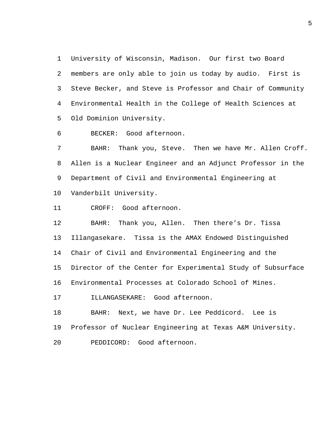University of Wisconsin, Madison. Our first two Board members are only able to join us today by audio. First is Steve Becker, and Steve is Professor and Chair of Community Environmental Health in the College of Health Sciences at Old Dominion University.

BECKER: Good afternoon.

 BAHR: Thank you, Steve. Then we have Mr. Allen Croff. Allen is a Nuclear Engineer and an Adjunct Professor in the Department of Civil and Environmental Engineering at Vanderbilt University.

CROFF: Good afternoon.

 BAHR: Thank you, Allen. Then there's Dr. Tissa Illangasekare. Tissa is the AMAX Endowed Distinguished Chair of Civil and Environmental Engineering and the Director of the Center for Experimental Study of Subsurface Environmental Processes at Colorado School of Mines. ILLANGASEKARE: Good afternoon. BAHR: Next, we have Dr. Lee Peddicord. Lee is

 Professor of Nuclear Engineering at Texas A&M University. PEDDICORD: Good afternoon.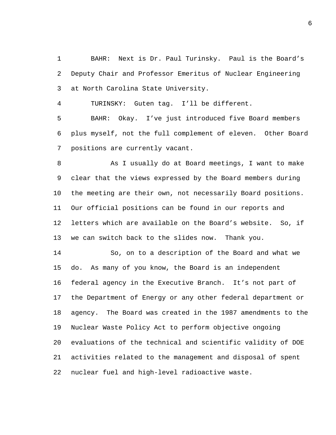BAHR: Next is Dr. Paul Turinsky. Paul is the Board's Deputy Chair and Professor Emeritus of Nuclear Engineering at North Carolina State University.

TURINSKY: Guten tag. I'll be different.

 BAHR: Okay. I've just introduced five Board members plus myself, not the full complement of eleven. Other Board positions are currently vacant.

8 As I usually do at Board meetings, I want to make clear that the views expressed by the Board members during the meeting are their own, not necessarily Board positions. Our official positions can be found in our reports and letters which are available on the Board's website. So, if we can switch back to the slides now. Thank you.

 So, on to a description of the Board and what we do. As many of you know, the Board is an independent federal agency in the Executive Branch. It's not part of the Department of Energy or any other federal department or agency. The Board was created in the 1987 amendments to the Nuclear Waste Policy Act to perform objective ongoing evaluations of the technical and scientific validity of DOE activities related to the management and disposal of spent nuclear fuel and high-level radioactive waste.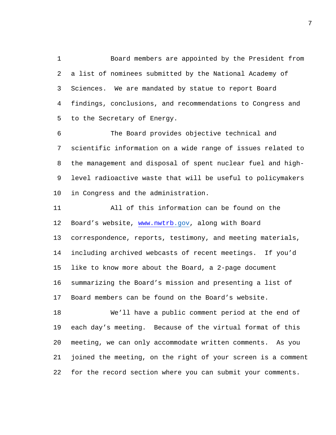Board members are appointed by the President from a list of nominees submitted by the National Academy of Sciences. We are mandated by statue to report Board findings, conclusions, and recommendations to Congress and to the Secretary of Energy.

 The Board provides objective technical and scientific information on a wide range of issues related to the management and disposal of spent nuclear fuel and high- level radioactive waste that will be useful to policymakers in Congress and the administration.

 All of this information can be found on the Board's website, [www.nwtrb.](http://www.nwtrb/)gov, along with Board correspondence, reports, testimony, and meeting materials, including archived webcasts of recent meetings. If you'd like to know more about the Board, a 2-page document summarizing the Board's mission and presenting a list of Board members can be found on the Board's website.

 We'll have a public comment period at the end of each day's meeting. Because of the virtual format of this meeting, we can only accommodate written comments. As you joined the meeting, on the right of your screen is a comment for the record section where you can submit your comments.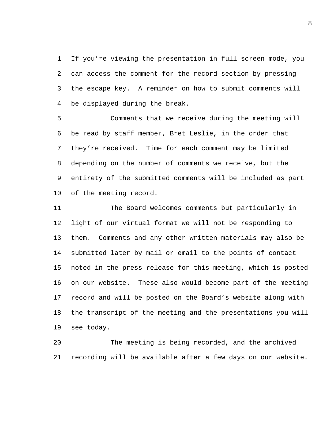If you're viewing the presentation in full screen mode, you can access the comment for the record section by pressing the escape key. A reminder on how to submit comments will be displayed during the break.

 Comments that we receive during the meeting will be read by staff member, Bret Leslie, in the order that they're received. Time for each comment may be limited depending on the number of comments we receive, but the entirety of the submitted comments will be included as part of the meeting record.

 The Board welcomes comments but particularly in light of our virtual format we will not be responding to them. Comments and any other written materials may also be submitted later by mail or email to the points of contact noted in the press release for this meeting, which is posted on our website. These also would become part of the meeting record and will be posted on the Board's website along with the transcript of the meeting and the presentations you will see today.

 The meeting is being recorded, and the archived recording will be available after a few days on our website.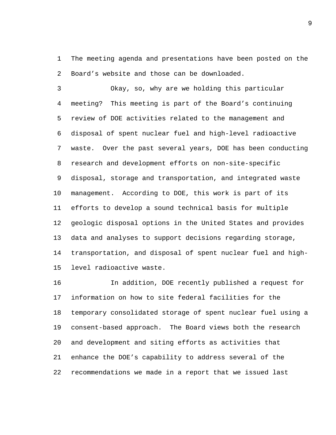The meeting agenda and presentations have been posted on the Board's website and those can be downloaded.

 Okay, so, why are we holding this particular meeting? This meeting is part of the Board's continuing review of DOE activities related to the management and disposal of spent nuclear fuel and high-level radioactive waste. Over the past several years, DOE has been conducting research and development efforts on non-site-specific disposal, storage and transportation, and integrated waste management. According to DOE, this work is part of its efforts to develop a sound technical basis for multiple geologic disposal options in the United States and provides data and analyses to support decisions regarding storage, transportation, and disposal of spent nuclear fuel and high-level radioactive waste.

 In addition, DOE recently published a request for information on how to site federal facilities for the temporary consolidated storage of spent nuclear fuel using a consent-based approach. The Board views both the research and development and siting efforts as activities that enhance the DOE's capability to address several of the recommendations we made in a report that we issued last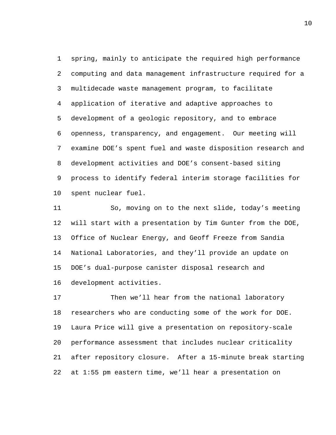spring, mainly to anticipate the required high performance computing and data management infrastructure required for a multidecade waste management program, to facilitate application of iterative and adaptive approaches to development of a geologic repository, and to embrace openness, transparency, and engagement. Our meeting will examine DOE's spent fuel and waste disposition research and development activities and DOE's consent-based siting process to identify federal interim storage facilities for spent nuclear fuel.

 So, moving on to the next slide, today's meeting will start with a presentation by Tim Gunter from the DOE, Office of Nuclear Energy, and Geoff Freeze from Sandia National Laboratories, and they'll provide an update on DOE's dual-purpose canister disposal research and development activities.

 Then we'll hear from the national laboratory researchers who are conducting some of the work for DOE. Laura Price will give a presentation on repository-scale performance assessment that includes nuclear criticality after repository closure. After a 15-minute break starting at 1:55 pm eastern time, we'll hear a presentation on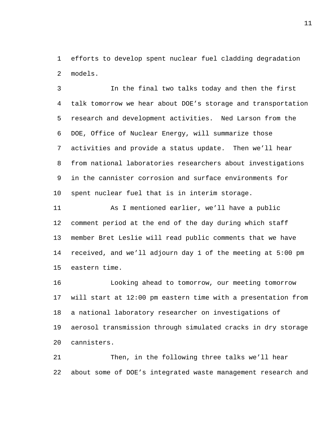efforts to develop spent nuclear fuel cladding degradation models.

 In the final two talks today and then the first talk tomorrow we hear about DOE's storage and transportation research and development activities. Ned Larson from the DOE, Office of Nuclear Energy, will summarize those activities and provide a status update. Then we'll hear from national laboratories researchers about investigations in the cannister corrosion and surface environments for spent nuclear fuel that is in interim storage.

 As I mentioned earlier, we'll have a public comment period at the end of the day during which staff member Bret Leslie will read public comments that we have received, and we'll adjourn day 1 of the meeting at 5:00 pm eastern time.

 Looking ahead to tomorrow, our meeting tomorrow will start at 12:00 pm eastern time with a presentation from a national laboratory researcher on investigations of aerosol transmission through simulated cracks in dry storage cannisters.

 Then, in the following three talks we'll hear about some of DOE's integrated waste management research and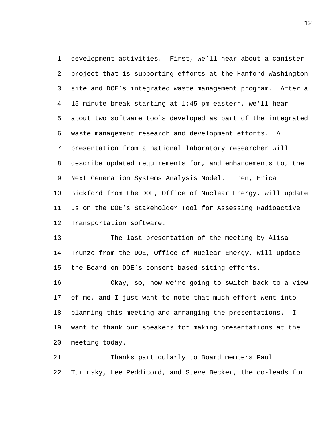development activities. First, we'll hear about a canister project that is supporting efforts at the Hanford Washington site and DOE's integrated waste management program. After a 15-minute break starting at 1:45 pm eastern, we'll hear about two software tools developed as part of the integrated waste management research and development efforts. A presentation from a national laboratory researcher will describe updated requirements for, and enhancements to, the Next Generation Systems Analysis Model. Then, Erica Bickford from the DOE, Office of Nuclear Energy, will update us on the DOE's Stakeholder Tool for Assessing Radioactive Transportation software.

 The last presentation of the meeting by Alisa Trunzo from the DOE, Office of Nuclear Energy, will update the Board on DOE's consent-based siting efforts.

 Okay, so, now we're going to switch back to a view of me, and I just want to note that much effort went into planning this meeting and arranging the presentations. I want to thank our speakers for making presentations at the meeting today.

 Thanks particularly to Board members Paul Turinsky, Lee Peddicord, and Steve Becker, the co-leads for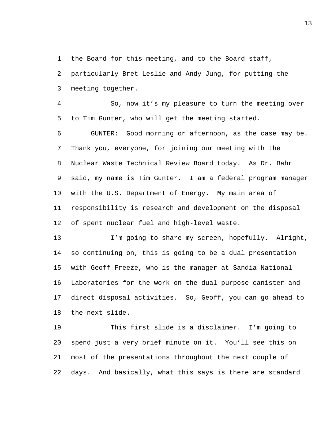the Board for this meeting, and to the Board staff,

 particularly Bret Leslie and Andy Jung, for putting the meeting together.

 So, now it's my pleasure to turn the meeting over to Tim Gunter, who will get the meeting started.

 GUNTER: Good morning or afternoon, as the case may be. Thank you, everyone, for joining our meeting with the Nuclear Waste Technical Review Board today. As Dr. Bahr said, my name is Tim Gunter. I am a federal program manager with the U.S. Department of Energy. My main area of responsibility is research and development on the disposal of spent nuclear fuel and high-level waste.

 I'm going to share my screen, hopefully. Alright, so continuing on, this is going to be a dual presentation with Geoff Freeze, who is the manager at Sandia National Laboratories for the work on the dual-purpose canister and direct disposal activities. So, Geoff, you can go ahead to the next slide.

 This first slide is a disclaimer. I'm going to spend just a very brief minute on it. You'll see this on most of the presentations throughout the next couple of days. And basically, what this says is there are standard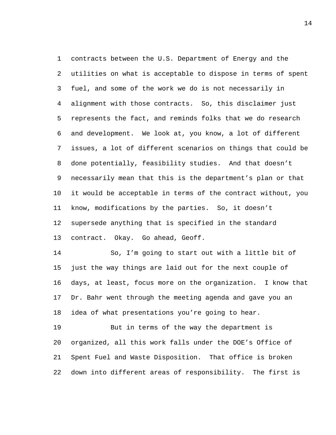contracts between the U.S. Department of Energy and the utilities on what is acceptable to dispose in terms of spent fuel, and some of the work we do is not necessarily in alignment with those contracts. So, this disclaimer just represents the fact, and reminds folks that we do research and development. We look at, you know, a lot of different issues, a lot of different scenarios on things that could be done potentially, feasibility studies. And that doesn't necessarily mean that this is the department's plan or that it would be acceptable in terms of the contract without, you know, modifications by the parties. So, it doesn't supersede anything that is specified in the standard contract. Okay. Go ahead, Geoff.

 So, I'm going to start out with a little bit of just the way things are laid out for the next couple of days, at least, focus more on the organization. I know that Dr. Bahr went through the meeting agenda and gave you an idea of what presentations you're going to hear.

 But in terms of the way the department is organized, all this work falls under the DOE's Office of Spent Fuel and Waste Disposition. That office is broken down into different areas of responsibility. The first is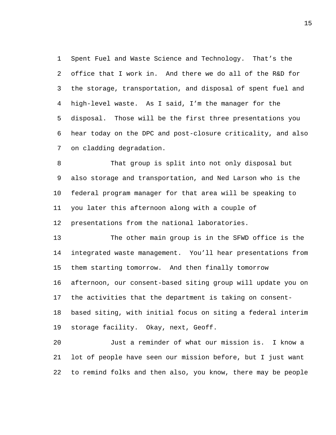Spent Fuel and Waste Science and Technology. That's the office that I work in. And there we do all of the R&D for the storage, transportation, and disposal of spent fuel and high-level waste. As I said, I'm the manager for the disposal. Those will be the first three presentations you hear today on the DPC and post-closure criticality, and also on cladding degradation.

 That group is split into not only disposal but also storage and transportation, and Ned Larson who is the federal program manager for that area will be speaking to you later this afternoon along with a couple of presentations from the national laboratories.

 The other main group is in the SFWD office is the integrated waste management. You'll hear presentations from them starting tomorrow. And then finally tomorrow afternoon, our consent-based siting group will update you on the activities that the department is taking on consent- based siting, with initial focus on siting a federal interim storage facility. Okay, next, Geoff.

 Just a reminder of what our mission is. I know a lot of people have seen our mission before, but I just want to remind folks and then also, you know, there may be people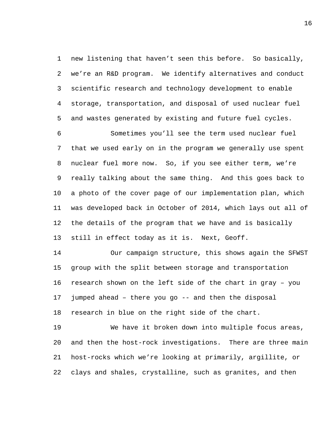new listening that haven't seen this before. So basically, we're an R&D program. We identify alternatives and conduct scientific research and technology development to enable storage, transportation, and disposal of used nuclear fuel and wastes generated by existing and future fuel cycles.

 Sometimes you'll see the term used nuclear fuel that we used early on in the program we generally use spent nuclear fuel more now. So, if you see either term, we're really talking about the same thing. And this goes back to a photo of the cover page of our implementation plan, which was developed back in October of 2014, which lays out all of the details of the program that we have and is basically still in effect today as it is. Next, Geoff.

 Our campaign structure, this shows again the SFWST group with the split between storage and transportation research shown on the left side of the chart in gray – you jumped ahead – there you go -- and then the disposal research in blue on the right side of the chart.

 We have it broken down into multiple focus areas, and then the host-rock investigations. There are three main host-rocks which we're looking at primarily, argillite, or clays and shales, crystalline, such as granites, and then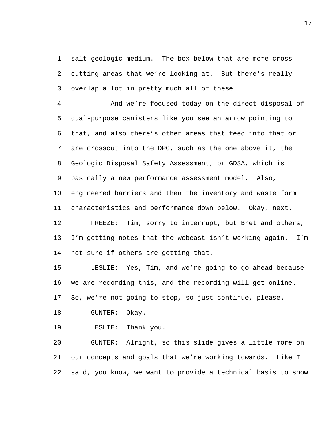salt geologic medium. The box below that are more cross- cutting areas that we're looking at. But there's really overlap a lot in pretty much all of these.

 And we're focused today on the direct disposal of dual-purpose canisters like you see an arrow pointing to that, and also there's other areas that feed into that or are crosscut into the DPC, such as the one above it, the Geologic Disposal Safety Assessment, or GDSA, which is basically a new performance assessment model. Also, engineered barriers and then the inventory and waste form characteristics and performance down below. Okay, next. FREEZE: Tim, sorry to interrupt, but Bret and others, I'm getting notes that the webcast isn't working again. I'm

not sure if others are getting that.

 LESLIE: Yes, Tim, and we're going to go ahead because we are recording this, and the recording will get online.

So, we're not going to stop, so just continue, please.

GUNTER: Okay.

LESLIE: Thank you.

 GUNTER: Alright, so this slide gives a little more on our concepts and goals that we're working towards. Like I said, you know, we want to provide a technical basis to show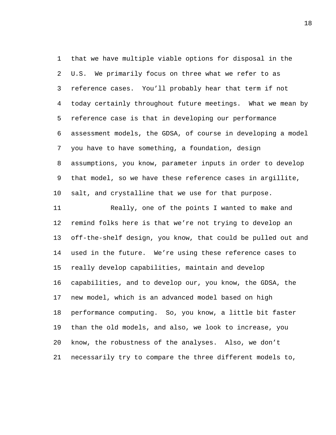that we have multiple viable options for disposal in the U.S. We primarily focus on three what we refer to as reference cases. You'll probably hear that term if not today certainly throughout future meetings. What we mean by reference case is that in developing our performance assessment models, the GDSA, of course in developing a model you have to have something, a foundation, design assumptions, you know, parameter inputs in order to develop that model, so we have these reference cases in argillite, salt, and crystalline that we use for that purpose.

 Really, one of the points I wanted to make and remind folks here is that we're not trying to develop an off-the-shelf design, you know, that could be pulled out and used in the future. We're using these reference cases to really develop capabilities, maintain and develop capabilities, and to develop our, you know, the GDSA, the new model, which is an advanced model based on high performance computing. So, you know, a little bit faster than the old models, and also, we look to increase, you know, the robustness of the analyses. Also, we don't necessarily try to compare the three different models to,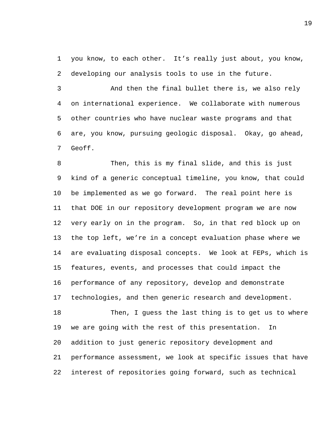you know, to each other. It's really just about, you know, developing our analysis tools to use in the future.

 And then the final bullet there is, we also rely on international experience. We collaborate with numerous other countries who have nuclear waste programs and that are, you know, pursuing geologic disposal. Okay, go ahead, Geoff.

 Then, this is my final slide, and this is just kind of a generic conceptual timeline, you know, that could be implemented as we go forward. The real point here is that DOE in our repository development program we are now very early on in the program. So, in that red block up on the top left, we're in a concept evaluation phase where we are evaluating disposal concepts. We look at FEPs, which is features, events, and processes that could impact the performance of any repository, develop and demonstrate technologies, and then generic research and development.

 Then, I guess the last thing is to get us to where we are going with the rest of this presentation. In addition to just generic repository development and performance assessment, we look at specific issues that have interest of repositories going forward, such as technical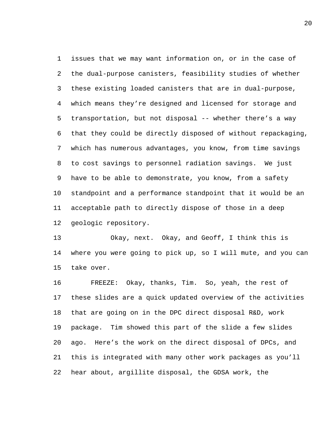issues that we may want information on, or in the case of the dual-purpose canisters, feasibility studies of whether these existing loaded canisters that are in dual-purpose, which means they're designed and licensed for storage and transportation, but not disposal -- whether there's a way that they could be directly disposed of without repackaging, which has numerous advantages, you know, from time savings to cost savings to personnel radiation savings. We just have to be able to demonstrate, you know, from a safety standpoint and a performance standpoint that it would be an acceptable path to directly dispose of those in a deep geologic repository.

 Okay, next. Okay, and Geoff, I think this is where you were going to pick up, so I will mute, and you can take over.

 FREEZE: Okay, thanks, Tim. So, yeah, the rest of these slides are a quick updated overview of the activities that are going on in the DPC direct disposal R&D, work package. Tim showed this part of the slide a few slides ago. Here's the work on the direct disposal of DPCs, and this is integrated with many other work packages as you'll hear about, argillite disposal, the GDSA work, the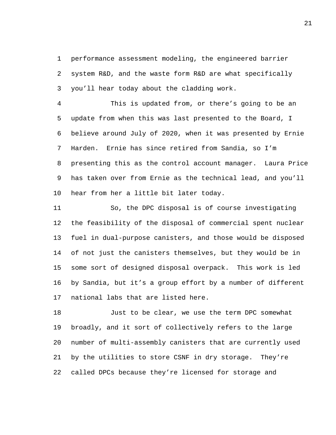performance assessment modeling, the engineered barrier system R&D, and the waste form R&D are what specifically you'll hear today about the cladding work.

 This is updated from, or there's going to be an update from when this was last presented to the Board, I believe around July of 2020, when it was presented by Ernie Harden. Ernie has since retired from Sandia, so I'm presenting this as the control account manager. Laura Price has taken over from Ernie as the technical lead, and you'll hear from her a little bit later today.

 So, the DPC disposal is of course investigating the feasibility of the disposal of commercial spent nuclear fuel in dual-purpose canisters, and those would be disposed of not just the canisters themselves, but they would be in some sort of designed disposal overpack. This work is led by Sandia, but it's a group effort by a number of different national labs that are listed here.

 Just to be clear, we use the term DPC somewhat broadly, and it sort of collectively refers to the large number of multi-assembly canisters that are currently used by the utilities to store CSNF in dry storage. They're called DPCs because they're licensed for storage and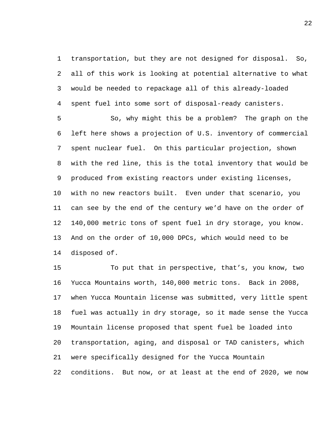transportation, but they are not designed for disposal. So, all of this work is looking at potential alternative to what would be needed to repackage all of this already-loaded spent fuel into some sort of disposal-ready canisters.

 So, why might this be a problem? The graph on the left here shows a projection of U.S. inventory of commercial spent nuclear fuel. On this particular projection, shown with the red line, this is the total inventory that would be produced from existing reactors under existing licenses, with no new reactors built. Even under that scenario, you can see by the end of the century we'd have on the order of 140,000 metric tons of spent fuel in dry storage, you know. And on the order of 10,000 DPCs, which would need to be disposed of.

 To put that in perspective, that's, you know, two Yucca Mountains worth, 140,000 metric tons. Back in 2008, when Yucca Mountain license was submitted, very little spent fuel was actually in dry storage, so it made sense the Yucca Mountain license proposed that spent fuel be loaded into transportation, aging, and disposal or TAD canisters, which were specifically designed for the Yucca Mountain conditions. But now, or at least at the end of 2020, we now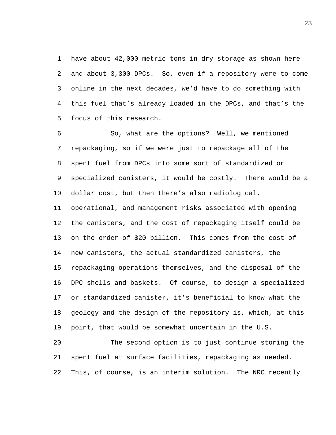have about 42,000 metric tons in dry storage as shown here and about 3,300 DPCs. So, even if a repository were to come online in the next decades, we'd have to do something with this fuel that's already loaded in the DPCs, and that's the focus of this research.

 So, what are the options? Well, we mentioned repackaging, so if we were just to repackage all of the spent fuel from DPCs into some sort of standardized or specialized canisters, it would be costly. There would be a dollar cost, but then there's also radiological,

 operational, and management risks associated with opening the canisters, and the cost of repackaging itself could be on the order of \$20 billion. This comes from the cost of new canisters, the actual standardized canisters, the repackaging operations themselves, and the disposal of the DPC shells and baskets. Of course, to design a specialized or standardized canister, it's beneficial to know what the geology and the design of the repository is, which, at this point, that would be somewhat uncertain in the U.S.

 The second option is to just continue storing the spent fuel at surface facilities, repackaging as needed. This, of course, is an interim solution. The NRC recently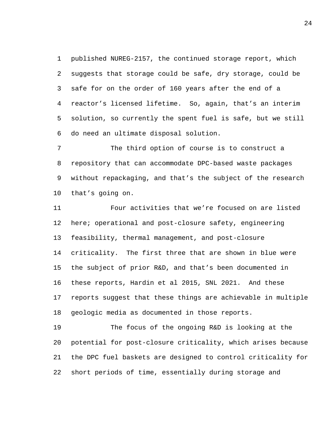published NUREG-2157, the continued storage report, which suggests that storage could be safe, dry storage, could be safe for on the order of 160 years after the end of a reactor's licensed lifetime. So, again, that's an interim solution, so currently the spent fuel is safe, but we still do need an ultimate disposal solution.

 The third option of course is to construct a repository that can accommodate DPC-based waste packages without repackaging, and that's the subject of the research that's going on.

 Four activities that we're focused on are listed here; operational and post-closure safety, engineering feasibility, thermal management, and post-closure criticality. The first three that are shown in blue were the subject of prior R&D, and that's been documented in these reports, Hardin et al 2015, SNL 2021. And these reports suggest that these things are achievable in multiple geologic media as documented in those reports.

 The focus of the ongoing R&D is looking at the potential for post-closure criticality, which arises because the DPC fuel baskets are designed to control criticality for short periods of time, essentially during storage and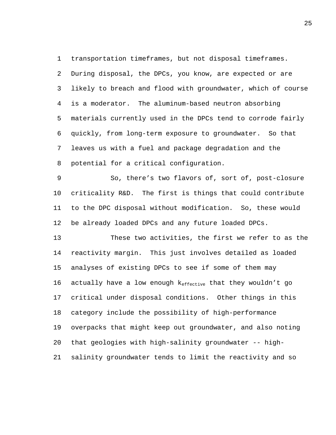transportation timeframes, but not disposal timeframes. During disposal, the DPCs, you know, are expected or are likely to breach and flood with groundwater, which of course is a moderator. The aluminum-based neutron absorbing materials currently used in the DPCs tend to corrode fairly quickly, from long-term exposure to groundwater. So that leaves us with a fuel and package degradation and the potential for a critical configuration.

 So, there's two flavors of, sort of, post-closure criticality R&D. The first is things that could contribute to the DPC disposal without modification. So, these would be already loaded DPCs and any future loaded DPCs.

 These two activities, the first we refer to as the reactivity margin. This just involves detailed as loaded analyses of existing DPCs to see if some of them may 16 actually have a low enough  $k_{effective}$  that they wouldn't go critical under disposal conditions. Other things in this category include the possibility of high-performance overpacks that might keep out groundwater, and also noting that geologies with high-salinity groundwater -- high-salinity groundwater tends to limit the reactivity and so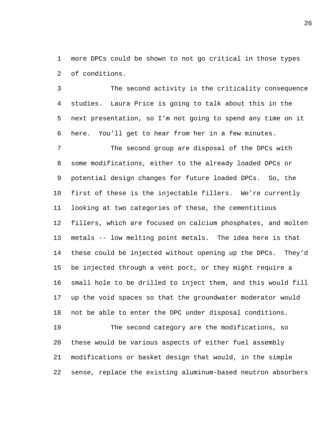more DPCs could be shown to not go critical in those types of conditions.

 The second activity is the criticality consequence studies. Laura Price is going to talk about this in the next presentation, so I'm not going to spend any time on it here. You'll get to hear from her in a few minutes.

 The second group are disposal of the DPCs with some modifications, either to the already loaded DPCs or potential design changes for future loaded DPCs. So, the first of these is the injectable fillers. We're currently looking at two categories of these, the cementitious fillers, which are focused on calcium phosphates, and molten metals -- low melting point metals. The idea here is that these could be injected without opening up the DPCs. They'd be injected through a vent port, or they might require a small hole to be drilled to inject them, and this would fill up the void spaces so that the groundwater moderator would not be able to enter the DPC under disposal conditions. The second category are the modifications, so

 these would be various aspects of either fuel assembly modifications or basket design that would, in the simple sense, replace the existing aluminum-based neutron absorbers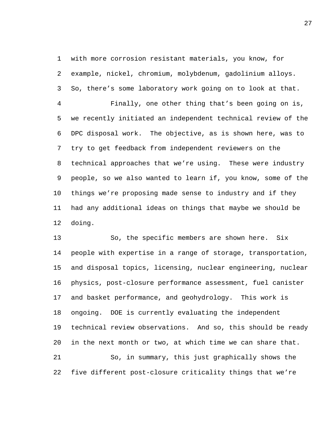with more corrosion resistant materials, you know, for example, nickel, chromium, molybdenum, gadolinium alloys. So, there's some laboratory work going on to look at that.

 Finally, one other thing that's been going on is, we recently initiated an independent technical review of the DPC disposal work. The objective, as is shown here, was to try to get feedback from independent reviewers on the technical approaches that we're using. These were industry people, so we also wanted to learn if, you know, some of the things we're proposing made sense to industry and if they had any additional ideas on things that maybe we should be doing.

 So, the specific members are shown here. Six people with expertise in a range of storage, transportation, and disposal topics, licensing, nuclear engineering, nuclear physics, post-closure performance assessment, fuel canister and basket performance, and geohydrology. This work is ongoing. DOE is currently evaluating the independent technical review observations. And so, this should be ready in the next month or two, at which time we can share that. So, in summary, this just graphically shows the five different post-closure criticality things that we're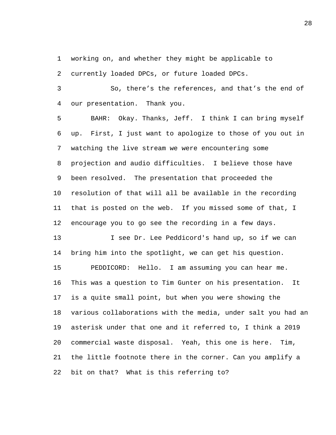working on, and whether they might be applicable to

currently loaded DPCs, or future loaded DPCs.

 So, there's the references, and that's the end of our presentation. Thank you.

 BAHR: Okay. Thanks, Jeff. I think I can bring myself up. First, I just want to apologize to those of you out in watching the live stream we were encountering some projection and audio difficulties. I believe those have been resolved. The presentation that proceeded the resolution of that will all be available in the recording that is posted on the web. If you missed some of that, I encourage you to go see the recording in a few days.

 I see Dr. Lee Peddicord's hand up, so if we can bring him into the spotlight, we can get his question. PEDDICORD: Hello. I am assuming you can hear me. This was a question to Tim Gunter on his presentation. It is a quite small point, but when you were showing the various collaborations with the media, under salt you had an asterisk under that one and it referred to, I think a 2019 commercial waste disposal. Yeah, this one is here. Tim, the little footnote there in the corner. Can you amplify a bit on that? What is this referring to?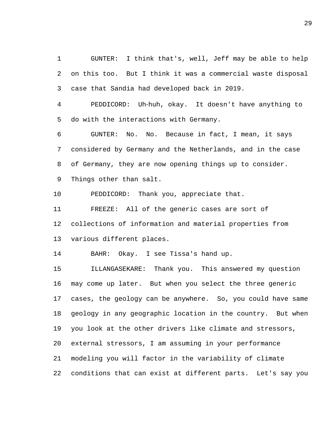GUNTER: I think that's, well, Jeff may be able to help on this too. But I think it was a commercial waste disposal case that Sandia had developed back in 2019.

 PEDDICORD: Uh‑huh, okay. It doesn't have anything to do with the interactions with Germany.

 GUNTER: No. No. Because in fact, I mean, it says considered by Germany and the Netherlands, and in the case of Germany, they are now opening things up to consider. Things other than salt.

PEDDICORD: Thank you, appreciate that.

 FREEZE: All of the generic cases are sort of collections of information and material properties from various different places.

BAHR: Okay. I see Tissa's hand up.

 ILLANGASEKARE: Thank you. This answered my question may come up later. But when you select the three generic cases, the geology can be anywhere. So, you could have same geology in any geographic location in the country. But when you look at the other drivers like climate and stressors, external stressors, I am assuming in your performance modeling you will factor in the variability of climate conditions that can exist at different parts. Let's say you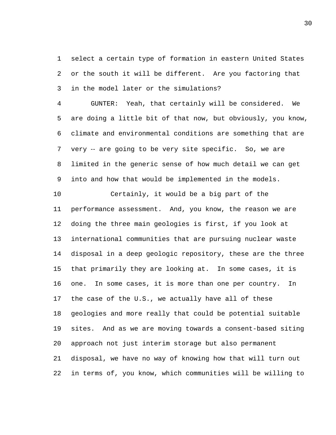select a certain type of formation in eastern United States or the south it will be different. Are you factoring that in the model later or the simulations?

 GUNTER: Yeah, that certainly will be considered. We are doing a little bit of that now, but obviously, you know, climate and environmental conditions are something that are 7 very -- are going to be very site specific. So, we are limited in the generic sense of how much detail we can get into and how that would be implemented in the models.

 Certainly, it would be a big part of the performance assessment. And, you know, the reason we are doing the three main geologies is first, if you look at international communities that are pursuing nuclear waste disposal in a deep geologic repository, these are the three that primarily they are looking at. In some cases, it is one. In some cases, it is more than one per country. In the case of the U.S., we actually have all of these geologies and more really that could be potential suitable sites. And as we are moving towards a consent-based siting approach not just interim storage but also permanent disposal, we have no way of knowing how that will turn out in terms of, you know, which communities will be willing to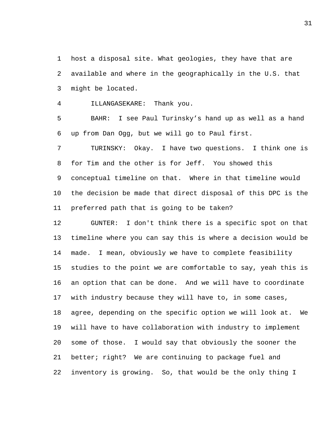host a disposal site. What geologies, they have that are available and where in the geographically in the U.S. that might be located.

ILLANGASEKARE: Thank you.

 BAHR: I see Paul Turinsky's hand up as well as a hand up from Dan Ogg, but we will go to Paul first.

 TURINSKY: Okay. I have two questions. I think one is for Tim and the other is for Jeff. You showed this conceptual timeline on that. Where in that timeline would the decision be made that direct disposal of this DPC is the preferred path that is going to be taken?

 GUNTER: I don't think there is a specific spot on that timeline where you can say this is where a decision would be made. I mean, obviously we have to complete feasibility studies to the point we are comfortable to say, yeah this is an option that can be done. And we will have to coordinate with industry because they will have to, in some cases, agree, depending on the specific option we will look at. We will have to have collaboration with industry to implement some of those. I would say that obviously the sooner the better; right? We are continuing to package fuel and inventory is growing. So, that would be the only thing I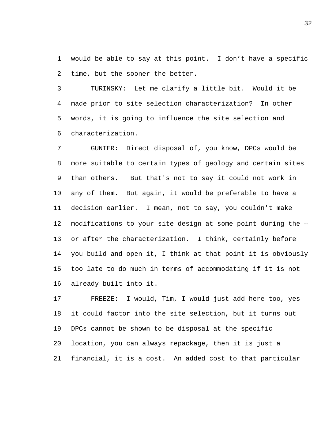would be able to say at this point. I don't have a specific time, but the sooner the better.

 TURINSKY: Let me clarify a little bit. Would it be made prior to site selection characterization? In other words, it is going to influence the site selection and characterization.

 GUNTER: Direct disposal of, you know, DPCs would be more suitable to certain types of geology and certain sites than others. But that's not to say it could not work in any of them. But again, it would be preferable to have a decision earlier. I mean, not to say, you couldn't make 12 modifications to your site design at some point during the -- or after the characterization. I think, certainly before you build and open it, I think at that point it is obviously too late to do much in terms of accommodating if it is not already built into it.

 FREEZE: I would, Tim, I would just add here too, yes it could factor into the site selection, but it turns out DPCs cannot be shown to be disposal at the specific location, you can always repackage, then it is just a financial, it is a cost. An added cost to that particular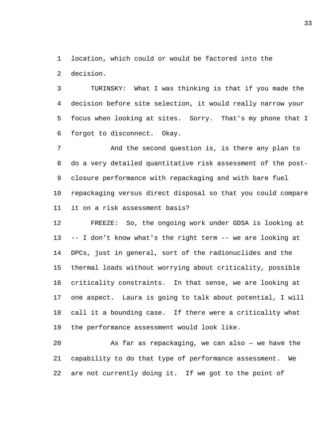location, which could or would be factored into the

decision.

 TURINSKY: What I was thinking is that if you made the decision before site selection, it would really narrow your focus when looking at sites. Sorry. That's my phone that I forgot to disconnect. Okay.

 And the second question is, is there any plan to do a very detailed quantitative risk assessment of the post- closure performance with repackaging and with bare fuel repackaging versus direct disposal so that you could compare it on a risk assessment basis?

 FREEZE: So, the ongoing work under GDSA is looking at -- I don't know what's the right term -- we are looking at DPCs, just in general, sort of the radionuclides and the thermal loads without worrying about criticality, possible criticality constraints. In that sense, we are looking at one aspect. Laura is going to talk about potential, I will call it a bounding case. If there were a criticality what the performance assessment would look like.

 As far as repackaging, we can also ‑‑ we have the capability to do that type of performance assessment. We are not currently doing it. If we got to the point of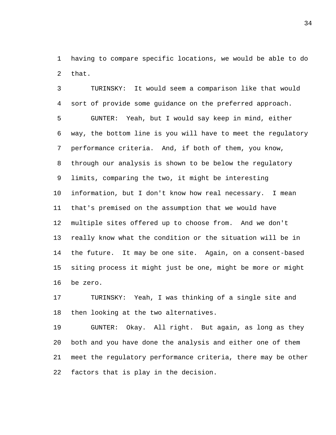having to compare specific locations, we would be able to do that.

 TURINSKY: It would seem a comparison like that would sort of provide some guidance on the preferred approach. GUNTER: Yeah, but I would say keep in mind, either way, the bottom line is you will have to meet the regulatory performance criteria. And, if both of them, you know, through our analysis is shown to be below the regulatory limits, comparing the two, it might be interesting information, but I don't know how real necessary. I mean that's premised on the assumption that we would have multiple sites offered up to choose from. And we don't really know what the condition or the situation will be in the future. It may be one site. Again, on a consent-based siting process it might just be one, might be more or might be zero.

 TURINSKY: Yeah, I was thinking of a single site and then looking at the two alternatives.

 GUNTER: Okay. All right. But again, as long as they both and you have done the analysis and either one of them meet the regulatory performance criteria, there may be other factors that is play in the decision.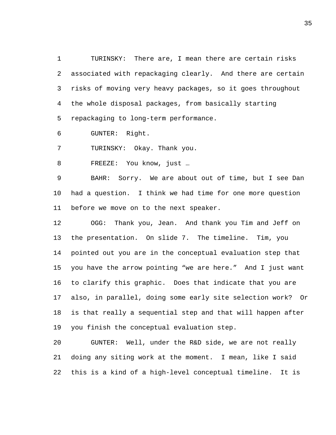TURINSKY: There are, I mean there are certain risks associated with repackaging clearly. And there are certain risks of moving very heavy packages, so it goes throughout the whole disposal packages, from basically starting repackaging to long-term performance.

GUNTER: Right.

TURINSKY: Okay. Thank you.

FREEZE: You know, just …

 BAHR: Sorry. We are about out of time, but I see Dan had a question. I think we had time for one more question before we move on to the next speaker.

 OGG: Thank you, Jean. And thank you Tim and Jeff on the presentation. On slide 7. The timeline. Tim, you pointed out you are in the conceptual evaluation step that you have the arrow pointing "we are here." And I just want to clarify this graphic. Does that indicate that you are also, in parallel, doing some early site selection work? Or is that really a sequential step and that will happen after you finish the conceptual evaluation step.

 GUNTER: Well, under the R&D side, we are not really doing any siting work at the moment. I mean, like I said this is a kind of a high-level conceptual timeline. It is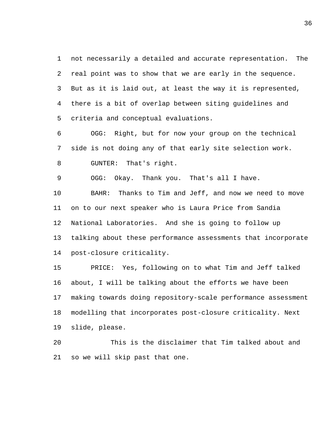not necessarily a detailed and accurate representation. The real point was to show that we are early in the sequence. But as it is laid out, at least the way it is represented, there is a bit of overlap between siting guidelines and criteria and conceptual evaluations.

 OGG: Right, but for now your group on the technical side is not doing any of that early site selection work. GUNTER: That's right.

OGG: Okay. Thank you. That's all I have.

 BAHR: Thanks to Tim and Jeff, and now we need to move on to our next speaker who is Laura Price from Sandia National Laboratories. And she is going to follow up talking about these performance assessments that incorporate post-closure criticality.

 PRICE: Yes, following on to what Tim and Jeff talked about, I will be talking about the efforts we have been making towards doing repository-scale performance assessment modelling that incorporates post-closure criticality. Next slide, please.

 This is the disclaimer that Tim talked about and so we will skip past that one.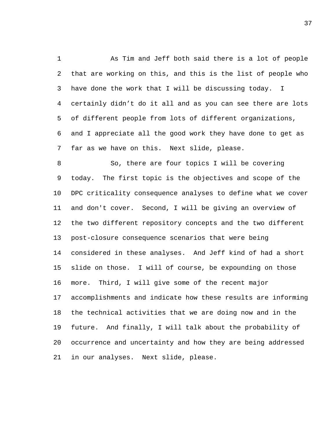As Tim and Jeff both said there is a lot of people that are working on this, and this is the list of people who have done the work that I will be discussing today. I certainly didn't do it all and as you can see there are lots of different people from lots of different organizations, and I appreciate all the good work they have done to get as far as we have on this. Next slide, please.

 So, there are four topics I will be covering today. The first topic is the objectives and scope of the DPC criticality consequence analyses to define what we cover and don't cover. Second, I will be giving an overview of the two different repository concepts and the two different post-closure consequence scenarios that were being considered in these analyses. And Jeff kind of had a short slide on those. I will of course, be expounding on those more. Third, I will give some of the recent major accomplishments and indicate how these results are informing the technical activities that we are doing now and in the future. And finally, I will talk about the probability of occurrence and uncertainty and how they are being addressed in our analyses. Next slide, please.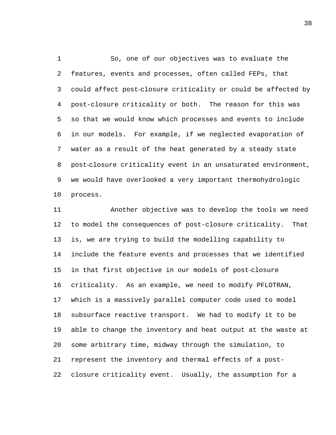So, one of our objectives was to evaluate the features, events and processes, often called FEPs, that could affect post-closure criticality or could be affected by post-closure criticality or both. The reason for this was so that we would know which processes and events to include in our models. For example, if we neglected evaporation of water as a result of the heat generated by a steady state post-closure criticality event in an unsaturated environment, we would have overlooked a very important thermohydrologic process.

 Another objective was to develop the tools we need to model the consequences of post-closure criticality. That is, we are trying to build the modelling capability to include the feature events and processes that we identified in that first objective in our models of post-closure criticality. As an example, we need to modify PFLOTRAN, which is a massively parallel computer code used to model subsurface reactive transport. We had to modify it to be able to change the inventory and heat output at the waste at some arbitrary time, midway through the simulation, to represent the inventory and thermal effects of a post-closure criticality event. Usually, the assumption for a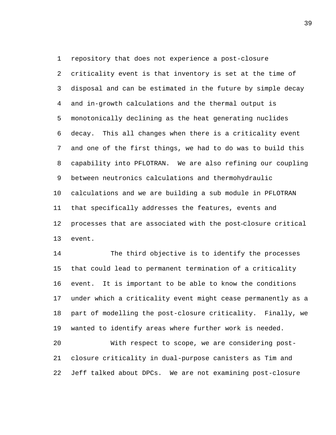criticality event is that inventory is set at the time of disposal and can be estimated in the future by simple decay and in-growth calculations and the thermal output is monotonically declining as the heat generating nuclides decay. This all changes when there is a criticality event and one of the first things, we had to do was to build this capability into PFLOTRAN. We are also refining our coupling between neutronics calculations and thermohydraulic calculations and we are building a sub module in PFLOTRAN that specifically addresses the features, events and processes that are associated with the post-closure critical event.

 The third objective is to identify the processes that could lead to permanent termination of a criticality event. It is important to be able to know the conditions under which a criticality event might cease permanently as a part of modelling the post-closure criticality. Finally, we wanted to identify areas where further work is needed.

 With respect to scope, we are considering post- closure criticality in dual-purpose canisters as Tim and Jeff talked about DPCs. We are not examining post-closure

repository that does not experience a post-closure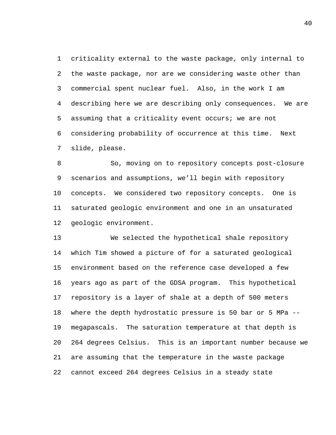criticality external to the waste package, only internal to the waste package, nor are we considering waste other than commercial spent nuclear fuel. Also, in the work I am describing here we are describing only consequences. We are assuming that a criticality event occurs; we are not considering probability of occurrence at this time. Next slide, please.

 So, moving on to repository concepts post-closure scenarios and assumptions, we'll begin with repository concepts. We considered two repository concepts. One is saturated geologic environment and one in an unsaturated geologic environment.

 We selected the hypothetical shale repository which Tim showed a picture of for a saturated geological environment based on the reference case developed a few years ago as part of the GDSA program. This hypothetical repository is a layer of shale at a depth of 500 meters where the depth hydrostatic pressure is 50 bar or 5 MPa -- megapascals. The saturation temperature at that depth is 264 degrees Celsius. This is an important number because we are assuming that the temperature in the waste package cannot exceed 264 degrees Celsius in a steady state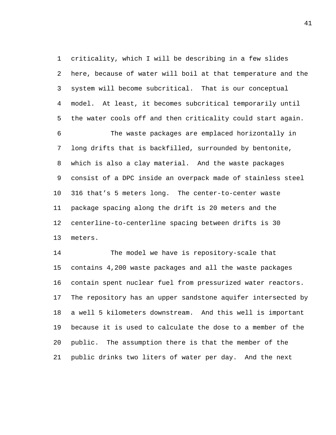criticality, which I will be describing in a few slides here, because of water will boil at that temperature and the system will become subcritical. That is our conceptual model. At least, it becomes subcritical temporarily until the water cools off and then criticality could start again. The waste packages are emplaced horizontally in long drifts that is backfilled, surrounded by bentonite, which is also a clay material. And the waste packages consist of a DPC inside an overpack made of stainless steel 316 that's 5 meters long. The center-to-center waste package spacing along the drift is 20 meters and the centerline-to-centerline spacing between drifts is 30 meters.

 The model we have is repository-scale that contains 4,200 waste packages and all the waste packages contain spent nuclear fuel from pressurized water reactors. The repository has an upper sandstone aquifer intersected by a well 5 kilometers downstream. And this well is important because it is used to calculate the dose to a member of the public. The assumption there is that the member of the public drinks two liters of water per day. And the next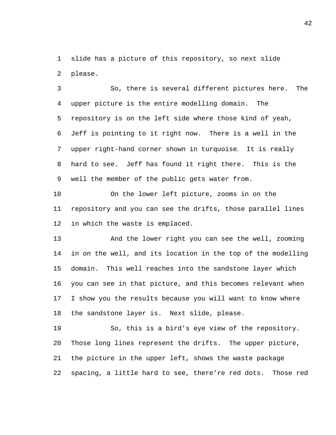slide has a picture of this repository, so next slide please.

 So, there is several different pictures here. The upper picture is the entire modelling domain. The repository is on the left side where those kind of yeah, Jeff is pointing to it right now. There is a well in the upper right-hand corner shown in turquoise. It is really hard to see. Jeff has found it right there. This is the well the member of the public gets water from.

 On the lower left picture, zooms in on the repository and you can see the drifts, those parallel lines in which the waste is emplaced.

 And the lower right you can see the well, zooming in on the well, and its location in the top of the modelling domain. This well reaches into the sandstone layer which you can see in that picture, and this becomes relevant when I show you the results because you will want to know where the sandstone layer is. Next slide, please.

 So, this is a bird's eye view of the repository. Those long lines represent the drifts. The upper picture, the picture in the upper left, shows the waste package spacing, a little hard to see, there're red dots. Those red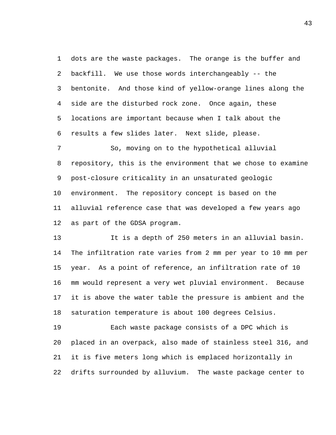dots are the waste packages. The orange is the buffer and backfill. We use those words interchangeably -- the bentonite. And those kind of yellow-orange lines along the side are the disturbed rock zone. Once again, these locations are important because when I talk about the results a few slides later. Next slide, please.

 So, moving on to the hypothetical alluvial repository, this is the environment that we chose to examine post-closure criticality in an unsaturated geologic environment. The repository concept is based on the alluvial reference case that was developed a few years ago as part of the GDSA program.

 It is a depth of 250 meters in an alluvial basin. The infiltration rate varies from 2 mm per year to 10 mm per year. As a point of reference, an infiltration rate of 10 mm would represent a very wet pluvial environment. Because it is above the water table the pressure is ambient and the saturation temperature is about 100 degrees Celsius.

 Each waste package consists of a DPC which is placed in an overpack, also made of stainless steel 316, and it is five meters long which is emplaced horizontally in drifts surrounded by alluvium. The waste package center to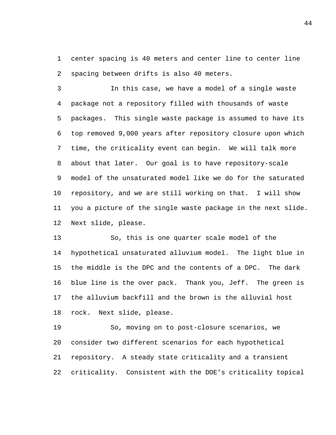center spacing is 40 meters and center line to center line spacing between drifts is also 40 meters.

 In this case, we have a model of a single waste package not a repository filled with thousands of waste packages. This single waste package is assumed to have its top removed 9,000 years after repository closure upon which time, the criticality event can begin. We will talk more about that later. Our goal is to have repository-scale model of the unsaturated model like we do for the saturated repository, and we are still working on that. I will show you a picture of the single waste package in the next slide. Next slide, please.

 So, this is one quarter scale model of the hypothetical unsaturated alluvium model. The light blue in the middle is the DPC and the contents of a DPC. The dark blue line is the over pack. Thank you, Jeff. The green is the alluvium backfill and the brown is the alluvial host rock. Next slide, please.

 So, moving on to post-closure scenarios, we consider two different scenarios for each hypothetical repository. A steady state criticality and a transient criticality. Consistent with the DOE's criticality topical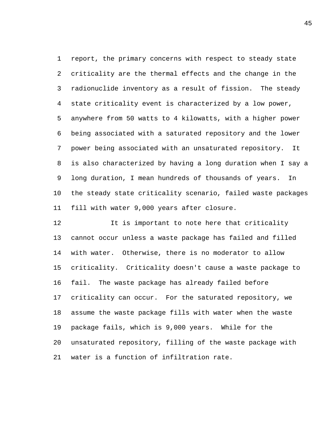report, the primary concerns with respect to steady state criticality are the thermal effects and the change in the radionuclide inventory as a result of fission. The steady state criticality event is characterized by a low power, anywhere from 50 watts to 4 kilowatts, with a higher power being associated with a saturated repository and the lower power being associated with an unsaturated repository. It is also characterized by having a long duration when I say a long duration, I mean hundreds of thousands of years. In the steady state criticality scenario, failed waste packages fill with water 9,000 years after closure.

12 12 It is important to note here that criticality cannot occur unless a waste package has failed and filled with water. Otherwise, there is no moderator to allow criticality. Criticality doesn't cause a waste package to fail. The waste package has already failed before criticality can occur. For the saturated repository, we assume the waste package fills with water when the waste package fails, which is 9,000 years. While for the unsaturated repository, filling of the waste package with water is a function of infiltration rate.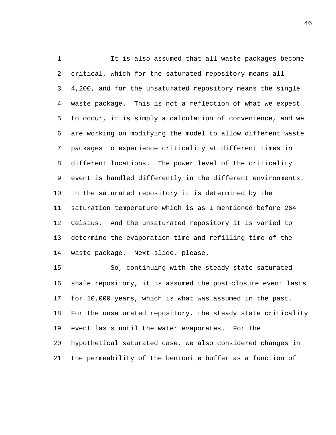It is also assumed that all waste packages become critical, which for the saturated repository means all 4,200, and for the unsaturated repository means the single waste package. This is not a reflection of what we expect to occur, it is simply a calculation of convenience, and we are working on modifying the model to allow different waste packages to experience criticality at different times in different locations. The power level of the criticality event is handled differently in the different environments. In the saturated repository it is determined by the saturation temperature which is as I mentioned before 264 Celsius. And the unsaturated repository it is varied to determine the evaporation time and refilling time of the waste package. Next slide, please.

 So, continuing with the steady state saturated shale repository, it is assumed the post-closure event lasts for 10,000 years, which is what was assumed in the past. For the unsaturated repository, the steady state criticality event lasts until the water evaporates. For the hypothetical saturated case, we also considered changes in the permeability of the bentonite buffer as a function of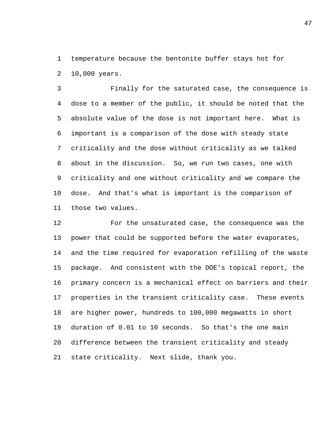temperature because the bentonite buffer stays hot for 10,000 years.

 Finally for the saturated case, the consequence is dose to a member of the public, it should be noted that the absolute value of the dose is not important here. What is important is a comparison of the dose with steady state criticality and the dose without criticality as we talked about in the discussion. So, we run two cases, one with criticality and one without criticality and we compare the dose. And that's what is important is the comparison of those two values.

 For the unsaturated case, the consequence was the power that could be supported before the water evaporates, and the time required for evaporation refilling of the waste package. And consistent with the DOE's topical report, the primary concern is a mechanical effect on barriers and their properties in the transient criticality case. These events are higher power, hundreds to 100,000 megawatts in short duration of 0.01 to 10 seconds. So that's the one main difference between the transient criticality and steady state criticality. Next slide, thank you.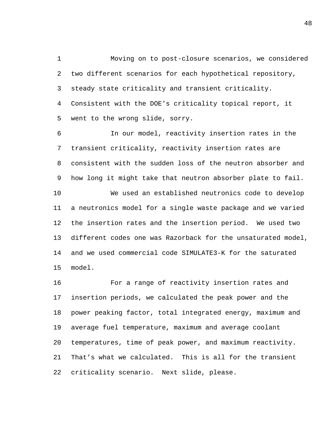Moving on to post-closure scenarios, we considered two different scenarios for each hypothetical repository, steady state criticality and transient criticality. Consistent with the DOE's criticality topical report, it went to the wrong slide, sorry.

 In our model, reactivity insertion rates in the transient criticality, reactivity insertion rates are consistent with the sudden loss of the neutron absorber and how long it might take that neutron absorber plate to fail. We used an established neutronics code to develop a neutronics model for a single waste package and we varied the insertion rates and the insertion period. We used two different codes one was Razorback for the unsaturated model, and we used commercial code SIMULATE3-K for the saturated model.

 For a range of reactivity insertion rates and insertion periods, we calculated the peak power and the power peaking factor, total integrated energy, maximum and average fuel temperature, maximum and average coolant temperatures, time of peak power, and maximum reactivity. That's what we calculated. This is all for the transient criticality scenario. Next slide, please.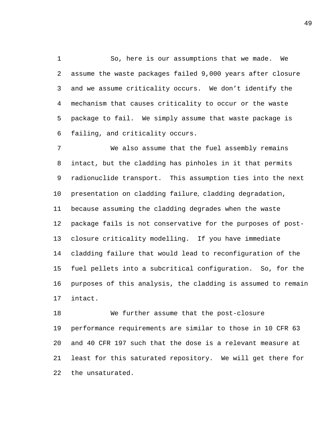So, here is our assumptions that we made. We assume the waste packages failed 9,000 years after closure and we assume criticality occurs. We don't identify the mechanism that causes criticality to occur or the waste package to fail. We simply assume that waste package is failing, and criticality occurs.

 We also assume that the fuel assembly remains intact, but the cladding has pinholes in it that permits radionuclide transport. This assumption ties into the next presentation on cladding failure, cladding degradation, because assuming the cladding degrades when the waste package fails is not conservative for the purposes of post- closure criticality modelling. If you have immediate cladding failure that would lead to reconfiguration of the fuel pellets into a subcritical configuration. So, for the purposes of this analysis, the cladding is assumed to remain intact.

 We further assume that the post-closure performance requirements are similar to those in 10 CFR 63 and 40 CFR 197 such that the dose is a relevant measure at least for this saturated repository. We will get there for the unsaturated.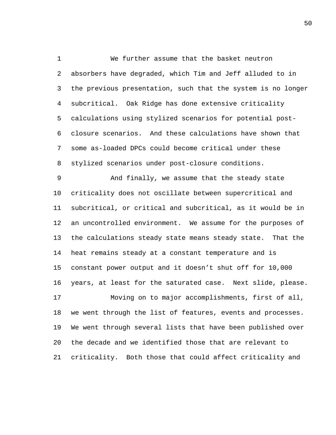We further assume that the basket neutron absorbers have degraded, which Tim and Jeff alluded to in the previous presentation, such that the system is no longer subcritical. Oak Ridge has done extensive criticality calculations using stylized scenarios for potential post- closure scenarios. And these calculations have shown that some as-loaded DPCs could become critical under these stylized scenarios under post-closure conditions.

 And finally, we assume that the steady state criticality does not oscillate between supercritical and subcritical, or critical and subcritical, as it would be in an uncontrolled environment. We assume for the purposes of the calculations steady state means steady state. That the heat remains steady at a constant temperature and is constant power output and it doesn't shut off for 10,000 years, at least for the saturated case. Next slide, please. Moving on to major accomplishments, first of all, we went through the list of features, events and processes.

 We went through several lists that have been published over the decade and we identified those that are relevant to criticality. Both those that could affect criticality and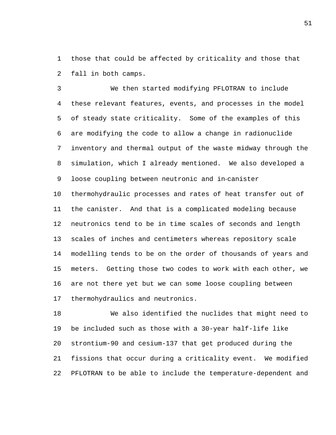those that could be affected by criticality and those that fall in both camps.

 We then started modifying PFLOTRAN to include these relevant features, events, and processes in the model of steady state criticality. Some of the examples of this are modifying the code to allow a change in radionuclide inventory and thermal output of the waste midway through the simulation, which I already mentioned. We also developed a loose coupling between neutronic and in‑canister

 thermohydraulic processes and rates of heat transfer out of the canister. And that is a complicated modeling because neutronics tend to be in time scales of seconds and length scales of inches and centimeters whereas repository scale modelling tends to be on the order of thousands of years and meters. Getting those two codes to work with each other, we are not there yet but we can some loose coupling between thermohydraulics and neutronics.

 We also identified the nuclides that might need to be included such as those with a 30-year half-life like strontium-90 and cesium-137 that get produced during the fissions that occur during a criticality event. We modified PFLOTRAN to be able to include the temperature-dependent and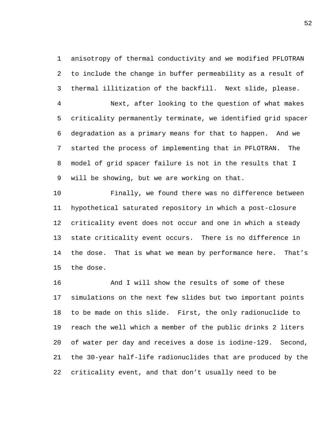anisotropy of thermal conductivity and we modified PFLOTRAN to include the change in buffer permeability as a result of thermal illitization of the backfill. Next slide, please.

 Next, after looking to the question of what makes criticality permanently terminate, we identified grid spacer degradation as a primary means for that to happen. And we started the process of implementing that in PFLOTRAN. The model of grid spacer failure is not in the results that I will be showing, but we are working on that.

 Finally, we found there was no difference between hypothetical saturated repository in which a post-closure criticality event does not occur and one in which a steady state criticality event occurs. There is no difference in the dose. That is what we mean by performance here. That's the dose.

 And I will show the results of some of these simulations on the next few slides but two important points to be made on this slide. First, the only radionuclide to reach the well which a member of the public drinks 2 liters of water per day and receives a dose is iodine-129. Second, the 30-year half-life radionuclides that are produced by the criticality event, and that don't usually need to be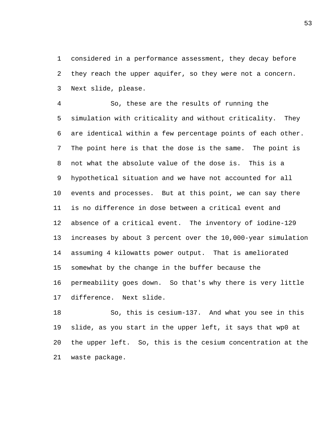considered in a performance assessment, they decay before they reach the upper aquifer, so they were not a concern. Next slide, please.

 So, these are the results of running the simulation with criticality and without criticality. They are identical within a few percentage points of each other. The point here is that the dose is the same. The point is not what the absolute value of the dose is. This is a hypothetical situation and we have not accounted for all events and processes. But at this point, we can say there is no difference in dose between a critical event and absence of a critical event. The inventory of iodine-129 increases by about 3 percent over the 10,000-year simulation assuming 4 kilowatts power output. That is ameliorated somewhat by the change in the buffer because the permeability goes down. So that's why there is very little difference. Next slide.

 So, this is cesium-137. And what you see in this slide, as you start in the upper left, it says that wp0 at the upper left. So, this is the cesium concentration at the waste package.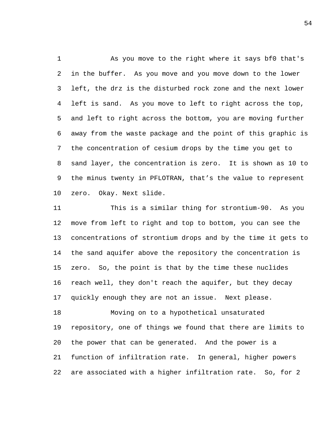As you move to the right where it says bf0 that's in the buffer. As you move and you move down to the lower left, the drz is the disturbed rock zone and the next lower left is sand. As you move to left to right across the top, and left to right across the bottom, you are moving further away from the waste package and the point of this graphic is the concentration of cesium drops by the time you get to sand layer, the concentration is zero. It is shown as 10 to the minus twenty in PFLOTRAN, that's the value to represent zero. Okay. Next slide.

 This is a similar thing for strontium-90. As you move from left to right and top to bottom, you can see the concentrations of strontium drops and by the time it gets to the sand aquifer above the repository the concentration is zero. So, the point is that by the time these nuclides reach well, they don't reach the aquifer, but they decay quickly enough they are not an issue. Next please.

 Moving on to a hypothetical unsaturated repository, one of things we found that there are limits to the power that can be generated. And the power is a function of infiltration rate. In general, higher powers are associated with a higher infiltration rate. So, for 2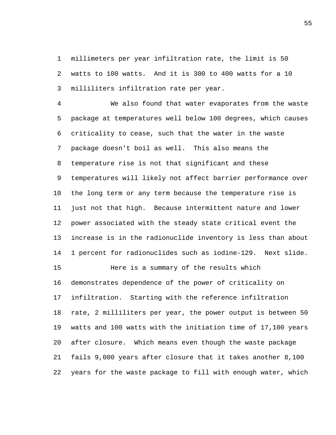millimeters per year infiltration rate, the limit is 50 watts to 100 watts. And it is 300 to 400 watts for a 10 milliliters infiltration rate per year.

 We also found that water evaporates from the waste package at temperatures well below 100 degrees, which causes criticality to cease, such that the water in the waste package doesn't boil as well. This also means the temperature rise is not that significant and these temperatures will likely not affect barrier performance over the long term or any term because the temperature rise is just not that high. Because intermittent nature and lower power associated with the steady state critical event the increase is in the radionuclide inventory is less than about 1 percent for radionuclides such as iodine-129. Next slide. Here is a summary of the results which demonstrates dependence of the power of criticality on infiltration. Starting with the reference infiltration rate, 2 milliliters per year, the power output is between 50 watts and 100 watts with the initiation time of 17,100 years after closure. Which means even though the waste package fails 9,000 years after closure that it takes another 8,100 years for the waste package to fill with enough water, which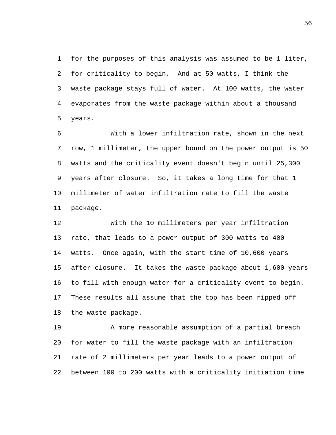for the purposes of this analysis was assumed to be 1 liter, for criticality to begin. And at 50 watts, I think the waste package stays full of water. At 100 watts, the water evaporates from the waste package within about a thousand years.

 With a lower infiltration rate, shown in the next row, 1 millimeter, the upper bound on the power output is 50 watts and the criticality event doesn't begin until 25,300 years after closure. So, it takes a long time for that 1 millimeter of water infiltration rate to fill the waste package.

 With the 10 millimeters per year infiltration rate, that leads to a power output of 300 watts to 400 watts. Once again, with the start time of 10,600 years after closure. It takes the waste package about 1,600 years to fill with enough water for a criticality event to begin. These results all assume that the top has been ripped off the waste package.

 A more reasonable assumption of a partial breach for water to fill the waste package with an infiltration rate of 2 millimeters per year leads to a power output of between 100 to 200 watts with a criticality initiation time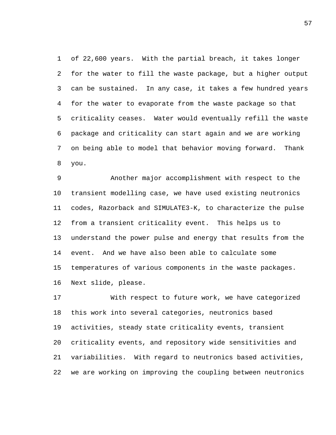of 22,600 years. With the partial breach, it takes longer for the water to fill the waste package, but a higher output can be sustained. In any case, it takes a few hundred years for the water to evaporate from the waste package so that criticality ceases. Water would eventually refill the waste package and criticality can start again and we are working on being able to model that behavior moving forward. Thank you.

 Another major accomplishment with respect to the transient modelling case, we have used existing neutronics codes, Razorback and SIMULATE3-K, to characterize the pulse from a transient criticality event. This helps us to understand the power pulse and energy that results from the event. And we have also been able to calculate some temperatures of various components in the waste packages. Next slide, please.

 With respect to future work, we have categorized this work into several categories, neutronics based activities, steady state criticality events, transient criticality events, and repository wide sensitivities and variabilities. With regard to neutronics based activities, we are working on improving the coupling between neutronics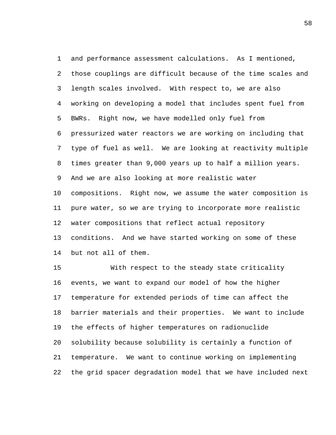and performance assessment calculations. As I mentioned, those couplings are difficult because of the time scales and length scales involved. With respect to, we are also working on developing a model that includes spent fuel from BWRs. Right now, we have modelled only fuel from pressurized water reactors we are working on including that type of fuel as well. We are looking at reactivity multiple times greater than 9,000 years up to half a million years. And we are also looking at more realistic water compositions. Right now, we assume the water composition is pure water, so we are trying to incorporate more realistic water compositions that reflect actual repository conditions. And we have started working on some of these but not all of them.

 With respect to the steady state criticality events, we want to expand our model of how the higher temperature for extended periods of time can affect the barrier materials and their properties. We want to include the effects of higher temperatures on radionuclide solubility because solubility is certainly a function of temperature. We want to continue working on implementing the grid spacer degradation model that we have included next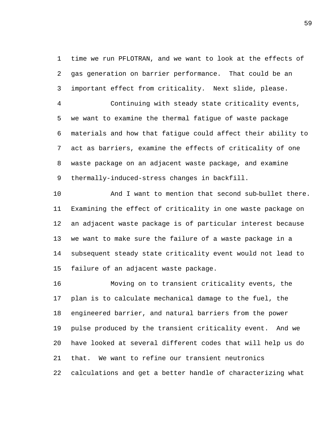time we run PFLOTRAN, and we want to look at the effects of gas generation on barrier performance. That could be an important effect from criticality. Next slide, please.

 Continuing with steady state criticality events, we want to examine the thermal fatigue of waste package materials and how that fatigue could affect their ability to act as barriers, examine the effects of criticality of one waste package on an adjacent waste package, and examine thermally-induced-stress changes in backfill.

 And I want to mention that second sub-bullet there. Examining the effect of criticality in one waste package on an adjacent waste package is of particular interest because we want to make sure the failure of a waste package in a subsequent steady state criticality event would not lead to failure of an adjacent waste package.

 Moving on to transient criticality events, the plan is to calculate mechanical damage to the fuel, the engineered barrier, and natural barriers from the power pulse produced by the transient criticality event. And we have looked at several different codes that will help us do that. We want to refine our transient neutronics calculations and get a better handle of characterizing what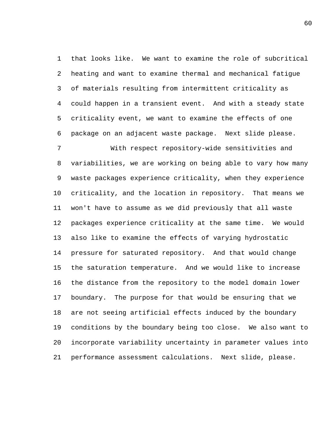that looks like. We want to examine the role of subcritical heating and want to examine thermal and mechanical fatigue of materials resulting from intermittent criticality as could happen in a transient event. And with a steady state criticality event, we want to examine the effects of one package on an adjacent waste package. Next slide please.

 With respect repository-wide sensitivities and variabilities, we are working on being able to vary how many waste packages experience criticality, when they experience criticality, and the location in repository. That means we won't have to assume as we did previously that all waste packages experience criticality at the same time. We would also like to examine the effects of varying hydrostatic pressure for saturated repository. And that would change the saturation temperature. And we would like to increase the distance from the repository to the model domain lower boundary. The purpose for that would be ensuring that we are not seeing artificial effects induced by the boundary conditions by the boundary being too close. We also want to incorporate variability uncertainty in parameter values into performance assessment calculations. Next slide, please.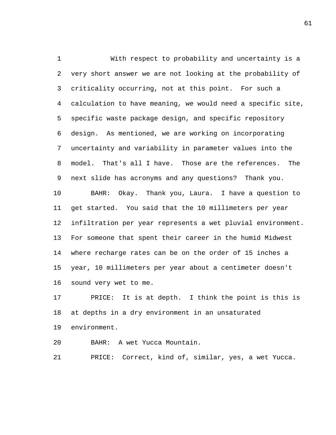With respect to probability and uncertainty is a very short answer we are not looking at the probability of criticality occurring, not at this point. For such a calculation to have meaning, we would need a specific site, specific waste package design, and specific repository design. As mentioned, we are working on incorporating uncertainty and variability in parameter values into the model. That's all I have. Those are the references. The next slide has acronyms and any questions? Thank you. BAHR: Okay. Thank you, Laura. I have a question to get started. You said that the 10 millimeters per year infiltration per year represents a wet pluvial environment. For someone that spent their career in the humid Midwest where recharge rates can be on the order of 15 inches a year, 10 millimeters per year about a centimeter doesn't sound very wet to me.

 PRICE: It is at depth. I think the point is this is at depths in a dry environment in an unsaturated environment.

BAHR: A wet Yucca Mountain.

PRICE: Correct, kind of, similar, yes, a wet Yucca.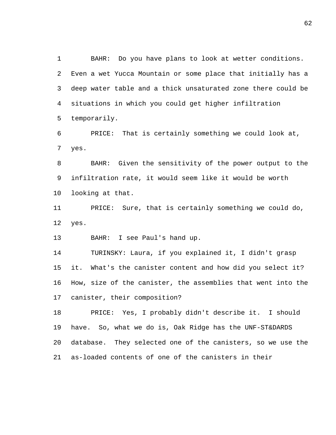BAHR: Do you have plans to look at wetter conditions. Even a wet Yucca Mountain or some place that initially has a deep water table and a thick unsaturated zone there could be situations in which you could get higher infiltration temporarily.

 PRICE: That is certainly something we could look at, yes.

 BAHR: Given the sensitivity of the power output to the infiltration rate, it would seem like it would be worth looking at that.

 PRICE: Sure, that is certainly something we could do, yes.

BAHR: I see Paul's hand up.

 TURINSKY: Laura, if you explained it, I didn't grasp it. What's the canister content and how did you select it? How, size of the canister, the assemblies that went into the canister, their composition?

 PRICE: Yes, I probably didn't describe it. I should have. So, what we do is, Oak Ridge has the UNF-ST&DARDS database. They selected one of the canisters, so we use the as-loaded contents of one of the canisters in their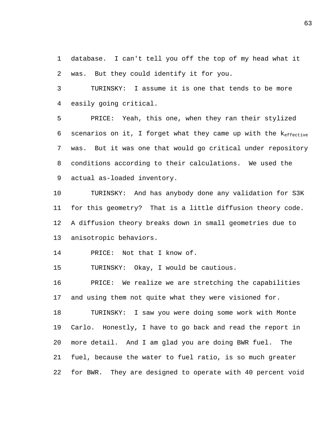database. I can't tell you off the top of my head what it was. But they could identify it for you.

 TURINSKY: I assume it is one that tends to be more easily going critical.

 PRICE: Yeah, this one, when they ran their stylized 6 scenarios on it, I forget what they came up with the  $k_{effective}$  was. But it was one that would go critical under repository conditions according to their calculations. We used the actual as-loaded inventory.

 TURINSKY: And has anybody done any validation for S3K for this geometry? That is a little diffusion theory code. A diffusion theory breaks down in small geometries due to anisotropic behaviors.

PRICE: Not that I know of.

TURINSKY: Okay, I would be cautious.

 PRICE: We realize we are stretching the capabilities and using them not quite what they were visioned for.

 TURINSKY: I saw you were doing some work with Monte Carlo. Honestly, I have to go back and read the report in more detail. And I am glad you are doing BWR fuel. The fuel, because the water to fuel ratio, is so much greater for BWR. They are designed to operate with 40 percent void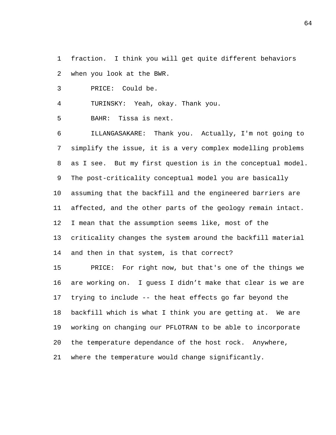fraction. I think you will get quite different behaviors when you look at the BWR.

PRICE: Could be.

TURINSKY: Yeah, okay. Thank you.

BAHR: Tissa is next.

 ILLANGASAKARE: Thank you. Actually, I'm not going to simplify the issue, it is a very complex modelling problems as I see. But my first question is in the conceptual model. The post-criticality conceptual model you are basically assuming that the backfill and the engineered barriers are affected, and the other parts of the geology remain intact. I mean that the assumption seems like, most of the criticality changes the system around the backfill material and then in that system, is that correct?

 PRICE: For right now, but that's one of the things we are working on. I guess I didn't make that clear is we are trying to include -- the heat effects go far beyond the backfill which is what I think you are getting at. We are working on changing our PFLOTRAN to be able to incorporate the temperature dependance of the host rock. Anywhere, where the temperature would change significantly.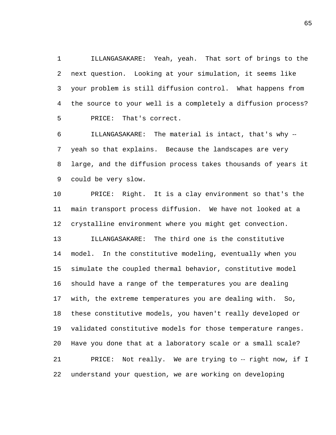ILLANGASAKARE: Yeah, yeah. That sort of brings to the next question. Looking at your simulation, it seems like your problem is still diffusion control. What happens from the source to your well is a completely a diffusion process? PRICE: That's correct.

 ILLANGASAKARE: The material is intact, that's why ‑‑ yeah so that explains. Because the landscapes are very large, and the diffusion process takes thousands of years it could be very slow.

 PRICE: Right. It is a clay environment so that's the main transport process diffusion. We have not looked at a crystalline environment where you might get convection. ILLANGASAKARE: The third one is the constitutive model. In the constitutive modeling, eventually when you simulate the coupled thermal behavior, constitutive model should have a range of the temperatures you are dealing with, the extreme temperatures you are dealing with. So, these constitutive models, you haven't really developed or

 validated constitutive models for those temperature ranges. Have you done that at a laboratory scale or a small scale? 21 PRICE: Not really. We are trying to -- right now, if I

understand your question, we are working on developing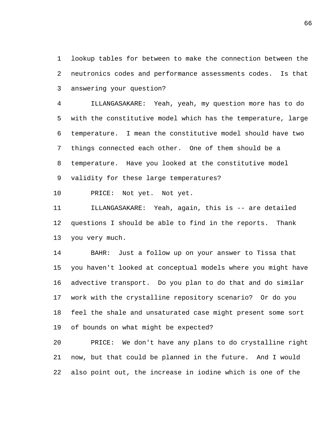lookup tables for between to make the connection between the neutronics codes and performance assessments codes. Is that answering your question?

 ILLANGASAKARE: Yeah, yeah, my question more has to do with the constitutive model which has the temperature, large temperature. I mean the constitutive model should have two things connected each other. One of them should be a temperature. Have you looked at the constitutive model validity for these large temperatures?

PRICE: Not yet. Not yet.

 ILLANGASAKARE: Yeah, again, this is -- are detailed questions I should be able to find in the reports. Thank you very much.

 BAHR: Just a follow up on your answer to Tissa that you haven't looked at conceptual models where you might have advective transport. Do you plan to do that and do similar work with the crystalline repository scenario? Or do you feel the shale and unsaturated case might present some sort of bounds on what might be expected?

 PRICE: We don't have any plans to do crystalline right now, but that could be planned in the future. And I would also point out, the increase in iodine which is one of the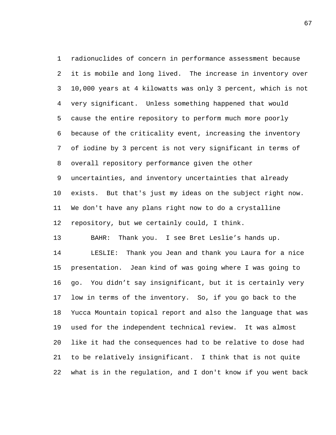radionuclides of concern in performance assessment because it is mobile and long lived. The increase in inventory over 10,000 years at 4 kilowatts was only 3 percent, which is not very significant. Unless something happened that would cause the entire repository to perform much more poorly because of the criticality event, increasing the inventory of iodine by 3 percent is not very significant in terms of overall repository performance given the other uncertainties, and inventory uncertainties that already exists. But that's just my ideas on the subject right now. We don't have any plans right now to do a crystalline repository, but we certainly could, I think.

BAHR: Thank you. I see Bret Leslie's hands up.

 LESLIE: Thank you Jean and thank you Laura for a nice presentation. Jean kind of was going where I was going to go. You didn't say insignificant, but it is certainly very low in terms of the inventory. So, if you go back to the Yucca Mountain topical report and also the language that was used for the independent technical review. It was almost like it had the consequences had to be relative to dose had to be relatively insignificant. I think that is not quite what is in the regulation, and I don't know if you went back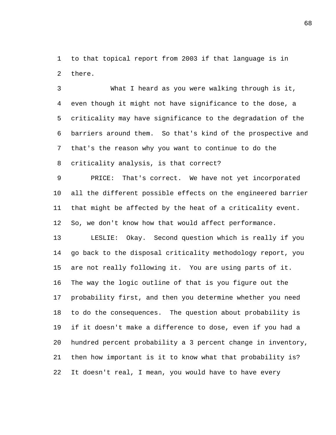to that topical report from 2003 if that language is in there.

 What I heard as you were walking through is it, even though it might not have significance to the dose, a criticality may have significance to the degradation of the barriers around them. So that's kind of the prospective and that's the reason why you want to continue to do the criticality analysis, is that correct?

 PRICE: That's correct. We have not yet incorporated all the different possible effects on the engineered barrier that might be affected by the heat of a criticality event. So, we don't know how that would affect performance.

 LESLIE: Okay. Second question which is really if you go back to the disposal criticality methodology report, you are not really following it. You are using parts of it. The way the logic outline of that is you figure out the probability first, and then you determine whether you need to do the consequences. The question about probability is if it doesn't make a difference to dose, even if you had a hundred percent probability a 3 percent change in inventory, then how important is it to know what that probability is? It doesn't real, I mean, you would have to have every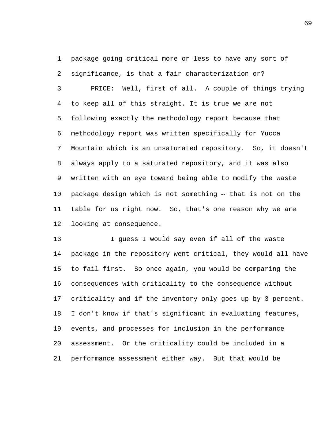package going critical more or less to have any sort of significance, is that a fair characterization or?

 PRICE: Well, first of all. A couple of things trying to keep all of this straight. It is true we are not following exactly the methodology report because that methodology report was written specifically for Yucca Mountain which is an unsaturated repository. So, it doesn't always apply to a saturated repository, and it was also written with an eye toward being able to modify the waste package design which is not something ‑‑ that is not on the table for us right now. So, that's one reason why we are looking at consequence.

 I guess I would say even if all of the waste package in the repository went critical, they would all have to fail first. So once again, you would be comparing the consequences with criticality to the consequence without criticality and if the inventory only goes up by 3 percent. I don't know if that's significant in evaluating features, events, and processes for inclusion in the performance assessment. Or the criticality could be included in a performance assessment either way. But that would be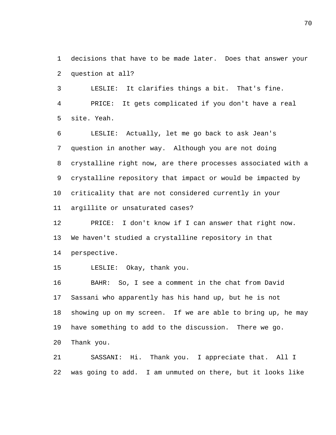decisions that have to be made later. Does that answer your question at all?

 LESLIE: It clarifies things a bit. That's fine. PRICE: It gets complicated if you don't have a real site. Yeah.

 LESLIE: Actually, let me go back to ask Jean's question in another way. Although you are not doing crystalline right now, are there processes associated with a crystalline repository that impact or would be impacted by criticality that are not considered currently in your argillite or unsaturated cases?

 PRICE: I don't know if I can answer that right now. We haven't studied a crystalline repository in that perspective.

LESLIE: Okay, thank you.

 BAHR: So, I see a comment in the chat from David Sassani who apparently has his hand up, but he is not showing up on my screen. If we are able to bring up, he may have something to add to the discussion. There we go. Thank you.

 SASSANI: Hi. Thank you. I appreciate that. All I was going to add. I am unmuted on there, but it looks like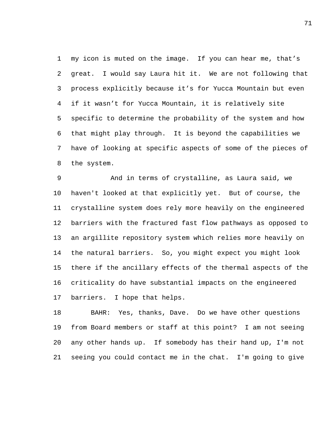my icon is muted on the image. If you can hear me, that's great. I would say Laura hit it. We are not following that process explicitly because it's for Yucca Mountain but even if it wasn't for Yucca Mountain, it is relatively site specific to determine the probability of the system and how that might play through. It is beyond the capabilities we have of looking at specific aspects of some of the pieces of the system.

 And in terms of crystalline, as Laura said, we haven't looked at that explicitly yet. But of course, the crystalline system does rely more heavily on the engineered barriers with the fractured fast flow pathways as opposed to an argillite repository system which relies more heavily on the natural barriers. So, you might expect you might look there if the ancillary effects of the thermal aspects of the criticality do have substantial impacts on the engineered barriers. I hope that helps.

 BAHR: Yes, thanks, Dave. Do we have other questions from Board members or staff at this point? I am not seeing any other hands up. If somebody has their hand up, I'm not seeing you could contact me in the chat. I'm going to give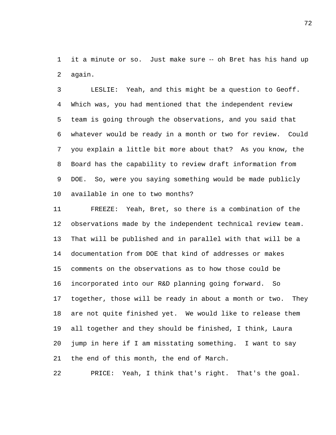it a minute or so. Just make sure ‑‑ oh Bret has his hand up again.

 LESLIE: Yeah, and this might be a question to Geoff. Which was, you had mentioned that the independent review team is going through the observations, and you said that whatever would be ready in a month or two for review. Could you explain a little bit more about that? As you know, the Board has the capability to review draft information from DOE. So, were you saying something would be made publicly available in one to two months?

 FREEZE: Yeah, Bret, so there is a combination of the observations made by the independent technical review team. That will be published and in parallel with that will be a documentation from DOE that kind of addresses or makes comments on the observations as to how those could be incorporated into our R&D planning going forward. So together, those will be ready in about a month or two. They are not quite finished yet. We would like to release them all together and they should be finished, I think, Laura jump in here if I am misstating something. I want to say the end of this month, the end of March.

PRICE: Yeah, I think that's right. That's the goal.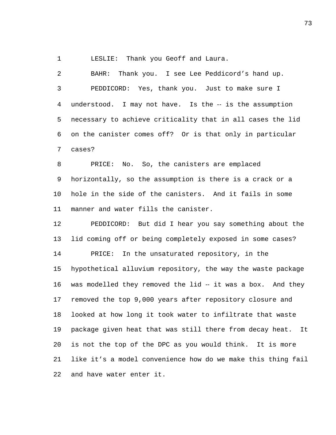LESLIE: Thank you Geoff and Laura.

 BAHR: Thank you. I see Lee Peddicord's hand up. PEDDICORD: Yes, thank you. Just to make sure I 4 understood. I may not have. Is the -- is the assumption necessary to achieve criticality that in all cases the lid on the canister comes off? Or is that only in particular cases?

 PRICE: No. So, the canisters are emplaced horizontally, so the assumption is there is a crack or a hole in the side of the canisters. And it fails in some manner and water fills the canister.

 PEDDICORD: But did I hear you say something about the lid coming off or being completely exposed in some cases? PRICE: In the unsaturated repository, in the hypothetical alluvium repository, the way the waste package 16 was modelled they removed the lid -- it was a box. And they removed the top 9,000 years after repository closure and looked at how long it took water to infiltrate that waste package given heat that was still there from decay heat. It is not the top of the DPC as you would think. It is more like it's a model convenience how do we make this thing fail and have water enter it.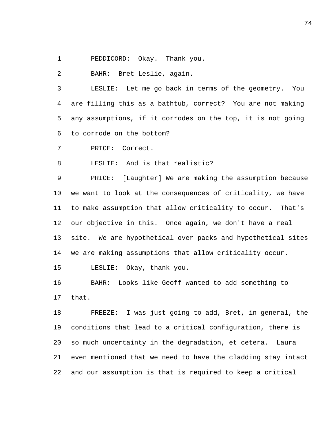PEDDICORD: Okay. Thank you.

BAHR: Bret Leslie, again.

 LESLIE: Let me go back in terms of the geometry. You are filling this as a bathtub, correct? You are not making any assumptions, if it corrodes on the top, it is not going to corrode on the bottom?

PRICE: Correct.

LESLIE: And is that realistic?

 PRICE: [Laughter] We are making the assumption because we want to look at the consequences of criticality, we have to make assumption that allow criticality to occur. That's our objective in this. Once again, we don't have a real site. We are hypothetical over packs and hypothetical sites we are making assumptions that allow criticality occur.

LESLIE: Okay, thank you.

 BAHR: Looks like Geoff wanted to add something to that.

 FREEZE: I was just going to add, Bret, in general, the conditions that lead to a critical configuration, there is so much uncertainty in the degradation, et cetera. Laura even mentioned that we need to have the cladding stay intact and our assumption is that is required to keep a critical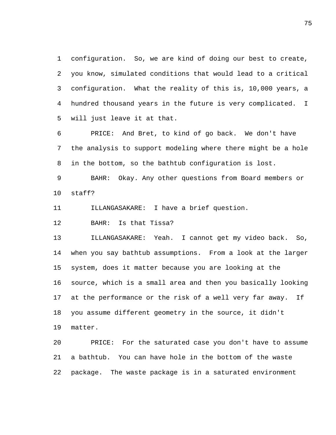configuration. So, we are kind of doing our best to create, you know, simulated conditions that would lead to a critical configuration. What the reality of this is, 10,000 years, a hundred thousand years in the future is very complicated. I will just leave it at that.

 PRICE: And Bret, to kind of go back. We don't have the analysis to support modeling where there might be a hole in the bottom, so the bathtub configuration is lost.

 BAHR: Okay. Any other questions from Board members or staff?

ILLANGASAKARE: I have a brief question.

BAHR: Is that Tissa?

 ILLANGASAKARE: Yeah. I cannot get my video back. So, when you say bathtub assumptions. From a look at the larger system, does it matter because you are looking at the source, which is a small area and then you basically looking at the performance or the risk of a well very far away. If you assume different geometry in the source, it didn't matter.

 PRICE: For the saturated case you don't have to assume a bathtub. You can have hole in the bottom of the waste package. The waste package is in a saturated environment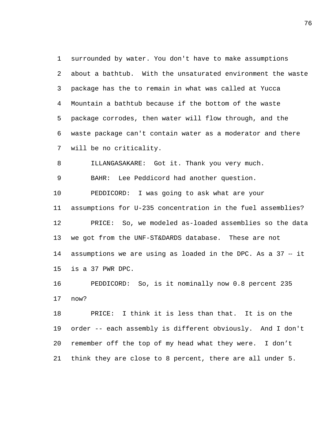surrounded by water. You don't have to make assumptions about a bathtub. With the unsaturated environment the waste package has the to remain in what was called at Yucca Mountain a bathtub because if the bottom of the waste package corrodes, then water will flow through, and the waste package can't contain water as a moderator and there will be no criticality.

ILLANGASAKARE: Got it. Thank you very much.

BAHR: Lee Peddicord had another question.

 PEDDICORD: I was going to ask what are your assumptions for U-235 concentration in the fuel assemblies? PRICE: So, we modeled as-loaded assemblies so the data we got from the UNF-ST&DARDS database. These are not 14 assumptions we are using as loaded in the DPC. As a 37 -- it is a 37 PWR DPC.

 PEDDICORD: So, is it nominally now 0.8 percent 235 now?

 PRICE: I think it is less than that. It is on the order -- each assembly is different obviously. And I don't remember off the top of my head what they were. I don't think they are close to 8 percent, there are all under 5.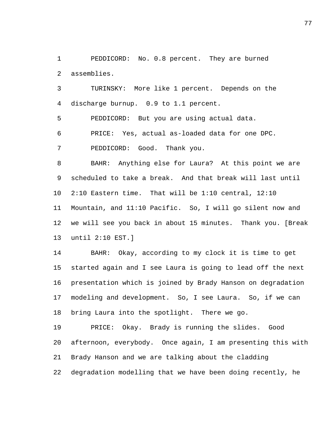PEDDICORD: No. 0.8 percent. They are burned assemblies.

 TURINSKY: More like 1 percent. Depends on the discharge burnup. 0.9 to 1.1 percent.

PEDDICORD: But you are using actual data.

PRICE: Yes, actual as-loaded data for one DPC.

PEDDICORD: Good. Thank you.

 BAHR: Anything else for Laura? At this point we are scheduled to take a break. And that break will last until 2:10 Eastern time. That will be 1:10 central, 12:10 Mountain, and 11:10 Pacific. So, I will go silent now and we will see you back in about 15 minutes. Thank you. [Break until 2:10 EST.]

 BAHR: Okay, according to my clock it is time to get started again and I see Laura is going to lead off the next presentation which is joined by Brady Hanson on degradation modeling and development. So, I see Laura. So, if we can bring Laura into the spotlight. There we go.

 PRICE: Okay. Brady is running the slides. Good afternoon, everybody. Once again, I am presenting this with Brady Hanson and we are talking about the cladding degradation modelling that we have been doing recently, he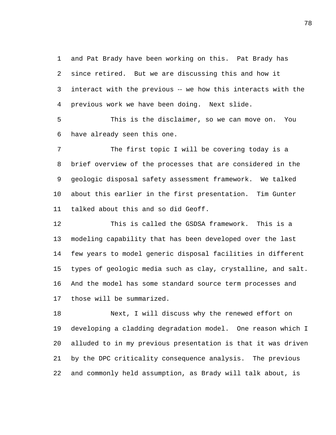and Pat Brady have been working on this. Pat Brady has since retired. But we are discussing this and how it interact with the previous ‑‑ we how this interacts with the previous work we have been doing. Next slide.

 This is the disclaimer, so we can move on. You have already seen this one.

 The first topic I will be covering today is a brief overview of the processes that are considered in the geologic disposal safety assessment framework. We talked about this earlier in the first presentation. Tim Gunter talked about this and so did Geoff.

 This is called the GSDSA framework. This is a modeling capability that has been developed over the last few years to model generic disposal facilities in different types of geologic media such as clay, crystalline, and salt. And the model has some standard source term processes and those will be summarized.

 Next, I will discuss why the renewed effort on developing a cladding degradation model. One reason which I alluded to in my previous presentation is that it was driven by the DPC criticality consequence analysis. The previous and commonly held assumption, as Brady will talk about, is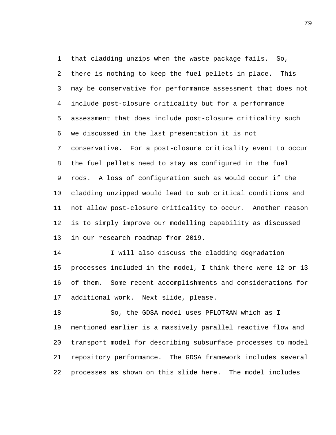that cladding unzips when the waste package fails. So, there is nothing to keep the fuel pellets in place. This may be conservative for performance assessment that does not include post-closure criticality but for a performance assessment that does include post-closure criticality such we discussed in the last presentation it is not conservative. For a post-closure criticality event to occur the fuel pellets need to stay as configured in the fuel rods. A loss of configuration such as would occur if the cladding unzipped would lead to sub critical conditions and not allow post-closure criticality to occur. Another reason is to simply improve our modelling capability as discussed in our research roadmap from 2019.

 I will also discuss the cladding degradation processes included in the model, I think there were 12 or 13 of them. Some recent accomplishments and considerations for additional work. Next slide, please.

 So, the GDSA model uses PFLOTRAN which as I mentioned earlier is a massively parallel reactive flow and transport model for describing subsurface processes to model repository performance. The GDSA framework includes several processes as shown on this slide here. The model includes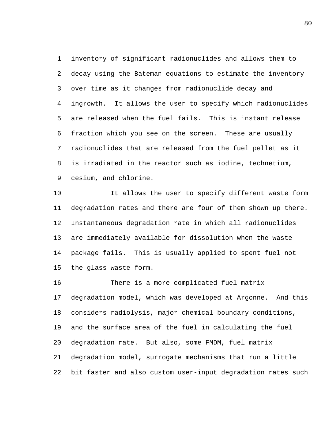inventory of significant radionuclides and allows them to decay using the Bateman equations to estimate the inventory over time as it changes from radionuclide decay and ingrowth. It allows the user to specify which radionuclides are released when the fuel fails. This is instant release fraction which you see on the screen. These are usually radionuclides that are released from the fuel pellet as it is irradiated in the reactor such as iodine, technetium, cesium, and chlorine.

 It allows the user to specify different waste form degradation rates and there are four of them shown up there. Instantaneous degradation rate in which all radionuclides are immediately available for dissolution when the waste package fails. This is usually applied to spent fuel not the glass waste form.

 There is a more complicated fuel matrix degradation model, which was developed at Argonne. And this considers radiolysis, major chemical boundary conditions, and the surface area of the fuel in calculating the fuel degradation rate. But also, some FMDM, fuel matrix degradation model, surrogate mechanisms that run a little bit faster and also custom user-input degradation rates such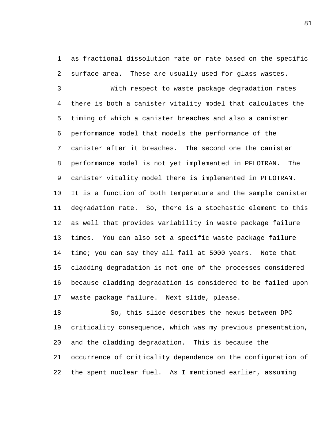as fractional dissolution rate or rate based on the specific surface area. These are usually used for glass wastes.

 With respect to waste package degradation rates there is both a canister vitality model that calculates the timing of which a canister breaches and also a canister performance model that models the performance of the canister after it breaches. The second one the canister performance model is not yet implemented in PFLOTRAN. The canister vitality model there is implemented in PFLOTRAN. It is a function of both temperature and the sample canister degradation rate. So, there is a stochastic element to this as well that provides variability in waste package failure times. You can also set a specific waste package failure time; you can say they all fail at 5000 years. Note that cladding degradation is not one of the processes considered because cladding degradation is considered to be failed upon waste package failure. Next slide, please.

 So, this slide describes the nexus between DPC criticality consequence, which was my previous presentation, and the cladding degradation. This is because the occurrence of criticality dependence on the configuration of the spent nuclear fuel. As I mentioned earlier, assuming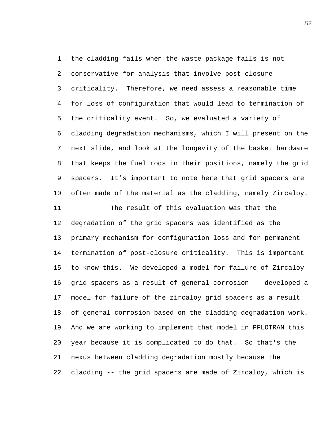the cladding fails when the waste package fails is not conservative for analysis that involve post-closure criticality. Therefore, we need assess a reasonable time for loss of configuration that would lead to termination of the criticality event. So, we evaluated a variety of cladding degradation mechanisms, which I will present on the next slide, and look at the longevity of the basket hardware that keeps the fuel rods in their positions, namely the grid spacers. It's important to note here that grid spacers are often made of the material as the cladding, namely Zircaloy. The result of this evaluation was that the degradation of the grid spacers was identified as the primary mechanism for configuration loss and for permanent termination of post-closure criticality. This is important to know this. We developed a model for failure of Zircaloy grid spacers as a result of general corrosion -- developed a model for failure of the zircaloy grid spacers as a result of general corrosion based on the cladding degradation work. And we are working to implement that model in PFLOTRAN this year because it is complicated to do that. So that's the nexus between cladding degradation mostly because the

cladding -- the grid spacers are made of Zircaloy, which is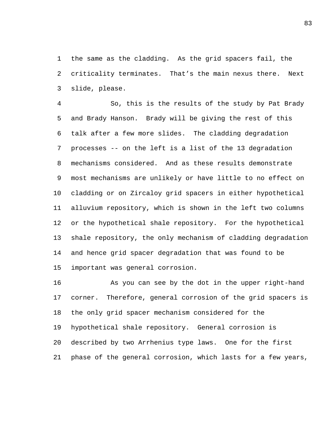the same as the cladding. As the grid spacers fail, the criticality terminates. That's the main nexus there. Next slide, please.

 So, this is the results of the study by Pat Brady and Brady Hanson. Brady will be giving the rest of this talk after a few more slides. The cladding degradation processes -- on the left is a list of the 13 degradation mechanisms considered. And as these results demonstrate most mechanisms are unlikely or have little to no effect on cladding or on Zircaloy grid spacers in either hypothetical alluvium repository, which is shown in the left two columns or the hypothetical shale repository. For the hypothetical shale repository, the only mechanism of cladding degradation and hence grid spacer degradation that was found to be important was general corrosion.

 As you can see by the dot in the upper right-hand corner. Therefore, general corrosion of the grid spacers is the only grid spacer mechanism considered for the hypothetical shale repository. General corrosion is described by two Arrhenius type laws. One for the first phase of the general corrosion, which lasts for a few years,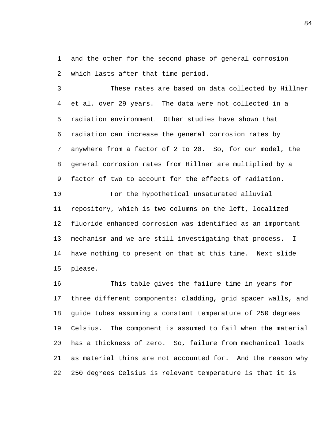and the other for the second phase of general corrosion which lasts after that time period.

 These rates are based on data collected by Hillner et al. over 29 years. The data were not collected in a radiation environment. Other studies have shown that radiation can increase the general corrosion rates by anywhere from a factor of 2 to 20. So, for our model, the general corrosion rates from Hillner are multiplied by a factor of two to account for the effects of radiation.

 For the hypothetical unsaturated alluvial repository, which is two columns on the left, localized fluoride enhanced corrosion was identified as an important mechanism and we are still investigating that process. I have nothing to present on that at this time. Next slide please.

 This table gives the failure time in years for three different components: cladding, grid spacer walls, and guide tubes assuming a constant temperature of 250 degrees Celsius. The component is assumed to fail when the material has a thickness of zero. So, failure from mechanical loads as material thins are not accounted for. And the reason why 250 degrees Celsius is relevant temperature is that it is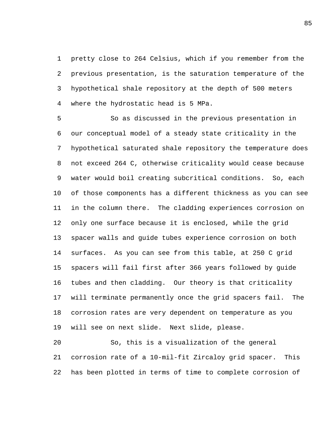pretty close to 264 Celsius, which if you remember from the previous presentation, is the saturation temperature of the hypothetical shale repository at the depth of 500 meters where the hydrostatic head is 5 MPa.

 So as discussed in the previous presentation in our conceptual model of a steady state criticality in the hypothetical saturated shale repository the temperature does not exceed 264 C, otherwise criticality would cease because water would boil creating subcritical conditions. So, each of those components has a different thickness as you can see in the column there. The cladding experiences corrosion on only one surface because it is enclosed, while the grid spacer walls and guide tubes experience corrosion on both surfaces. As you can see from this table, at 250 C grid spacers will fail first after 366 years followed by guide tubes and then cladding. Our theory is that criticality will terminate permanently once the grid spacers fail. The corrosion rates are very dependent on temperature as you will see on next slide. Next slide, please.

 So, this is a visualization of the general corrosion rate of a 10-mil-fit Zircaloy grid spacer. This has been plotted in terms of time to complete corrosion of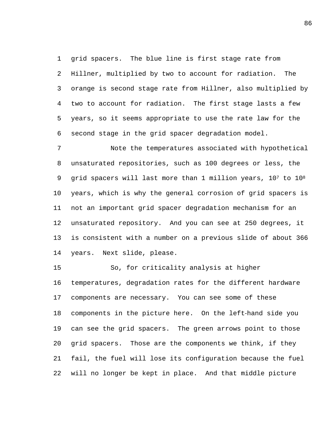grid spacers. The blue line is first stage rate from Hillner, multiplied by two to account for radiation. The orange is second stage rate from Hillner, also multiplied by two to account for radiation. The first stage lasts a few years, so it seems appropriate to use the rate law for the second stage in the grid spacer degradation model.

 Note the temperatures associated with hypothetical unsaturated repositories, such as 100 degrees or less, the 9 grid spacers will last more than 1 million years, 107 to 108 years, which is why the general corrosion of grid spacers is not an important grid spacer degradation mechanism for an unsaturated repository. And you can see at 250 degrees, it is consistent with a number on a previous slide of about 366 years. Next slide, please.

 So, for criticality analysis at higher temperatures, degradation rates for the different hardware components are necessary. You can see some of these 18 components in the picture here. On the left-hand side you can see the grid spacers. The green arrows point to those grid spacers. Those are the components we think, if they fail, the fuel will lose its configuration because the fuel will no longer be kept in place. And that middle picture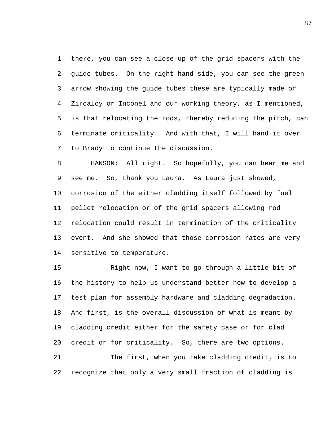there, you can see a close-up of the grid spacers with the guide tubes. On the right-hand side, you can see the green arrow showing the guide tubes these are typically made of Zircaloy or Inconel and our working theory, as I mentioned, is that relocating the rods, thereby reducing the pitch, can terminate criticality. And with that, I will hand it over to Brady to continue the discussion.

 HANSON: All right. So hopefully, you can hear me and see me. So, thank you Laura. As Laura just showed, corrosion of the either cladding itself followed by fuel pellet relocation or of the grid spacers allowing rod relocation could result in termination of the criticality event. And she showed that those corrosion rates are very sensitive to temperature.

 Right now, I want to go through a little bit of the history to help us understand better how to develop a test plan for assembly hardware and cladding degradation. And first, is the overall discussion of what is meant by cladding credit either for the safety case or for clad credit or for criticality. So, there are two options. The first, when you take cladding credit, is to

recognize that only a very small fraction of cladding is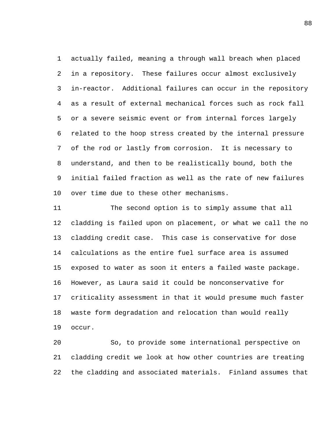actually failed, meaning a through wall breach when placed in a repository. These failures occur almost exclusively in-reactor. Additional failures can occur in the repository as a result of external mechanical forces such as rock fall or a severe seismic event or from internal forces largely related to the hoop stress created by the internal pressure of the rod or lastly from corrosion. It is necessary to understand, and then to be realistically bound, both the initial failed fraction as well as the rate of new failures over time due to these other mechanisms.

 The second option is to simply assume that all cladding is failed upon on placement, or what we call the no cladding credit case. This case is conservative for dose calculations as the entire fuel surface area is assumed exposed to water as soon it enters a failed waste package. However, as Laura said it could be nonconservative for criticality assessment in that it would presume much faster waste form degradation and relocation than would really occur.

 So, to provide some international perspective on cladding credit we look at how other countries are treating the cladding and associated materials. Finland assumes that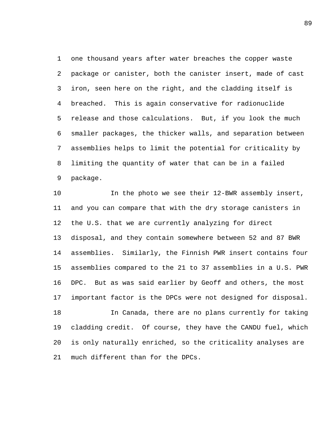one thousand years after water breaches the copper waste package or canister, both the canister insert, made of cast iron, seen here on the right, and the cladding itself is breached. This is again conservative for radionuclide release and those calculations. But, if you look the much smaller packages, the thicker walls, and separation between assemblies helps to limit the potential for criticality by limiting the quantity of water that can be in a failed package.

10 10 In the photo we see their 12-BWR assembly insert, and you can compare that with the dry storage canisters in the U.S. that we are currently analyzing for direct disposal, and they contain somewhere between 52 and 87 BWR assemblies. Similarly, the Finnish PWR insert contains four assemblies compared to the 21 to 37 assemblies in a U.S. PWR DPC. But as was said earlier by Geoff and others, the most important factor is the DPCs were not designed for disposal. In Canada, there are no plans currently for taking cladding credit. Of course, they have the CANDU fuel, which is only naturally enriched, so the criticality analyses are much different than for the DPCs.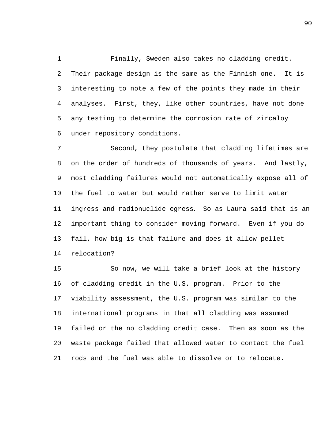Finally, Sweden also takes no cladding credit. Their package design is the same as the Finnish one. It is interesting to note a few of the points they made in their analyses. First, they, like other countries, have not done any testing to determine the corrosion rate of zircaloy under repository conditions.

 Second, they postulate that cladding lifetimes are on the order of hundreds of thousands of years. And lastly, most cladding failures would not automatically expose all of the fuel to water but would rather serve to limit water ingress and radionuclide egress. So as Laura said that is an important thing to consider moving forward. Even if you do fail, how big is that failure and does it allow pellet relocation?

 So now, we will take a brief look at the history of cladding credit in the U.S. program. Prior to the viability assessment, the U.S. program was similar to the international programs in that all cladding was assumed failed or the no cladding credit case. Then as soon as the waste package failed that allowed water to contact the fuel rods and the fuel was able to dissolve or to relocate.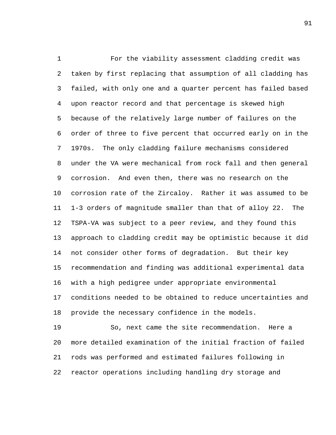For the viability assessment cladding credit was taken by first replacing that assumption of all cladding has failed, with only one and a quarter percent has failed based upon reactor record and that percentage is skewed high because of the relatively large number of failures on the order of three to five percent that occurred early on in the 1970s. The only cladding failure mechanisms considered under the VA were mechanical from rock fall and then general corrosion. And even then, there was no research on the corrosion rate of the Zircaloy. Rather it was assumed to be 1-3 orders of magnitude smaller than that of alloy 22. The TSPA-VA was subject to a peer review, and they found this approach to cladding credit may be optimistic because it did not consider other forms of degradation. But their key recommendation and finding was additional experimental data with a high pedigree under appropriate environmental conditions needed to be obtained to reduce uncertainties and provide the necessary confidence in the models.

 So, next came the site recommendation. Here a more detailed examination of the initial fraction of failed rods was performed and estimated failures following in reactor operations including handling dry storage and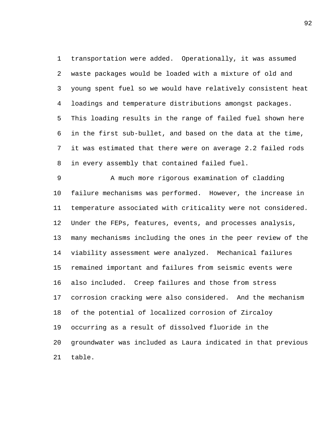transportation were added. Operationally, it was assumed waste packages would be loaded with a mixture of old and young spent fuel so we would have relatively consistent heat loadings and temperature distributions amongst packages. This loading results in the range of failed fuel shown here in the first sub-bullet, and based on the data at the time, it was estimated that there were on average 2.2 failed rods in every assembly that contained failed fuel.

9 A much more rigorous examination of cladding failure mechanisms was performed. However, the increase in temperature associated with criticality were not considered. Under the FEPs, features, events, and processes analysis, many mechanisms including the ones in the peer review of the viability assessment were analyzed. Mechanical failures remained important and failures from seismic events were also included. Creep failures and those from stress corrosion cracking were also considered. And the mechanism of the potential of localized corrosion of Zircaloy occurring as a result of dissolved fluoride in the groundwater was included as Laura indicated in that previous table.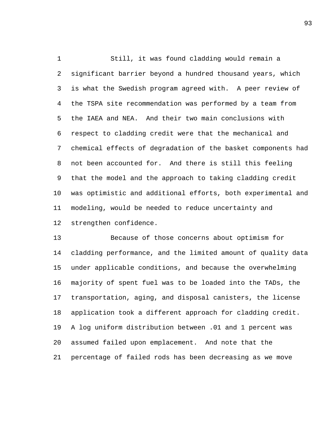Still, it was found cladding would remain a significant barrier beyond a hundred thousand years, which is what the Swedish program agreed with. A peer review of the TSPA site recommendation was performed by a team from the IAEA and NEA. And their two main conclusions with respect to cladding credit were that the mechanical and chemical effects of degradation of the basket components had not been accounted for. And there is still this feeling that the model and the approach to taking cladding credit was optimistic and additional efforts, both experimental and modeling, would be needed to reduce uncertainty and strengthen confidence.

 Because of those concerns about optimism for cladding performance, and the limited amount of quality data under applicable conditions, and because the overwhelming majority of spent fuel was to be loaded into the TADs, the transportation, aging, and disposal canisters, the license application took a different approach for cladding credit. A log uniform distribution between .01 and 1 percent was assumed failed upon emplacement. And note that the percentage of failed rods has been decreasing as we move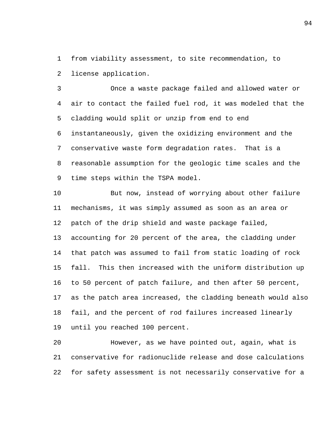from viability assessment, to site recommendation, to license application.

 Once a waste package failed and allowed water or air to contact the failed fuel rod, it was modeled that the cladding would split or unzip from end to end instantaneously, given the oxidizing environment and the conservative waste form degradation rates. That is a reasonable assumption for the geologic time scales and the time steps within the TSPA model.

 But now, instead of worrying about other failure mechanisms, it was simply assumed as soon as an area or patch of the drip shield and waste package failed, accounting for 20 percent of the area, the cladding under that patch was assumed to fail from static loading of rock fall. This then increased with the uniform distribution up to 50 percent of patch failure, and then after 50 percent, as the patch area increased, the cladding beneath would also fail, and the percent of rod failures increased linearly until you reached 100 percent.

 However, as we have pointed out, again, what is conservative for radionuclide release and dose calculations for safety assessment is not necessarily conservative for a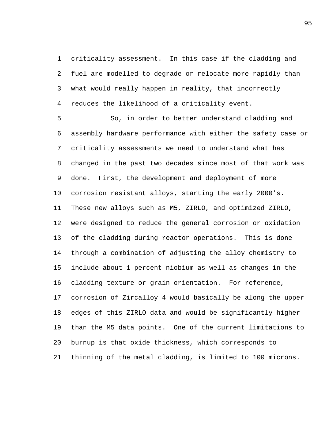criticality assessment. In this case if the cladding and fuel are modelled to degrade or relocate more rapidly than what would really happen in reality, that incorrectly reduces the likelihood of a criticality event.

 So, in order to better understand cladding and assembly hardware performance with either the safety case or criticality assessments we need to understand what has changed in the past two decades since most of that work was done. First, the development and deployment of more corrosion resistant alloys, starting the early 2000's. These new alloys such as M5, ZIRLO, and optimized ZIRLO, were designed to reduce the general corrosion or oxidation of the cladding during reactor operations. This is done through a combination of adjusting the alloy chemistry to include about 1 percent niobium as well as changes in the cladding texture or grain orientation. For reference, corrosion of Zircalloy 4 would basically be along the upper edges of this ZIRLO data and would be significantly higher than the M5 data points. One of the current limitations to burnup is that oxide thickness, which corresponds to thinning of the metal cladding, is limited to 100 microns.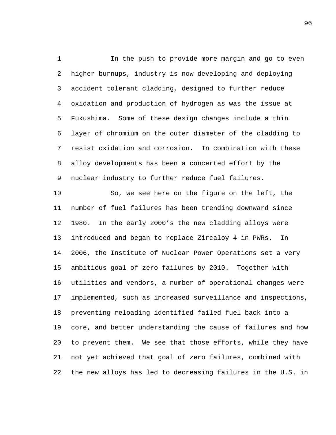In the push to provide more margin and go to even higher burnups, industry is now developing and deploying accident tolerant cladding, designed to further reduce oxidation and production of hydrogen as was the issue at Fukushima. Some of these design changes include a thin layer of chromium on the outer diameter of the cladding to resist oxidation and corrosion. In combination with these alloy developments has been a concerted effort by the nuclear industry to further reduce fuel failures.

 So, we see here on the figure on the left, the number of fuel failures has been trending downward since 1980. In the early 2000's the new cladding alloys were introduced and began to replace Zircaloy 4 in PWRs. In 2006, the Institute of Nuclear Power Operations set a very ambitious goal of zero failures by 2010. Together with utilities and vendors, a number of operational changes were implemented, such as increased surveillance and inspections, preventing reloading identified failed fuel back into a core, and better understanding the cause of failures and how to prevent them. We see that those efforts, while they have not yet achieved that goal of zero failures, combined with the new alloys has led to decreasing failures in the U.S. in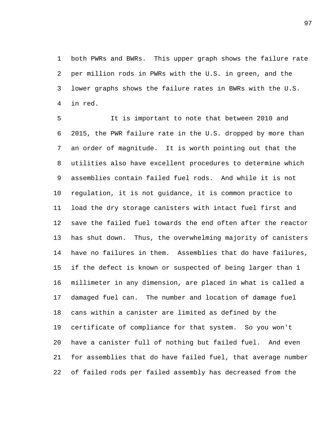both PWRs and BWRs. This upper graph shows the failure rate per million rods in PWRs with the U.S. in green, and the lower graphs shows the failure rates in BWRs with the U.S. in red.

 It is important to note that between 2010 and 2015, the PWR failure rate in the U.S. dropped by more than an order of magnitude. It is worth pointing out that the utilities also have excellent procedures to determine which assemblies contain failed fuel rods. And while it is not regulation, it is not guidance, it is common practice to load the dry storage canisters with intact fuel first and save the failed fuel towards the end often after the reactor has shut down. Thus, the overwhelming majority of canisters have no failures in them. Assemblies that do have failures, if the defect is known or suspected of being larger than 1 millimeter in any dimension, are placed in what is called a damaged fuel can. The number and location of damage fuel cans within a canister are limited as defined by the certificate of compliance for that system. So you won't have a canister full of nothing but failed fuel. And even for assemblies that do have failed fuel, that average number of failed rods per failed assembly has decreased from the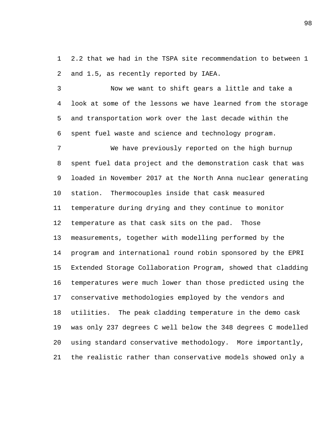2.2 that we had in the TSPA site recommendation to between 1 and 1.5, as recently reported by IAEA.

 Now we want to shift gears a little and take a look at some of the lessons we have learned from the storage and transportation work over the last decade within the spent fuel waste and science and technology program.

 We have previously reported on the high burnup spent fuel data project and the demonstration cask that was loaded in November 2017 at the North Anna nuclear generating station. Thermocouples inside that cask measured temperature during drying and they continue to monitor temperature as that cask sits on the pad. Those measurements, together with modelling performed by the program and international round robin sponsored by the EPRI Extended Storage Collaboration Program, showed that cladding temperatures were much lower than those predicted using the conservative methodologies employed by the vendors and utilities. The peak cladding temperature in the demo cask was only 237 degrees C well below the 348 degrees C modelled using standard conservative methodology. More importantly, the realistic rather than conservative models showed only a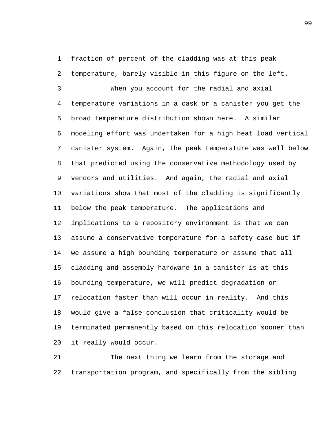fraction of percent of the cladding was at this peak temperature, barely visible in this figure on the left.

 When you account for the radial and axial temperature variations in a cask or a canister you get the broad temperature distribution shown here. A similar modeling effort was undertaken for a high heat load vertical canister system. Again, the peak temperature was well below that predicted using the conservative methodology used by vendors and utilities. And again, the radial and axial variations show that most of the cladding is significantly below the peak temperature. The applications and implications to a repository environment is that we can assume a conservative temperature for a safety case but if we assume a high bounding temperature or assume that all cladding and assembly hardware in a canister is at this bounding temperature, we will predict degradation or relocation faster than will occur in reality. And this would give a false conclusion that criticality would be terminated permanently based on this relocation sooner than it really would occur.

 The next thing we learn from the storage and transportation program, and specifically from the sibling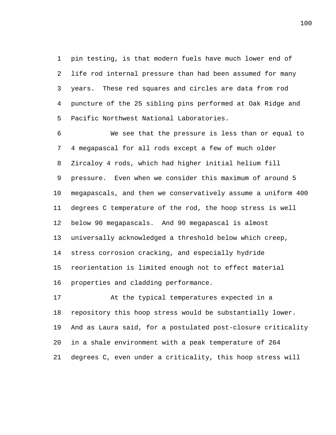pin testing, is that modern fuels have much lower end of life rod internal pressure than had been assumed for many years. These red squares and circles are data from rod puncture of the 25 sibling pins performed at Oak Ridge and Pacific Northwest National Laboratories.

 We see that the pressure is less than or equal to 4 megapascal for all rods except a few of much older Zircaloy 4 rods, which had higher initial helium fill pressure. Even when we consider this maximum of around 5 megapascals, and then we conservatively assume a uniform 400 degrees C temperature of the rod, the hoop stress is well below 90 megapascals. And 90 megapascal is almost universally acknowledged a threshold below which creep, stress corrosion cracking, and especially hydride reorientation is limited enough not to effect material properties and cladding performance.

 At the typical temperatures expected in a repository this hoop stress would be substantially lower. And as Laura said, for a postulated post-closure criticality in a shale environment with a peak temperature of 264 degrees C, even under a criticality, this hoop stress will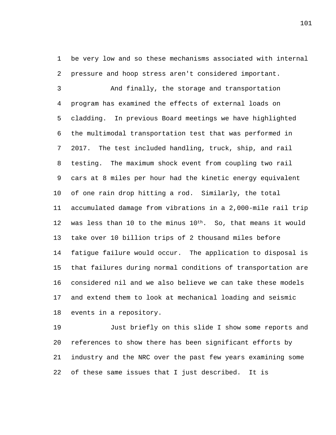be very low and so these mechanisms associated with internal pressure and hoop stress aren't considered important.

 And finally, the storage and transportation program has examined the effects of external loads on cladding. In previous Board meetings we have highlighted the multimodal transportation test that was performed in 2017. The test included handling, truck, ship, and rail testing. The maximum shock event from coupling two rail cars at 8 miles per hour had the kinetic energy equivalent of one rain drop hitting a rod. Similarly, the total accumulated damage from vibrations in a 2,000-mile rail trip 12 was less than 10 to the minus  $10^{th}$ . So, that means it would take over 10 billion trips of 2 thousand miles before fatigue failure would occur. The application to disposal is that failures during normal conditions of transportation are considered nil and we also believe we can take these models and extend them to look at mechanical loading and seismic events in a repository.

 Just briefly on this slide I show some reports and references to show there has been significant efforts by industry and the NRC over the past few years examining some of these same issues that I just described. It is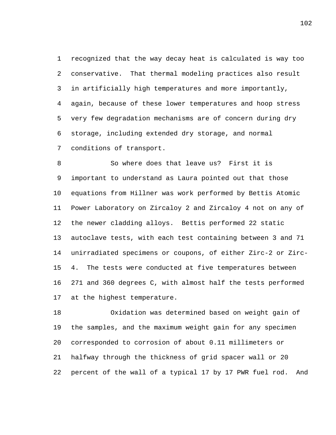recognized that the way decay heat is calculated is way too conservative. That thermal modeling practices also result in artificially high temperatures and more importantly, again, because of these lower temperatures and hoop stress very few degradation mechanisms are of concern during dry storage, including extended dry storage, and normal conditions of transport.

 So where does that leave us? First it is important to understand as Laura pointed out that those equations from Hillner was work performed by Bettis Atomic Power Laboratory on Zircaloy 2 and Zircaloy 4 not on any of the newer cladding alloys. Bettis performed 22 static autoclave tests, with each test containing between 3 and 71 unirradiated specimens or coupons, of either Zirc-2 or Zirc- 4. The tests were conducted at five temperatures between 271 and 360 degrees C, with almost half the tests performed at the highest temperature.

 Oxidation was determined based on weight gain of the samples, and the maximum weight gain for any specimen corresponded to corrosion of about 0.11 millimeters or halfway through the thickness of grid spacer wall or 20 percent of the wall of a typical 17 by 17 PWR fuel rod. And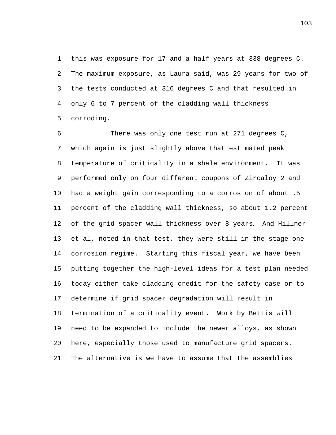this was exposure for 17 and a half years at 338 degrees C. The maximum exposure, as Laura said, was 29 years for two of the tests conducted at 316 degrees C and that resulted in only 6 to 7 percent of the cladding wall thickness corroding.

 There was only one test run at 271 degrees C, which again is just slightly above that estimated peak temperature of criticality in a shale environment. It was performed only on four different coupons of Zircaloy 2 and had a weight gain corresponding to a corrosion of about .5 percent of the cladding wall thickness, so about 1.2 percent of the grid spacer wall thickness over 8 years. And Hillner et al. noted in that test, they were still in the stage one corrosion regime. Starting this fiscal year, we have been putting together the high-level ideas for a test plan needed today either take cladding credit for the safety case or to determine if grid spacer degradation will result in termination of a criticality event. Work by Bettis will need to be expanded to include the newer alloys, as shown here, especially those used to manufacture grid spacers. The alternative is we have to assume that the assemblies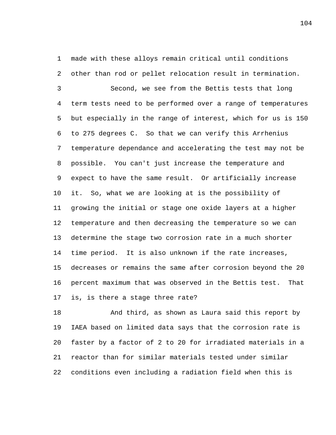made with these alloys remain critical until conditions other than rod or pellet relocation result in termination.

 Second, we see from the Bettis tests that long term tests need to be performed over a range of temperatures but especially in the range of interest, which for us is 150 to 275 degrees C. So that we can verify this Arrhenius temperature dependance and accelerating the test may not be possible. You can't just increase the temperature and expect to have the same result. Or artificially increase it. So, what we are looking at is the possibility of growing the initial or stage one oxide layers at a higher temperature and then decreasing the temperature so we can determine the stage two corrosion rate in a much shorter time period. It is also unknown if the rate increases, decreases or remains the same after corrosion beyond the 20 percent maximum that was observed in the Bettis test. That is, is there a stage three rate?

 And third, as shown as Laura said this report by IAEA based on limited data says that the corrosion rate is faster by a factor of 2 to 20 for irradiated materials in a reactor than for similar materials tested under similar conditions even including a radiation field when this is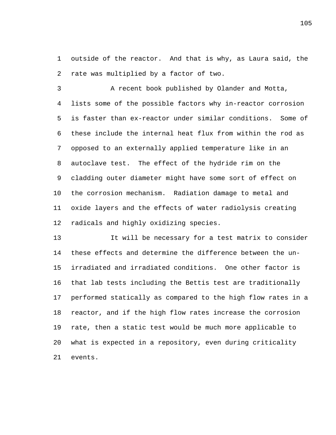outside of the reactor. And that is why, as Laura said, the rate was multiplied by a factor of two.

 A recent book published by Olander and Motta, lists some of the possible factors why in-reactor corrosion is faster than ex-reactor under similar conditions. Some of these include the internal heat flux from within the rod as opposed to an externally applied temperature like in an autoclave test. The effect of the hydride rim on the cladding outer diameter might have some sort of effect on the corrosion mechanism. Radiation damage to metal and oxide layers and the effects of water radiolysis creating radicals and highly oxidizing species.

 It will be necessary for a test matrix to consider these effects and determine the difference between the un- irradiated and irradiated conditions. One other factor is that lab tests including the Bettis test are traditionally performed statically as compared to the high flow rates in a reactor, and if the high flow rates increase the corrosion rate, then a static test would be much more applicable to what is expected in a repository, even during criticality events.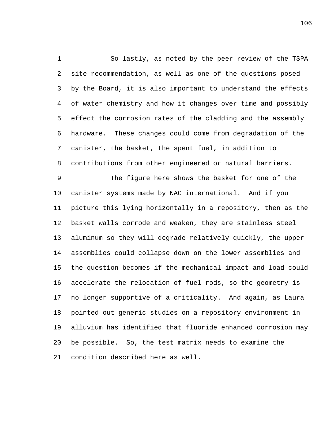So lastly, as noted by the peer review of the TSPA site recommendation, as well as one of the questions posed by the Board, it is also important to understand the effects of water chemistry and how it changes over time and possibly effect the corrosion rates of the cladding and the assembly hardware. These changes could come from degradation of the canister, the basket, the spent fuel, in addition to contributions from other engineered or natural barriers.

 The figure here shows the basket for one of the canister systems made by NAC international. And if you picture this lying horizontally in a repository, then as the basket walls corrode and weaken, they are stainless steel aluminum so they will degrade relatively quickly, the upper assemblies could collapse down on the lower assemblies and the question becomes if the mechanical impact and load could accelerate the relocation of fuel rods, so the geometry is no longer supportive of a criticality. And again, as Laura pointed out generic studies on a repository environment in alluvium has identified that fluoride enhanced corrosion may be possible. So, the test matrix needs to examine the condition described here as well.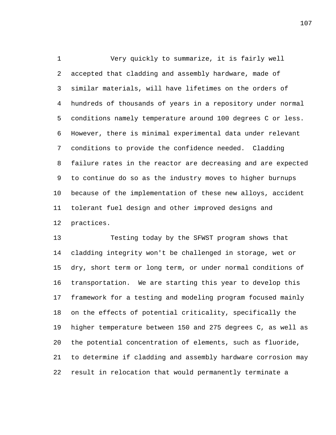Very quickly to summarize, it is fairly well accepted that cladding and assembly hardware, made of similar materials, will have lifetimes on the orders of hundreds of thousands of years in a repository under normal conditions namely temperature around 100 degrees C or less. However, there is minimal experimental data under relevant conditions to provide the confidence needed. Cladding failure rates in the reactor are decreasing and are expected to continue do so as the industry moves to higher burnups because of the implementation of these new alloys, accident tolerant fuel design and other improved designs and practices.

 Testing today by the SFWST program shows that cladding integrity won't be challenged in storage, wet or dry, short term or long term, or under normal conditions of transportation. We are starting this year to develop this framework for a testing and modeling program focused mainly on the effects of potential criticality, specifically the higher temperature between 150 and 275 degrees C, as well as the potential concentration of elements, such as fluoride, to determine if cladding and assembly hardware corrosion may result in relocation that would permanently terminate a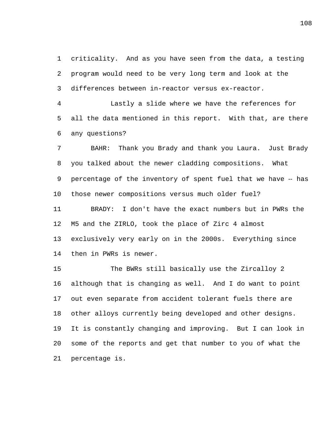criticality. And as you have seen from the data, a testing program would need to be very long term and look at the differences between in-reactor versus ex-reactor.

 Lastly a slide where we have the references for all the data mentioned in this report. With that, are there any questions?

 BAHR: Thank you Brady and thank you Laura. Just Brady you talked about the newer cladding compositions. What 9 percentage of the inventory of spent fuel that we have -- has those newer compositions versus much older fuel?

 BRADY: I don't have the exact numbers but in PWRs the M5 and the ZIRLO, took the place of Zirc 4 almost exclusively very early on in the 2000s. Everything since then in PWRs is newer.

 The BWRs still basically use the Zircalloy 2 although that is changing as well. And I do want to point out even separate from accident tolerant fuels there are other alloys currently being developed and other designs. It is constantly changing and improving. But I can look in some of the reports and get that number to you of what the percentage is.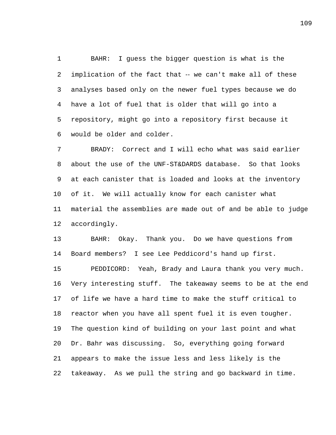BAHR: I guess the bigger question is what is the implication of the fact that ‑‑ we can't make all of these analyses based only on the newer fuel types because we do have a lot of fuel that is older that will go into a repository, might go into a repository first because it would be older and colder.

 BRADY: Correct and I will echo what was said earlier about the use of the UNF-ST&DARDS database. So that looks at each canister that is loaded and looks at the inventory of it. We will actually know for each canister what material the assemblies are made out of and be able to judge accordingly.

 BAHR: Okay. Thank you. Do we have questions from Board members? I see Lee Peddicord's hand up first.

 PEDDICORD: Yeah, Brady and Laura thank you very much. Very interesting stuff. The takeaway seems to be at the end of life we have a hard time to make the stuff critical to reactor when you have all spent fuel it is even tougher. The question kind of building on your last point and what Dr. Bahr was discussing. So, everything going forward appears to make the issue less and less likely is the takeaway. As we pull the string and go backward in time.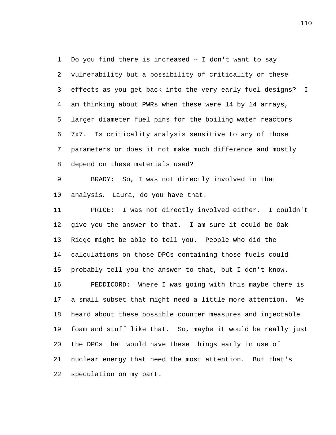1 Do you find there is increased -- I don't want to say vulnerability but a possibility of criticality or these effects as you get back into the very early fuel designs? I am thinking about PWRs when these were 14 by 14 arrays, larger diameter fuel pins for the boiling water reactors 7x7. Is criticality analysis sensitive to any of those parameters or does it not make much difference and mostly depend on these materials used?

 BRADY: So, I was not directly involved in that analysis. Laura, do you have that.

 PRICE: I was not directly involved either. I couldn't give you the answer to that. I am sure it could be Oak Ridge might be able to tell you. People who did the calculations on those DPCs containing those fuels could probably tell you the answer to that, but I don't know. PEDDICORD: Where I was going with this maybe there is a small subset that might need a little more attention. We heard about these possible counter measures and injectable foam and stuff like that. So, maybe it would be really just the DPCs that would have these things early in use of nuclear energy that need the most attention. But that's speculation on my part.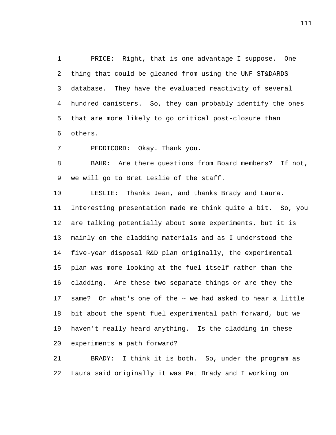PRICE: Right, that is one advantage I suppose. One thing that could be gleaned from using the UNF-ST&DARDS database. They have the evaluated reactivity of several hundred canisters. So, they can probably identify the ones that are more likely to go critical post-closure than others.

PEDDICORD: Okay. Thank you.

 BAHR: Are there questions from Board members? If not, we will go to Bret Leslie of the staff.

 LESLIE: Thanks Jean, and thanks Brady and Laura. Interesting presentation made me think quite a bit. So, you are talking potentially about some experiments, but it is mainly on the cladding materials and as I understood the five-year disposal R&D plan originally, the experimental plan was more looking at the fuel itself rather than the cladding. Are these two separate things or are they the 17 same? Or what's one of the -- we had asked to hear a little bit about the spent fuel experimental path forward, but we haven't really heard anything. Is the cladding in these experiments a path forward?

 BRADY: I think it is both. So, under the program as Laura said originally it was Pat Brady and I working on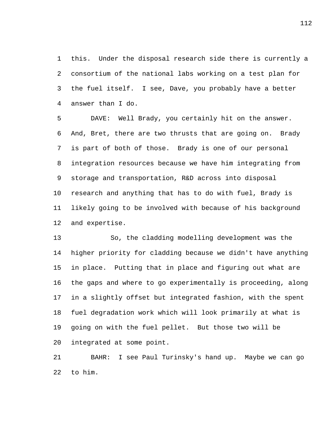this. Under the disposal research side there is currently a consortium of the national labs working on a test plan for the fuel itself. I see, Dave, you probably have a better answer than I do.

 DAVE: Well Brady, you certainly hit on the answer. And, Bret, there are two thrusts that are going on. Brady is part of both of those. Brady is one of our personal integration resources because we have him integrating from storage and transportation, R&D across into disposal research and anything that has to do with fuel, Brady is likely going to be involved with because of his background and expertise.

 So, the cladding modelling development was the higher priority for cladding because we didn't have anything in place. Putting that in place and figuring out what are the gaps and where to go experimentally is proceeding, along in a slightly offset but integrated fashion, with the spent fuel degradation work which will look primarily at what is going on with the fuel pellet. But those two will be integrated at some point.

 BAHR: I see Paul Turinsky's hand up. Maybe we can go to him.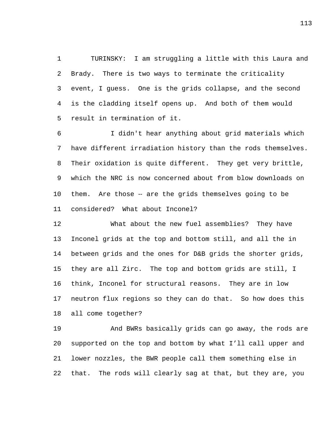TURINSKY: I am struggling a little with this Laura and Brady. There is two ways to terminate the criticality event, I guess. One is the grids collapse, and the second is the cladding itself opens up. And both of them would result in termination of it.

 I didn't hear anything about grid materials which have different irradiation history than the rods themselves. Their oxidation is quite different. They get very brittle, which the NRC is now concerned about from blow downloads on them. Are those ‑‑ are the grids themselves going to be considered? What about Inconel?

 What about the new fuel assemblies? They have Inconel grids at the top and bottom still, and all the in between grids and the ones for D&B grids the shorter grids, they are all Zirc. The top and bottom grids are still, I think, Inconel for structural reasons. They are in low neutron flux regions so they can do that. So how does this all come together?

 And BWRs basically grids can go away, the rods are supported on the top and bottom by what I'll call upper and lower nozzles, the BWR people call them something else in that. The rods will clearly sag at that, but they are, you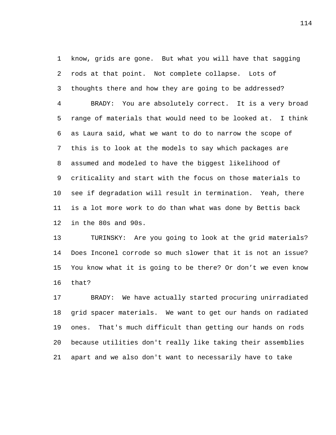know, grids are gone. But what you will have that sagging rods at that point. Not complete collapse. Lots of thoughts there and how they are going to be addressed? BRADY: You are absolutely correct. It is a very broad range of materials that would need to be looked at. I think as Laura said, what we want to do to narrow the scope of this is to look at the models to say which packages are assumed and modeled to have the biggest likelihood of criticality and start with the focus on those materials to see if degradation will result in termination. Yeah, there is a lot more work to do than what was done by Bettis back in the 80s and 90s.

 TURINSKY: Are you going to look at the grid materials? Does Inconel corrode so much slower that it is not an issue? You know what it is going to be there? Or don't we even know that?

 BRADY: We have actually started procuring unirradiated grid spacer materials. We want to get our hands on radiated ones. That's much difficult than getting our hands on rods because utilities don't really like taking their assemblies apart and we also don't want to necessarily have to take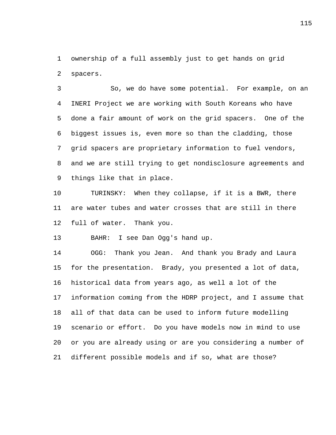ownership of a full assembly just to get hands on grid spacers.

 So, we do have some potential. For example, on an INERI Project we are working with South Koreans who have done a fair amount of work on the grid spacers. One of the biggest issues is, even more so than the cladding, those grid spacers are proprietary information to fuel vendors, and we are still trying to get nondisclosure agreements and things like that in place.

 TURINSKY: When they collapse, if it is a BWR, there are water tubes and water crosses that are still in there full of water. Thank you.

BAHR: I see Dan Ogg's hand up.

 OGG: Thank you Jean. And thank you Brady and Laura for the presentation. Brady, you presented a lot of data, historical data from years ago, as well a lot of the information coming from the HDRP project, and I assume that all of that data can be used to inform future modelling scenario or effort. Do you have models now in mind to use or you are already using or are you considering a number of different possible models and if so, what are those?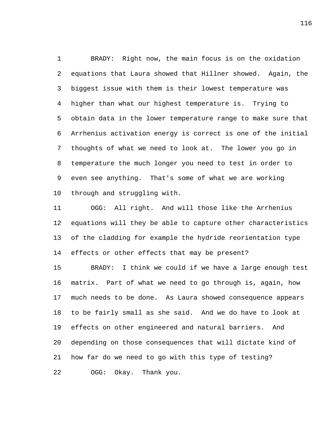BRADY: Right now, the main focus is on the oxidation equations that Laura showed that Hillner showed. Again, the biggest issue with them is their lowest temperature was higher than what our highest temperature is. Trying to obtain data in the lower temperature range to make sure that Arrhenius activation energy is correct is one of the initial thoughts of what we need to look at. The lower you go in temperature the much longer you need to test in order to even see anything. That's some of what we are working through and struggling with.

 OGG: All right. And will those like the Arrhenius equations will they be able to capture other characteristics of the cladding for example the hydride reorientation type effects or other effects that may be present?

 BRADY: I think we could if we have a large enough test matrix. Part of what we need to go through is, again, how much needs to be done. As Laura showed consequence appears to be fairly small as she said. And we do have to look at effects on other engineered and natural barriers. And depending on those consequences that will dictate kind of how far do we need to go with this type of testing? OGG: Okay. Thank you.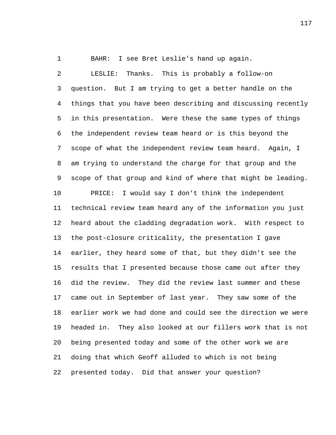BAHR: I see Bret Leslie's hand up again.

 LESLIE: Thanks. This is probably a follow-on question. But I am trying to get a better handle on the things that you have been describing and discussing recently in this presentation. Were these the same types of things the independent review team heard or is this beyond the scope of what the independent review team heard. Again, I am trying to understand the charge for that group and the scope of that group and kind of where that might be leading. PRICE: I would say I don't think the independent technical review team heard any of the information you just heard about the cladding degradation work. With respect to the post-closure criticality, the presentation I gave earlier, they heard some of that, but they didn't see the results that I presented because those came out after they did the review. They did the review last summer and these came out in September of last year. They saw some of the earlier work we had done and could see the direction we were headed in. They also looked at our fillers work that is not being presented today and some of the other work we are doing that which Geoff alluded to which is not being presented today. Did that answer your question?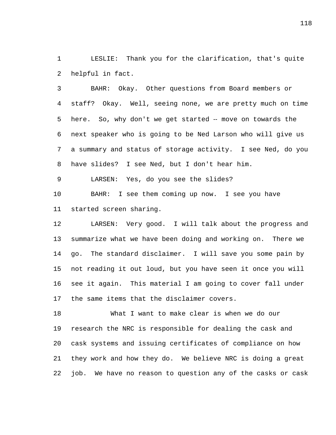LESLIE: Thank you for the clarification, that's quite helpful in fact.

 BAHR: Okay. Other questions from Board members or staff? Okay. Well, seeing none, we are pretty much on time 5 here. So, why don't we get started -- move on towards the next speaker who is going to be Ned Larson who will give us a summary and status of storage activity. I see Ned, do you have slides? I see Ned, but I don't hear him.

LARSEN: Yes, do you see the slides?

 BAHR: I see them coming up now. I see you have started screen sharing.

 LARSEN: Very good. I will talk about the progress and summarize what we have been doing and working on. There we go. The standard disclaimer. I will save you some pain by not reading it out loud, but you have seen it once you will see it again. This material I am going to cover fall under the same items that the disclaimer covers.

 What I want to make clear is when we do our research the NRC is responsible for dealing the cask and cask systems and issuing certificates of compliance on how they work and how they do. We believe NRC is doing a great job. We have no reason to question any of the casks or cask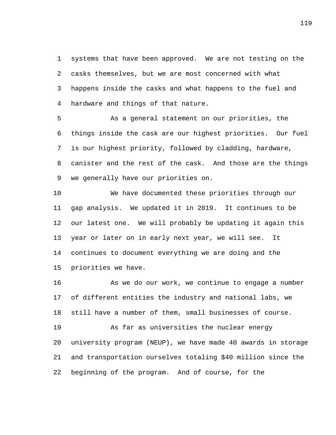systems that have been approved. We are not testing on the casks themselves, but we are most concerned with what happens inside the casks and what happens to the fuel and hardware and things of that nature.

 As a general statement on our priorities, the things inside the cask are our highest priorities. Our fuel is our highest priority, followed by cladding, hardware, canister and the rest of the cask. And those are the things we generally have our priorities on.

 We have documented these priorities through our gap analysis. We updated it in 2019. It continues to be our latest one. We will probably be updating it again this year or later on in early next year, we will see. It continues to document everything we are doing and the priorities we have.

 As we do our work, we continue to engage a number of different entities the industry and national labs, we still have a number of them, small businesses of course. As far as universities the nuclear energy university program (NEUP), we have made 40 awards in storage and transportation ourselves totaling \$40 million since the

beginning of the program. And of course, for the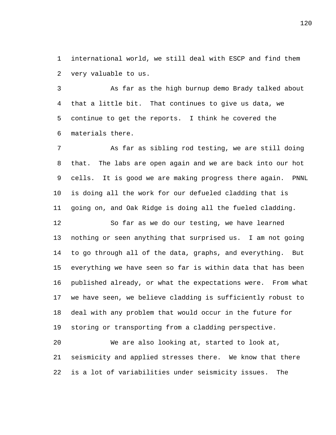international world, we still deal with ESCP and find them very valuable to us.

 As far as the high burnup demo Brady talked about that a little bit. That continues to give us data, we continue to get the reports. I think he covered the materials there.

 As far as sibling rod testing, we are still doing that. The labs are open again and we are back into our hot cells. It is good we are making progress there again. PNNL is doing all the work for our defueled cladding that is going on, and Oak Ridge is doing all the fueled cladding.

 So far as we do our testing, we have learned nothing or seen anything that surprised us. I am not going to go through all of the data, graphs, and everything. But everything we have seen so far is within data that has been published already, or what the expectations were. From what we have seen, we believe cladding is sufficiently robust to deal with any problem that would occur in the future for storing or transporting from a cladding perspective.

 We are also looking at, started to look at, seismicity and applied stresses there. We know that there is a lot of variabilities under seismicity issues. The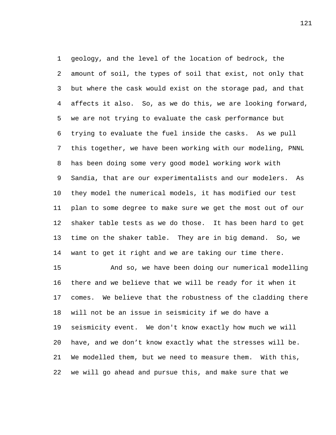geology, and the level of the location of bedrock, the amount of soil, the types of soil that exist, not only that but where the cask would exist on the storage pad, and that affects it also. So, as we do this, we are looking forward, we are not trying to evaluate the cask performance but trying to evaluate the fuel inside the casks. As we pull this together, we have been working with our modeling, PNNL has been doing some very good model working work with Sandia, that are our experimentalists and our modelers. As they model the numerical models, it has modified our test plan to some degree to make sure we get the most out of our shaker table tests as we do those. It has been hard to get time on the shaker table. They are in big demand. So, we want to get it right and we are taking our time there.

 And so, we have been doing our numerical modelling there and we believe that we will be ready for it when it comes. We believe that the robustness of the cladding there will not be an issue in seismicity if we do have a seismicity event. We don't know exactly how much we will have, and we don't know exactly what the stresses will be. We modelled them, but we need to measure them. With this, we will go ahead and pursue this, and make sure that we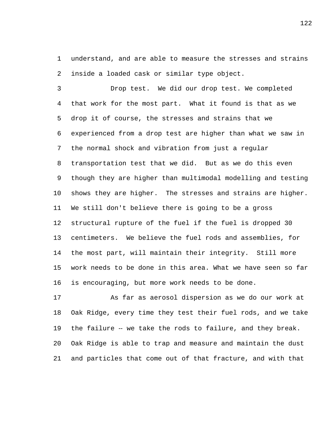understand, and are able to measure the stresses and strains inside a loaded cask or similar type object.

 Drop test. We did our drop test. We completed that work for the most part. What it found is that as we drop it of course, the stresses and strains that we experienced from a drop test are higher than what we saw in the normal shock and vibration from just a regular transportation test that we did. But as we do this even though they are higher than multimodal modelling and testing shows they are higher. The stresses and strains are higher. We still don't believe there is going to be a gross structural rupture of the fuel if the fuel is dropped 30 centimeters. We believe the fuel rods and assemblies, for the most part, will maintain their integrity. Still more work needs to be done in this area. What we have seen so far is encouraging, but more work needs to be done.

 As far as aerosol dispersion as we do our work at Oak Ridge, every time they test their fuel rods, and we take 19 the failure -- we take the rods to failure, and they break. Oak Ridge is able to trap and measure and maintain the dust and particles that come out of that fracture, and with that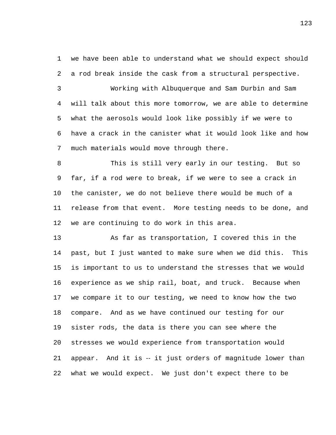we have been able to understand what we should expect should a rod break inside the cask from a structural perspective.

 Working with Albuquerque and Sam Durbin and Sam will talk about this more tomorrow, we are able to determine what the aerosols would look like possibly if we were to have a crack in the canister what it would look like and how much materials would move through there.

 This is still very early in our testing. But so far, if a rod were to break, if we were to see a crack in the canister, we do not believe there would be much of a release from that event. More testing needs to be done, and we are continuing to do work in this area.

 As far as transportation, I covered this in the past, but I just wanted to make sure when we did this. This is important to us to understand the stresses that we would experience as we ship rail, boat, and truck. Because when we compare it to our testing, we need to know how the two compare. And as we have continued our testing for our sister rods, the data is there you can see where the stresses we would experience from transportation would 21 appear. And it is -- it just orders of magnitude lower than what we would expect. We just don't expect there to be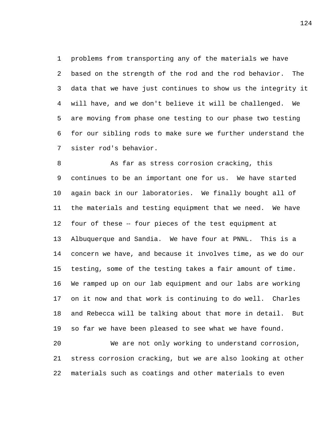problems from transporting any of the materials we have based on the strength of the rod and the rod behavior. The data that we have just continues to show us the integrity it will have, and we don't believe it will be challenged. We are moving from phase one testing to our phase two testing for our sibling rods to make sure we further understand the sister rod's behavior.

8 As far as stress corrosion cracking, this continues to be an important one for us. We have started again back in our laboratories. We finally bought all of the materials and testing equipment that we need. We have 12 four of these -- four pieces of the test equipment at Albuquerque and Sandia. We have four at PNNL. This is a concern we have, and because it involves time, as we do our testing, some of the testing takes a fair amount of time. We ramped up on our lab equipment and our labs are working on it now and that work is continuing to do well. Charles and Rebecca will be talking about that more in detail. But so far we have been pleased to see what we have found.

 We are not only working to understand corrosion, stress corrosion cracking, but we are also looking at other materials such as coatings and other materials to even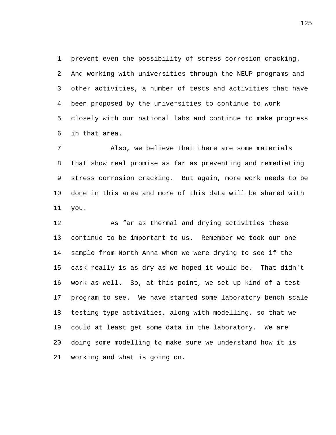prevent even the possibility of stress corrosion cracking. And working with universities through the NEUP programs and other activities, a number of tests and activities that have been proposed by the universities to continue to work closely with our national labs and continue to make progress in that area.

 Also, we believe that there are some materials that show real promise as far as preventing and remediating stress corrosion cracking. But again, more work needs to be done in this area and more of this data will be shared with you.

 As far as thermal and drying activities these continue to be important to us. Remember we took our one sample from North Anna when we were drying to see if the cask really is as dry as we hoped it would be. That didn't work as well. So, at this point, we set up kind of a test program to see. We have started some laboratory bench scale testing type activities, along with modelling, so that we could at least get some data in the laboratory. We are doing some modelling to make sure we understand how it is working and what is going on.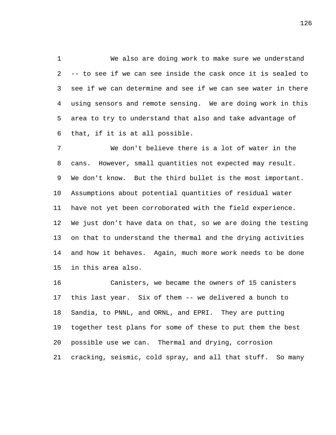We also are doing work to make sure we understand -- to see if we can see inside the cask once it is sealed to see if we can determine and see if we can see water in there using sensors and remote sensing. We are doing work in this area to try to understand that also and take advantage of that, if it is at all possible.

 We don't believe there is a lot of water in the cans. However, small quantities not expected may result. We don't know. But the third bullet is the most important. Assumptions about potential quantities of residual water have not yet been corroborated with the field experience. We just don't have data on that, so we are doing the testing on that to understand the thermal and the drying activities and how it behaves. Again, much more work needs to be done in this area also.

 Canisters, we became the owners of 15 canisters this last year. Six of them -- we delivered a bunch to Sandia, to PNNL, and ORNL, and EPRI. They are putting together test plans for some of these to put them the best possible use we can. Thermal and drying, corrosion cracking, seismic, cold spray, and all that stuff. So many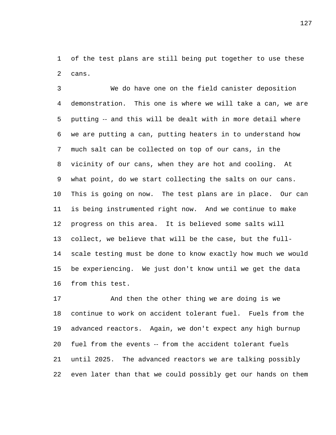of the test plans are still being put together to use these cans.

 We do have one on the field canister deposition demonstration. This one is where we will take a can, we are 5 putting -- and this will be dealt with in more detail where we are putting a can, putting heaters in to understand how much salt can be collected on top of our cans, in the vicinity of our cans, when they are hot and cooling. At what point, do we start collecting the salts on our cans. This is going on now. The test plans are in place. Our can is being instrumented right now. And we continue to make progress on this area. It is believed some salts will collect, we believe that will be the case, but the full- scale testing must be done to know exactly how much we would be experiencing. We just don't know until we get the data from this test.

 And then the other thing we are doing is we continue to work on accident tolerant fuel. Fuels from the advanced reactors. Again, we don't expect any high burnup fuel from the events ‑‑ from the accident tolerant fuels until 2025. The advanced reactors we are talking possibly even later than that we could possibly get our hands on them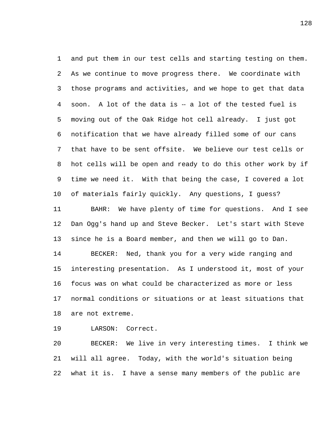and put them in our test cells and starting testing on them. As we continue to move progress there. We coordinate with those programs and activities, and we hope to get that data soon. A lot of the data is ‑‑ a lot of the tested fuel is moving out of the Oak Ridge hot cell already. I just got notification that we have already filled some of our cans that have to be sent offsite. We believe our test cells or hot cells will be open and ready to do this other work by if time we need it. With that being the case, I covered a lot of materials fairly quickly. Any questions, I guess? BAHR: We have plenty of time for questions. And I see Dan Ogg's hand up and Steve Becker. Let's start with Steve since he is a Board member, and then we will go to Dan. BECKER: Ned, thank you for a very wide ranging and interesting presentation. As I understood it, most of your focus was on what could be characterized as more or less normal conditions or situations or at least situations that are not extreme.

LARSON: Correct.

 BECKER: We live in very interesting times. I think we will all agree. Today, with the world's situation being what it is. I have a sense many members of the public are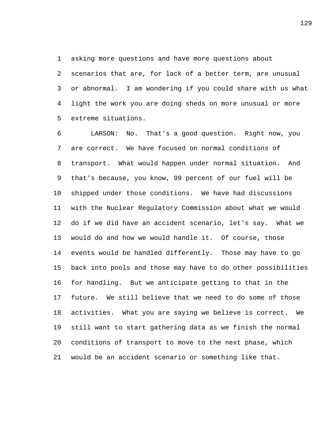asking more questions and have more questions about

 scenarios that are, for lack of a better term, are unusual or abnormal. I am wondering if you could share with us what light the work you are doing sheds on more unusual or more extreme situations.

 LARSON: No. That's a good question. Right now, you are correct. We have focused on normal conditions of transport. What would happen under normal situation. And that's because, you know, 99 percent of our fuel will be shipped under those conditions. We have had discussions with the Nuclear Regulatory Commission about what we would do if we did have an accident scenario, let's say. What we would do and how we would handle it. Of course, those events would be handled differently. Those may have to go back into pools and those may have to do other possibilities for handling. But we anticipate getting to that in the future. We still believe that we need to do some of those activities. What you are saying we believe is correct. We still want to start gathering data as we finish the normal conditions of transport to move to the next phase, which would be an accident scenario or something like that.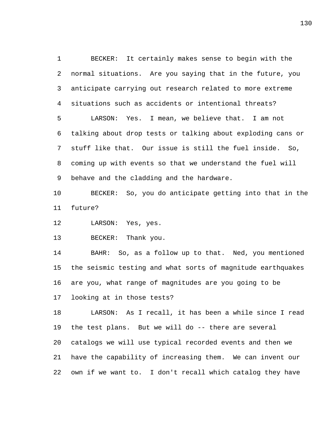BECKER: It certainly makes sense to begin with the normal situations. Are you saying that in the future, you anticipate carrying out research related to more extreme situations such as accidents or intentional threats? LARSON: Yes. I mean, we believe that. I am not talking about drop tests or talking about exploding cans or stuff like that. Our issue is still the fuel inside. So, coming up with events so that we understand the fuel will behave and the cladding and the hardware.

 BECKER: So, you do anticipate getting into that in the future?

12 LARSON: Yes, yes.

BECKER: Thank you.

 BAHR: So, as a follow up to that. Ned, you mentioned the seismic testing and what sorts of magnitude earthquakes are you, what range of magnitudes are you going to be looking at in those tests?

 LARSON: As I recall, it has been a while since I read the test plans. But we will do -- there are several catalogs we will use typical recorded events and then we have the capability of increasing them. We can invent our own if we want to. I don't recall which catalog they have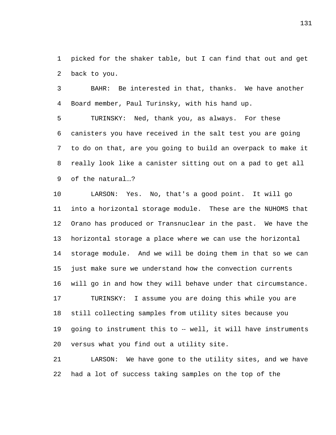picked for the shaker table, but I can find that out and get back to you.

 BAHR: Be interested in that, thanks. We have another Board member, Paul Turinsky, with his hand up.

 TURINSKY: Ned, thank you, as always. For these canisters you have received in the salt test you are going to do on that, are you going to build an overpack to make it really look like a canister sitting out on a pad to get all of the natural...?

 LARSON: Yes. No, that's a good point. It will go into a horizontal storage module. These are the NUHOMS that Orano has produced or Transnuclear in the past. We have the horizontal storage a place where we can use the horizontal storage module. And we will be doing them in that so we can just make sure we understand how the convection currents will go in and how they will behave under that circumstance. TURINSKY: I assume you are doing this while you are still collecting samples from utility sites because you 19 going to instrument this to -- well, it will have instruments versus what you find out a utility site.

 LARSON: We have gone to the utility sites, and we have had a lot of success taking samples on the top of the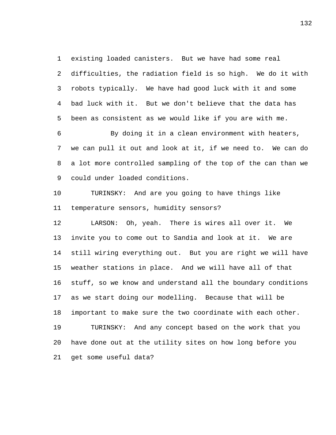existing loaded canisters. But we have had some real

 difficulties, the radiation field is so high. We do it with robots typically. We have had good luck with it and some bad luck with it. But we don't believe that the data has been as consistent as we would like if you are with me.

 By doing it in a clean environment with heaters, we can pull it out and look at it, if we need to. We can do a lot more controlled sampling of the top of the can than we could under loaded conditions.

 TURINSKY: And are you going to have things like temperature sensors, humidity sensors?

 LARSON: Oh, yeah. There is wires all over it. We invite you to come out to Sandia and look at it. We are still wiring everything out. But you are right we will have weather stations in place. And we will have all of that stuff, so we know and understand all the boundary conditions as we start doing our modelling. Because that will be important to make sure the two coordinate with each other. TURINSKY: And any concept based on the work that you have done out at the utility sites on how long before you get some useful data?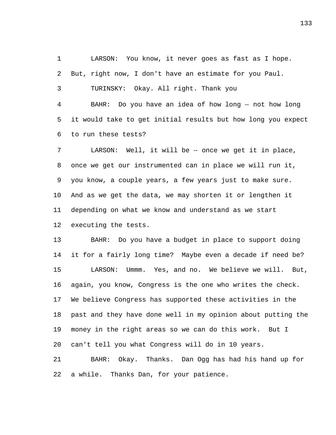LARSON: You know, it never goes as fast as I hope. But, right now, I don't have an estimate for you Paul. TURINSKY: Okay. All right. Thank you

 BAHR: Do you have an idea of how long ‑‑ not how long it would take to get initial results but how long you expect to run these tests?

 LARSON: Well, it will be ‑‑ once we get it in place, once we get our instrumented can in place we will run it, you know, a couple years, a few years just to make sure. And as we get the data, we may shorten it or lengthen it depending on what we know and understand as we start executing the tests.

 BAHR: Do you have a budget in place to support doing it for a fairly long time? Maybe even a decade if need be? LARSON: Ummm. Yes, and no. We believe we will. But, again, you know, Congress is the one who writes the check. We believe Congress has supported these activities in the past and they have done well in my opinion about putting the money in the right areas so we can do this work. But I can't tell you what Congress will do in 10 years.

 BAHR: Okay. Thanks. Dan Ogg has had his hand up for a while. Thanks Dan, for your patience.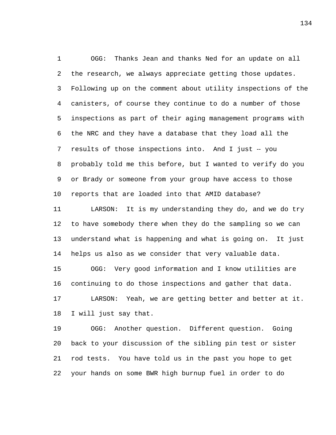OGG: Thanks Jean and thanks Ned for an update on all the research, we always appreciate getting those updates. Following up on the comment about utility inspections of the canisters, of course they continue to do a number of those inspections as part of their aging management programs with the NRC and they have a database that they load all the 7 results of those inspections into. And I just -- you probably told me this before, but I wanted to verify do you or Brady or someone from your group have access to those reports that are loaded into that AMID database?

 LARSON: It is my understanding they do, and we do try to have somebody there when they do the sampling so we can understand what is happening and what is going on. It just helps us also as we consider that very valuable data.

 OGG: Very good information and I know utilities are continuing to do those inspections and gather that data. LARSON: Yeah, we are getting better and better at it. I will just say that.

 OGG: Another question. Different question. Going back to your discussion of the sibling pin test or sister rod tests. You have told us in the past you hope to get your hands on some BWR high burnup fuel in order to do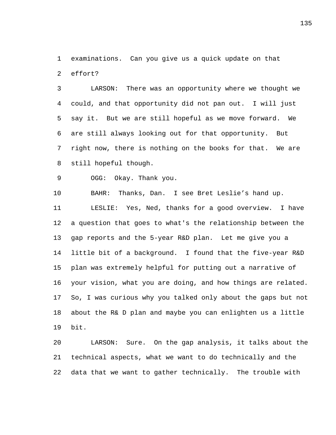examinations. Can you give us a quick update on that

effort?

 LARSON: There was an opportunity where we thought we could, and that opportunity did not pan out. I will just say it. But we are still hopeful as we move forward. We are still always looking out for that opportunity. But right now, there is nothing on the books for that. We are still hopeful though.

OGG: Okay. Thank you.

 BAHR: Thanks, Dan. I see Bret Leslie's hand up. LESLIE: Yes, Ned, thanks for a good overview. I have a question that goes to what's the relationship between the gap reports and the 5-year R&D plan. Let me give you a little bit of a background. I found that the five-year R&D plan was extremely helpful for putting out a narrative of your vision, what you are doing, and how things are related. So, I was curious why you talked only about the gaps but not about the R& D plan and maybe you can enlighten us a little bit.

 LARSON: Sure. On the gap analysis, it talks about the technical aspects, what we want to do technically and the data that we want to gather technically. The trouble with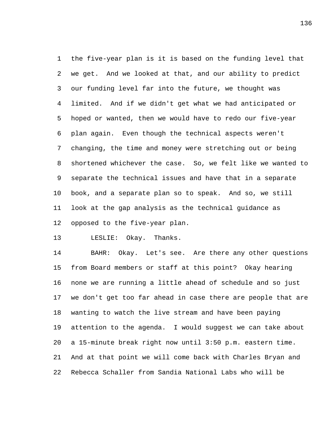the five-year plan is it is based on the funding level that we get. And we looked at that, and our ability to predict our funding level far into the future, we thought was limited. And if we didn't get what we had anticipated or hoped or wanted, then we would have to redo our five-year plan again. Even though the technical aspects weren't changing, the time and money were stretching out or being shortened whichever the case. So, we felt like we wanted to separate the technical issues and have that in a separate book, and a separate plan so to speak. And so, we still look at the gap analysis as the technical guidance as opposed to the five-year plan.

LESLIE: Okay. Thanks.

 BAHR: Okay. Let's see. Are there any other questions from Board members or staff at this point? Okay hearing none we are running a little ahead of schedule and so just we don't get too far ahead in case there are people that are wanting to watch the live stream and have been paying attention to the agenda. I would suggest we can take about a 15-minute break right now until 3:50 p.m. eastern time. And at that point we will come back with Charles Bryan and Rebecca Schaller from Sandia National Labs who will be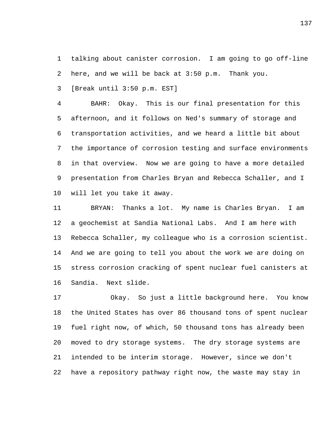talking about canister corrosion. I am going to go off-line here, and we will be back at 3:50 p.m. Thank you.

[Break until 3:50 p.m. EST]

 BAHR: Okay. This is our final presentation for this afternoon, and it follows on Ned's summary of storage and transportation activities, and we heard a little bit about the importance of corrosion testing and surface environments in that overview. Now we are going to have a more detailed presentation from Charles Bryan and Rebecca Schaller, and I will let you take it away.

 BRYAN: Thanks a lot. My name is Charles Bryan. I am a geochemist at Sandia National Labs. And I am here with Rebecca Schaller, my colleague who is a corrosion scientist. And we are going to tell you about the work we are doing on stress corrosion cracking of spent nuclear fuel canisters at Sandia. Next slide.

 Okay. So just a little background here. You know the United States has over 86 thousand tons of spent nuclear fuel right now, of which, 50 thousand tons has already been moved to dry storage systems. The dry storage systems are intended to be interim storage. However, since we don't have a repository pathway right now, the waste may stay in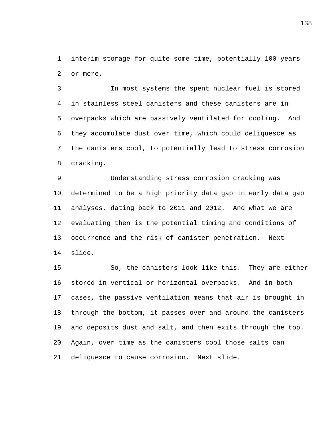interim storage for quite some time, potentially 100 years or more.

 In most systems the spent nuclear fuel is stored in stainless steel canisters and these canisters are in overpacks which are passively ventilated for cooling. And they accumulate dust over time, which could deliquesce as the canisters cool, to potentially lead to stress corrosion cracking.

 Understanding stress corrosion cracking was determined to be a high priority data gap in early data gap analyses, dating back to 2011 and 2012. And what we are evaluating then is the potential timing and conditions of occurrence and the risk of canister penetration. Next slide.

 So, the canisters look like this. They are either stored in vertical or horizontal overpacks. And in both cases, the passive ventilation means that air is brought in through the bottom, it passes over and around the canisters and deposits dust and salt, and then exits through the top. Again, over time as the canisters cool those salts can deliquesce to cause corrosion. Next slide.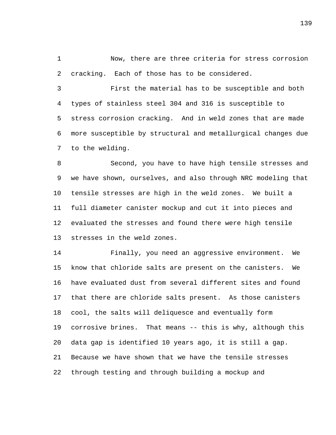Now, there are three criteria for stress corrosion cracking. Each of those has to be considered.

 First the material has to be susceptible and both types of stainless steel 304 and 316 is susceptible to stress corrosion cracking. And in weld zones that are made more susceptible by structural and metallurgical changes due to the welding.

 Second, you have to have high tensile stresses and we have shown, ourselves, and also through NRC modeling that tensile stresses are high in the weld zones. We built a full diameter canister mockup and cut it into pieces and evaluated the stresses and found there were high tensile stresses in the weld zones.

 Finally, you need an aggressive environment. We know that chloride salts are present on the canisters. We have evaluated dust from several different sites and found that there are chloride salts present. As those canisters cool, the salts will deliquesce and eventually form corrosive brines. That means -- this is why, although this data gap is identified 10 years ago, it is still a gap. Because we have shown that we have the tensile stresses through testing and through building a mockup and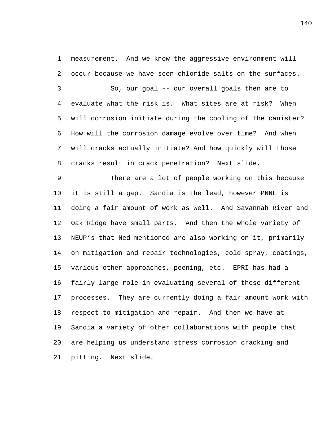measurement. And we know the aggressive environment will occur because we have seen chloride salts on the surfaces. So, our goal -- our overall goals then are to evaluate what the risk is. What sites are at risk? When will corrosion initiate during the cooling of the canister? How will the corrosion damage evolve over time? And when will cracks actually initiate? And how quickly will those cracks result in crack penetration? Next slide.

 There are a lot of people working on this because it is still a gap. Sandia is the lead, however PNNL is doing a fair amount of work as well. And Savannah River and Oak Ridge have small parts. And then the whole variety of NEUP's that Ned mentioned are also working on it, primarily on mitigation and repair technologies, cold spray, coatings, various other approaches, peening, etc. EPRI has had a fairly large role in evaluating several of these different processes. They are currently doing a fair amount work with respect to mitigation and repair. And then we have at Sandia a variety of other collaborations with people that are helping us understand stress corrosion cracking and pitting. Next slide.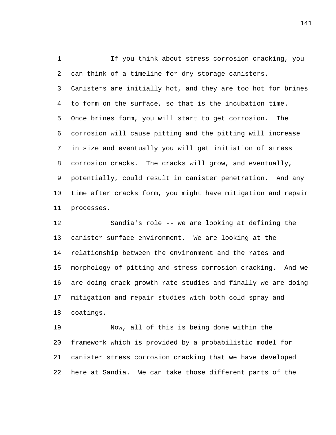If you think about stress corrosion cracking, you can think of a timeline for dry storage canisters. Canisters are initially hot, and they are too hot for brines to form on the surface, so that is the incubation time. Once brines form, you will start to get corrosion. The corrosion will cause pitting and the pitting will increase in size and eventually you will get initiation of stress corrosion cracks. The cracks will grow, and eventually, potentially, could result in canister penetration. And any time after cracks form, you might have mitigation and repair processes.

 Sandia's role -- we are looking at defining the canister surface environment. We are looking at the relationship between the environment and the rates and morphology of pitting and stress corrosion cracking. And we are doing crack growth rate studies and finally we are doing mitigation and repair studies with both cold spray and coatings.

 Now, all of this is being done within the framework which is provided by a probabilistic model for canister stress corrosion cracking that we have developed here at Sandia. We can take those different parts of the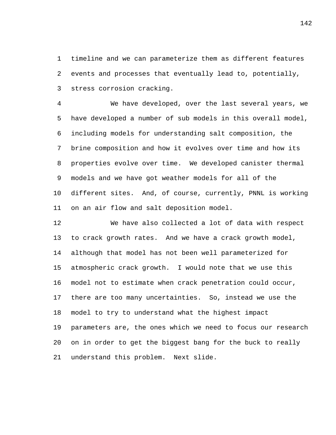timeline and we can parameterize them as different features events and processes that eventually lead to, potentially, stress corrosion cracking.

 We have developed, over the last several years, we have developed a number of sub models in this overall model, including models for understanding salt composition, the brine composition and how it evolves over time and how its properties evolve over time. We developed canister thermal models and we have got weather models for all of the different sites. And, of course, currently, PNNL is working on an air flow and salt deposition model.

 We have also collected a lot of data with respect to crack growth rates. And we have a crack growth model, although that model has not been well parameterized for atmospheric crack growth. I would note that we use this model not to estimate when crack penetration could occur, there are too many uncertainties. So, instead we use the model to try to understand what the highest impact parameters are, the ones which we need to focus our research on in order to get the biggest bang for the buck to really understand this problem. Next slide.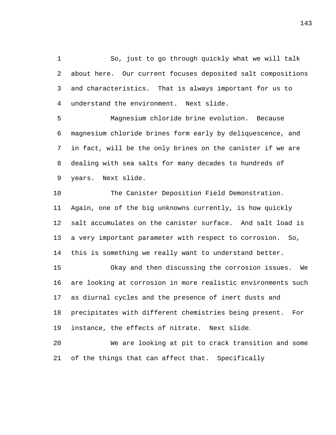So, just to go through quickly what we will talk about here. Our current focuses deposited salt compositions and characteristics. That is always important for us to understand the environment. Next slide.

 Magnesium chloride brine evolution. Because magnesium chloride brines form early by deliquescence, and in fact, will be the only brines on the canister if we are dealing with sea salts for many decades to hundreds of years. Next slide.

 The Canister Deposition Field Demonstration. Again, one of the big unknowns currently, is how quickly salt accumulates on the canister surface. And salt load is a very important parameter with respect to corrosion. So, this is something we really want to understand better.

 Okay and then discussing the corrosion issues. We are looking at corrosion in more realistic environments such as diurnal cycles and the presence of inert dusts and precipitates with different chemistries being present. For instance, the effects of nitrate. Next slide.

 We are looking at pit to crack transition and some of the things that can affect that. Specifically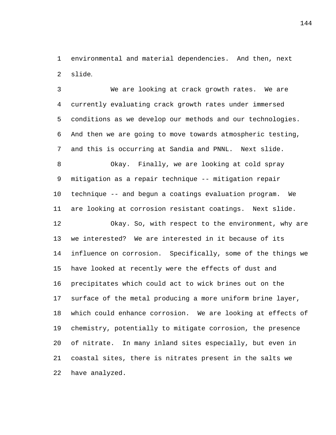environmental and material dependencies. And then, next slide.

 We are looking at crack growth rates. We are currently evaluating crack growth rates under immersed conditions as we develop our methods and our technologies. And then we are going to move towards atmospheric testing, and this is occurring at Sandia and PNNL. Next slide. Okay. Finally, we are looking at cold spray

 mitigation as a repair technique -- mitigation repair technique -- and begun a coatings evaluation program. We are looking at corrosion resistant coatings. Next slide.

 Okay. So, with respect to the environment, why are we interested? We are interested in it because of its influence on corrosion. Specifically, some of the things we have looked at recently were the effects of dust and precipitates which could act to wick brines out on the surface of the metal producing a more uniform brine layer, which could enhance corrosion. We are looking at effects of chemistry, potentially to mitigate corrosion, the presence of nitrate. In many inland sites especially, but even in coastal sites, there is nitrates present in the salts we have analyzed.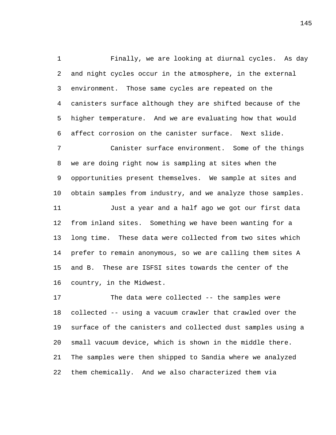Finally, we are looking at diurnal cycles. As day and night cycles occur in the atmosphere, in the external environment. Those same cycles are repeated on the canisters surface although they are shifted because of the higher temperature. And we are evaluating how that would affect corrosion on the canister surface. Next slide.

 Canister surface environment. Some of the things we are doing right now is sampling at sites when the opportunities present themselves. We sample at sites and obtain samples from industry, and we analyze those samples. Just a year and a half ago we got our first data from inland sites. Something we have been wanting for a long time. These data were collected from two sites which prefer to remain anonymous, so we are calling them sites A and B. These are ISFSI sites towards the center of the country, in the Midwest.

 The data were collected -- the samples were collected -- using a vacuum crawler that crawled over the surface of the canisters and collected dust samples using a small vacuum device, which is shown in the middle there. The samples were then shipped to Sandia where we analyzed them chemically. And we also characterized them via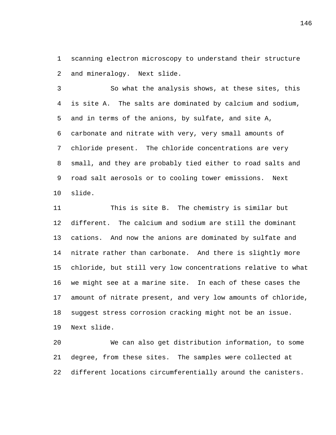scanning electron microscopy to understand their structure and mineralogy. Next slide.

 So what the analysis shows, at these sites, this is site A. The salts are dominated by calcium and sodium, and in terms of the anions, by sulfate, and site A, carbonate and nitrate with very, very small amounts of chloride present. The chloride concentrations are very small, and they are probably tied either to road salts and road salt aerosols or to cooling tower emissions. Next slide.

 This is site B. The chemistry is similar but different. The calcium and sodium are still the dominant cations. And now the anions are dominated by sulfate and nitrate rather than carbonate. And there is slightly more chloride, but still very low concentrations relative to what we might see at a marine site. In each of these cases the amount of nitrate present, and very low amounts of chloride, suggest stress corrosion cracking might not be an issue. Next slide.

 We can also get distribution information, to some degree, from these sites. The samples were collected at different locations circumferentially around the canisters.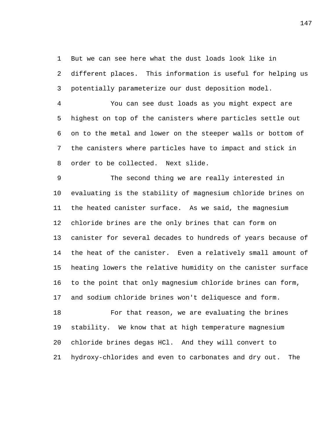But we can see here what the dust loads look like in

 different places. This information is useful for helping us potentially parameterize our dust deposition model.

 You can see dust loads as you might expect are highest on top of the canisters where particles settle out on to the metal and lower on the steeper walls or bottom of the canisters where particles have to impact and stick in order to be collected. Next slide.

 The second thing we are really interested in evaluating is the stability of magnesium chloride brines on the heated canister surface. As we said, the magnesium chloride brines are the only brines that can form on canister for several decades to hundreds of years because of the heat of the canister. Even a relatively small amount of heating lowers the relative humidity on the canister surface to the point that only magnesium chloride brines can form, and sodium chloride brines won't deliquesce and form.

 For that reason, we are evaluating the brines stability. We know that at high temperature magnesium chloride brines degas HCl. And they will convert to hydroxy-chlorides and even to carbonates and dry out. The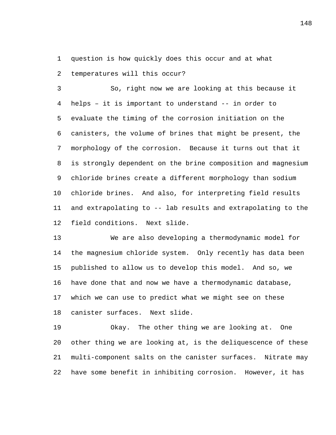question is how quickly does this occur and at what

temperatures will this occur?

 So, right now we are looking at this because it helps – it is important to understand -- in order to evaluate the timing of the corrosion initiation on the canisters, the volume of brines that might be present, the morphology of the corrosion. Because it turns out that it is strongly dependent on the brine composition and magnesium chloride brines create a different morphology than sodium chloride brines. And also, for interpreting field results and extrapolating to -- lab results and extrapolating to the field conditions. Next slide.

 We are also developing a thermodynamic model for the magnesium chloride system. Only recently has data been published to allow us to develop this model. And so, we have done that and now we have a thermodynamic database, which we can use to predict what we might see on these canister surfaces. Next slide.

 Okay. The other thing we are looking at. One other thing we are looking at, is the deliquescence of these multi-component salts on the canister surfaces. Nitrate may have some benefit in inhibiting corrosion. However, it has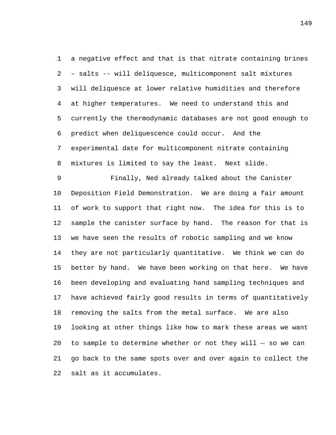a negative effect and that is that nitrate containing brines – salts -- will deliquesce, multicomponent salt mixtures will deliquesce at lower relative humidities and therefore at higher temperatures. We need to understand this and currently the thermodynamic databases are not good enough to predict when deliquescence could occur. And the experimental date for multicomponent nitrate containing mixtures is limited to say the least. Next slide.

 Finally, Ned already talked about the Canister Deposition Field Demonstration. We are doing a fair amount of work to support that right now. The idea for this is to 12 sample the canister surface by hand. The reason for that is we have seen the results of robotic sampling and we know they are not particularly quantitative. We think we can do better by hand. We have been working on that here. We have been developing and evaluating hand sampling techniques and have achieved fairly good results in terms of quantitatively removing the salts from the metal surface. We are also looking at other things like how to mark these areas we want 20 to sample to determine whether or not they will -- so we can go back to the same spots over and over again to collect the salt as it accumulates.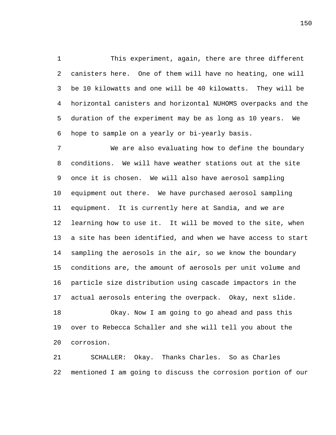This experiment, again, there are three different canisters here. One of them will have no heating, one will be 10 kilowatts and one will be 40 kilowatts. They will be horizontal canisters and horizontal NUHOMS overpacks and the duration of the experiment may be as long as 10 years. We hope to sample on a yearly or bi-yearly basis.

 We are also evaluating how to define the boundary conditions. We will have weather stations out at the site once it is chosen. We will also have aerosol sampling equipment out there. We have purchased aerosol sampling equipment. It is currently here at Sandia, and we are learning how to use it. It will be moved to the site, when a site has been identified, and when we have access to start sampling the aerosols in the air, so we know the boundary conditions are, the amount of aerosols per unit volume and particle size distribution using cascade impactors in the actual aerosols entering the overpack. Okay, next slide. Okay. Now I am going to go ahead and pass this over to Rebecca Schaller and she will tell you about the corrosion.

 SCHALLER: Okay. Thanks Charles. So as Charles mentioned I am going to discuss the corrosion portion of our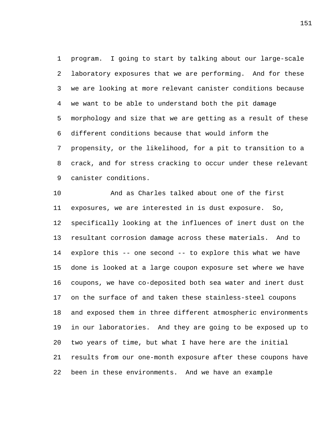program. I going to start by talking about our large-scale laboratory exposures that we are performing. And for these we are looking at more relevant canister conditions because we want to be able to understand both the pit damage morphology and size that we are getting as a result of these different conditions because that would inform the propensity, or the likelihood, for a pit to transition to a crack, and for stress cracking to occur under these relevant canister conditions.

 And as Charles talked about one of the first exposures, we are interested in is dust exposure. So, specifically looking at the influences of inert dust on the resultant corrosion damage across these materials. And to explore this -- one second -- to explore this what we have done is looked at a large coupon exposure set where we have coupons, we have co-deposited both sea water and inert dust on the surface of and taken these stainless-steel coupons and exposed them in three different atmospheric environments in our laboratories. And they are going to be exposed up to two years of time, but what I have here are the initial results from our one-month exposure after these coupons have been in these environments. And we have an example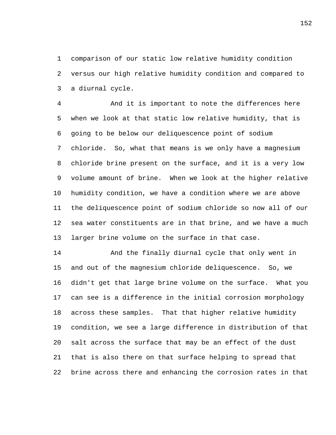comparison of our static low relative humidity condition versus our high relative humidity condition and compared to a diurnal cycle.

 And it is important to note the differences here when we look at that static low relative humidity, that is going to be below our deliquescence point of sodium chloride. So, what that means is we only have a magnesium chloride brine present on the surface, and it is a very low volume amount of brine. When we look at the higher relative humidity condition, we have a condition where we are above the deliquescence point of sodium chloride so now all of our sea water constituents are in that brine, and we have a much larger brine volume on the surface in that case.

 And the finally diurnal cycle that only went in and out of the magnesium chloride deliquescence. So, we didn't get that large brine volume on the surface. What you can see is a difference in the initial corrosion morphology across these samples. That that higher relative humidity condition, we see a large difference in distribution of that salt across the surface that may be an effect of the dust that is also there on that surface helping to spread that brine across there and enhancing the corrosion rates in that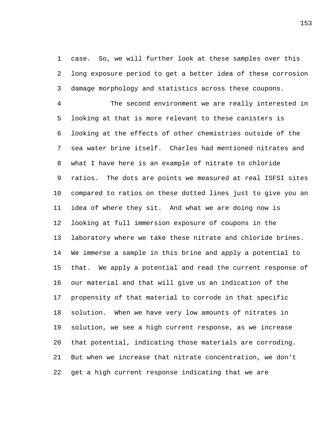case. So, we will further look at these samples over this long exposure period to get a better idea of these corrosion damage morphology and statistics across these coupons.

 The second environment we are really interested in looking at that is more relevant to these canisters is looking at the effects of other chemistries outside of the sea water brine itself. Charles had mentioned nitrates and what I have here is an example of nitrate to chloride ratios. The dots are points we measured at real ISFSI sites compared to ratios on these dotted lines just to give you an idea of where they sit. And what we are doing now is looking at full immersion exposure of coupons in the laboratory where we take these nitrate and chloride brines. We immerse a sample in this brine and apply a potential to that. We apply a potential and read the current response of our material and that will give us an indication of the propensity of that material to corrode in that specific solution. When we have very low amounts of nitrates in solution, we see a high current response, as we increase that potential, indicating those materials are corroding. But when we increase that nitrate concentration, we don't get a high current response indicating that we are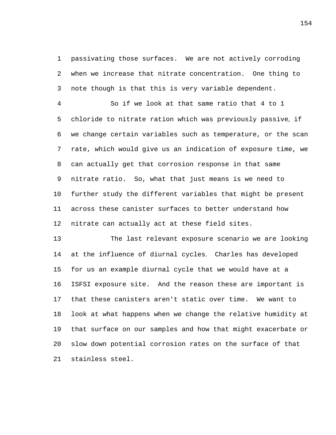passivating those surfaces. We are not actively corroding when we increase that nitrate concentration. One thing to note though is that this is very variable dependent.

 So if we look at that same ratio that 4 to 1 chloride to nitrate ration which was previously passive, if we change certain variables such as temperature, or the scan rate, which would give us an indication of exposure time, we can actually get that corrosion response in that same nitrate ratio. So, what that just means is we need to further study the different variables that might be present across these canister surfaces to better understand how nitrate can actually act at these field sites.

 The last relevant exposure scenario we are looking at the influence of diurnal cycles. Charles has developed for us an example diurnal cycle that we would have at a ISFSI exposure site. And the reason these are important is that these canisters aren't static over time. We want to look at what happens when we change the relative humidity at that surface on our samples and how that might exacerbate or slow down potential corrosion rates on the surface of that stainless steel.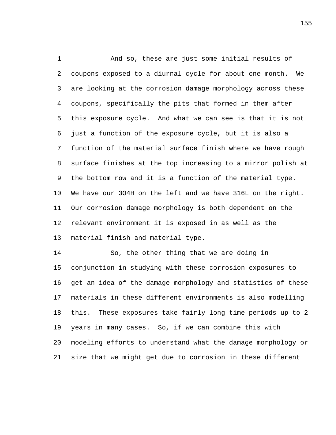And so, these are just some initial results of coupons exposed to a diurnal cycle for about one month. We are looking at the corrosion damage morphology across these coupons, specifically the pits that formed in them after this exposure cycle. And what we can see is that it is not just a function of the exposure cycle, but it is also a function of the material surface finish where we have rough surface finishes at the top increasing to a mirror polish at the bottom row and it is a function of the material type. We have our 3O4H on the left and we have 316L on the right. Our corrosion damage morphology is both dependent on the relevant environment it is exposed in as well as the material finish and material type.

 So, the other thing that we are doing in conjunction in studying with these corrosion exposures to get an idea of the damage morphology and statistics of these materials in these different environments is also modelling this. These exposures take fairly long time periods up to 2 years in many cases. So, if we can combine this with modeling efforts to understand what the damage morphology or size that we might get due to corrosion in these different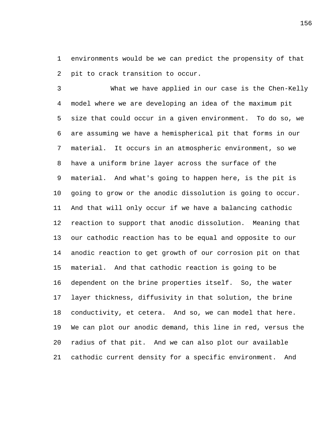environments would be we can predict the propensity of that pit to crack transition to occur.

 What we have applied in our case is the Chen-Kelly model where we are developing an idea of the maximum pit size that could occur in a given environment. To do so, we are assuming we have a hemispherical pit that forms in our material. It occurs in an atmospheric environment, so we have a uniform brine layer across the surface of the material. And what's going to happen here, is the pit is going to grow or the anodic dissolution is going to occur. And that will only occur if we have a balancing cathodic reaction to support that anodic dissolution. Meaning that our cathodic reaction has to be equal and opposite to our anodic reaction to get growth of our corrosion pit on that material. And that cathodic reaction is going to be dependent on the brine properties itself. So, the water layer thickness, diffusivity in that solution, the brine conductivity, et cetera. And so, we can model that here. We can plot our anodic demand, this line in red, versus the radius of that pit. And we can also plot our available cathodic current density for a specific environment. And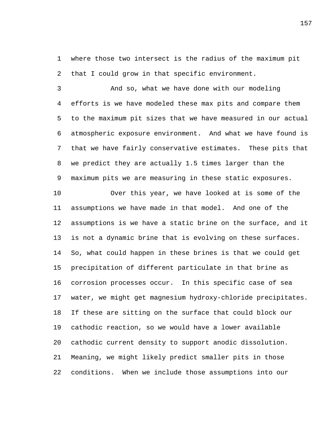where those two intersect is the radius of the maximum pit that I could grow in that specific environment.

 And so, what we have done with our modeling efforts is we have modeled these max pits and compare them to the maximum pit sizes that we have measured in our actual atmospheric exposure environment. And what we have found is that we have fairly conservative estimates. These pits that we predict they are actually 1.5 times larger than the maximum pits we are measuring in these static exposures.

 Over this year, we have looked at is some of the assumptions we have made in that model. And one of the assumptions is we have a static brine on the surface, and it is not a dynamic brine that is evolving on these surfaces. So, what could happen in these brines is that we could get precipitation of different particulate in that brine as corrosion processes occur. In this specific case of sea water, we might get magnesium hydroxy-chloride precipitates. If these are sitting on the surface that could block our cathodic reaction, so we would have a lower available cathodic current density to support anodic dissolution. Meaning, we might likely predict smaller pits in those conditions. When we include those assumptions into our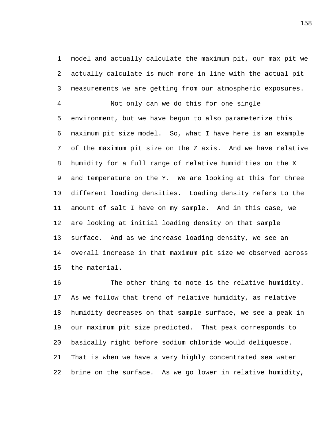model and actually calculate the maximum pit, our max pit we actually calculate is much more in line with the actual pit measurements we are getting from our atmospheric exposures.

 Not only can we do this for one single environment, but we have begun to also parameterize this maximum pit size model. So, what I have here is an example of the maximum pit size on the Z axis. And we have relative humidity for a full range of relative humidities on the X and temperature on the Y. We are looking at this for three different loading densities. Loading density refers to the amount of salt I have on my sample. And in this case, we are looking at initial loading density on that sample surface. And as we increase loading density, we see an overall increase in that maximum pit size we observed across the material.

 The other thing to note is the relative humidity. As we follow that trend of relative humidity, as relative humidity decreases on that sample surface, we see a peak in our maximum pit size predicted. That peak corresponds to basically right before sodium chloride would deliquesce. That is when we have a very highly concentrated sea water brine on the surface. As we go lower in relative humidity,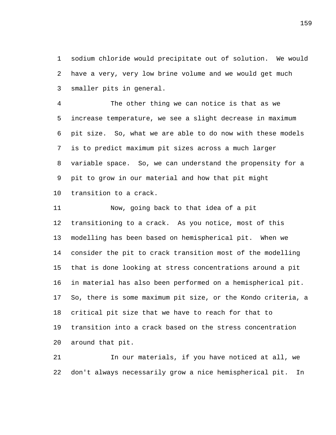sodium chloride would precipitate out of solution. We would have a very, very low brine volume and we would get much smaller pits in general.

 The other thing we can notice is that as we increase temperature, we see a slight decrease in maximum pit size. So, what we are able to do now with these models is to predict maximum pit sizes across a much larger variable space. So, we can understand the propensity for a pit to grow in our material and how that pit might transition to a crack.

 Now, going back to that idea of a pit transitioning to a crack. As you notice, most of this modelling has been based on hemispherical pit. When we consider the pit to crack transition most of the modelling that is done looking at stress concentrations around a pit in material has also been performed on a hemispherical pit. So, there is some maximum pit size, or the Kondo criteria, a critical pit size that we have to reach for that to transition into a crack based on the stress concentration around that pit.

 In our materials, if you have noticed at all, we don't always necessarily grow a nice hemispherical pit. In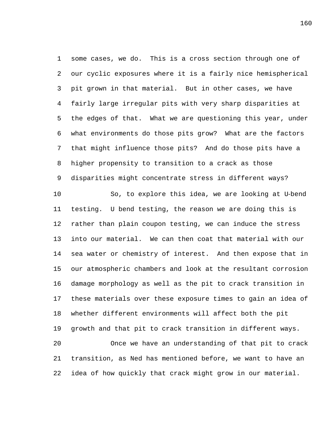some cases, we do. This is a cross section through one of our cyclic exposures where it is a fairly nice hemispherical pit grown in that material. But in other cases, we have fairly large irregular pits with very sharp disparities at the edges of that. What we are questioning this year, under what environments do those pits grow? What are the factors that might influence those pits? And do those pits have a higher propensity to transition to a crack as those disparities might concentrate stress in different ways?

 So, to explore this idea, we are looking at U‑bend testing. U bend testing, the reason we are doing this is rather than plain coupon testing, we can induce the stress into our material. We can then coat that material with our sea water or chemistry of interest. And then expose that in our atmospheric chambers and look at the resultant corrosion damage morphology as well as the pit to crack transition in these materials over these exposure times to gain an idea of whether different environments will affect both the pit growth and that pit to crack transition in different ways. Once we have an understanding of that pit to crack

 transition, as Ned has mentioned before, we want to have an idea of how quickly that crack might grow in our material.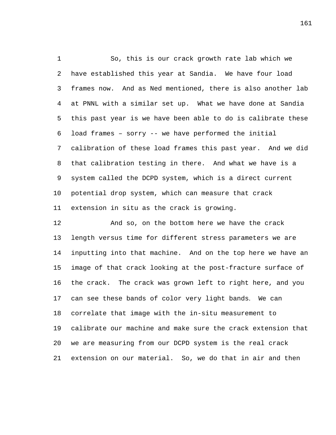So, this is our crack growth rate lab which we have established this year at Sandia. We have four load frames now. And as Ned mentioned, there is also another lab at PNNL with a similar set up. What we have done at Sandia this past year is we have been able to do is calibrate these load frames – sorry -- we have performed the initial calibration of these load frames this past year. And we did that calibration testing in there. And what we have is a system called the DCPD system, which is a direct current potential drop system, which can measure that crack extension in situ as the crack is growing.

 And so, on the bottom here we have the crack length versus time for different stress parameters we are inputting into that machine. And on the top here we have an image of that crack looking at the post-fracture surface of the crack. The crack was grown left to right here, and you can see these bands of color very light bands. We can correlate that image with the in-situ measurement to calibrate our machine and make sure the crack extension that we are measuring from our DCPD system is the real crack extension on our material. So, we do that in air and then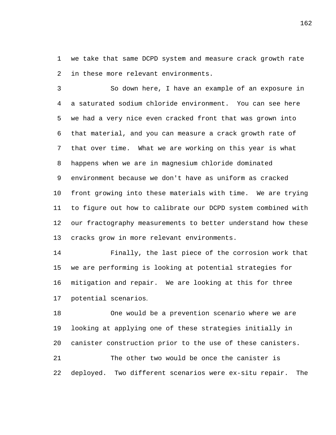we take that same DCPD system and measure crack growth rate in these more relevant environments.

 So down here, I have an example of an exposure in a saturated sodium chloride environment. You can see here we had a very nice even cracked front that was grown into that material, and you can measure a crack growth rate of that over time. What we are working on this year is what happens when we are in magnesium chloride dominated environment because we don't have as uniform as cracked front growing into these materials with time. We are trying to figure out how to calibrate our DCPD system combined with our fractography measurements to better understand how these cracks grow in more relevant environments.

 Finally, the last piece of the corrosion work that we are performing is looking at potential strategies for mitigation and repair. We are looking at this for three potential scenarios.

 One would be a prevention scenario where we are looking at applying one of these strategies initially in canister construction prior to the use of these canisters. The other two would be once the canister is deployed. Two different scenarios were ex-situ repair. The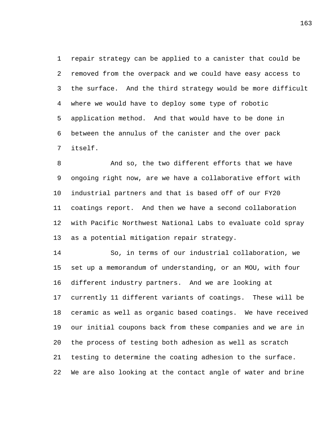repair strategy can be applied to a canister that could be removed from the overpack and we could have easy access to the surface. And the third strategy would be more difficult where we would have to deploy some type of robotic application method. And that would have to be done in between the annulus of the canister and the over pack itself.

 And so, the two different efforts that we have ongoing right now, are we have a collaborative effort with industrial partners and that is based off of our FY20 coatings report. And then we have a second collaboration with Pacific Northwest National Labs to evaluate cold spray as a potential mitigation repair strategy.

 So, in terms of our industrial collaboration, we set up a memorandum of understanding, or an MOU, with four different industry partners. And we are looking at currently 11 different variants of coatings. These will be ceramic as well as organic based coatings. We have received our initial coupons back from these companies and we are in the process of testing both adhesion as well as scratch testing to determine the coating adhesion to the surface. We are also looking at the contact angle of water and brine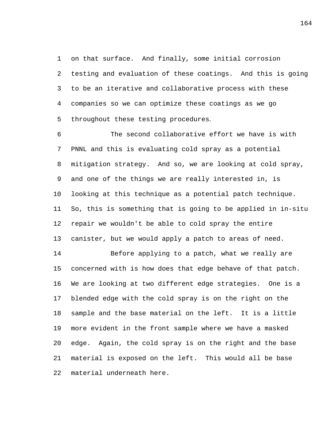on that surface. And finally, some initial corrosion testing and evaluation of these coatings. And this is going to be an iterative and collaborative process with these companies so we can optimize these coatings as we go throughout these testing procedures.

 The second collaborative effort we have is with PNNL and this is evaluating cold spray as a potential mitigation strategy. And so, we are looking at cold spray, and one of the things we are really interested in, is looking at this technique as a potential patch technique. So, this is something that is going to be applied in in-situ repair we wouldn't be able to cold spray the entire canister, but we would apply a patch to areas of need.

 Before applying to a patch, what we really are concerned with is how does that edge behave of that patch. We are looking at two different edge strategies. One is a blended edge with the cold spray is on the right on the sample and the base material on the left. It is a little more evident in the front sample where we have a masked edge. Again, the cold spray is on the right and the base material is exposed on the left. This would all be base material underneath here.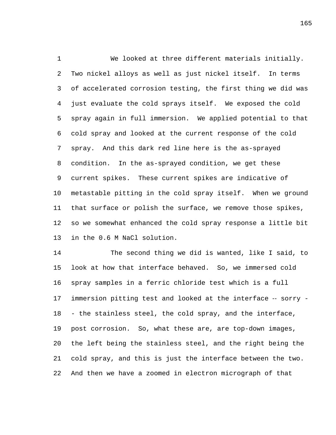We looked at three different materials initially. Two nickel alloys as well as just nickel itself. In terms of accelerated corrosion testing, the first thing we did was just evaluate the cold sprays itself. We exposed the cold spray again in full immersion. We applied potential to that cold spray and looked at the current response of the cold spray. And this dark red line here is the as-sprayed condition. In the as-sprayed condition, we get these current spikes. These current spikes are indicative of metastable pitting in the cold spray itself. When we ground that surface or polish the surface, we remove those spikes, so we somewhat enhanced the cold spray response a little bit in the 0.6 M NaCl solution.

 The second thing we did is wanted, like I said, to look at how that interface behaved. So, we immersed cold spray samples in a ferric chloride test which is a full 17 immersion pitting test and looked at the interface -- sorry - - the stainless steel, the cold spray, and the interface, post corrosion. So, what these are, are top-down images, the left being the stainless steel, and the right being the cold spray, and this is just the interface between the two. And then we have a zoomed in electron micrograph of that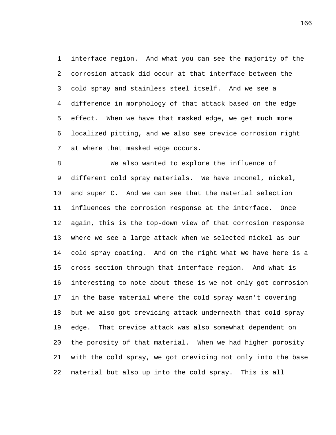interface region. And what you can see the majority of the corrosion attack did occur at that interface between the cold spray and stainless steel itself. And we see a difference in morphology of that attack based on the edge effect. When we have that masked edge, we get much more localized pitting, and we also see crevice corrosion right at where that masked edge occurs.

 We also wanted to explore the influence of different cold spray materials. We have Inconel, nickel, and super C. And we can see that the material selection influences the corrosion response at the interface. Once again, this is the top-down view of that corrosion response where we see a large attack when we selected nickel as our cold spray coating. And on the right what we have here is a cross section through that interface region. And what is interesting to note about these is we not only got corrosion in the base material where the cold spray wasn't covering but we also got crevicing attack underneath that cold spray edge. That crevice attack was also somewhat dependent on the porosity of that material. When we had higher porosity with the cold spray, we got crevicing not only into the base material but also up into the cold spray. This is all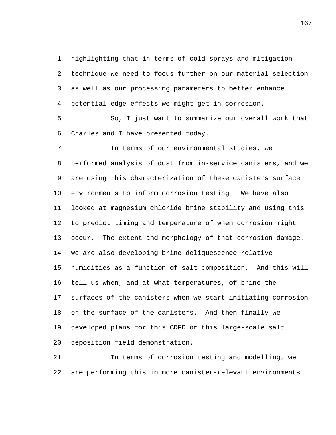highlighting that in terms of cold sprays and mitigation technique we need to focus further on our material selection as well as our processing parameters to better enhance potential edge effects we might get in corrosion.

 So, I just want to summarize our overall work that Charles and I have presented today.

 In terms of our environmental studies, we performed analysis of dust from in-service canisters, and we are using this characterization of these canisters surface environments to inform corrosion testing. We have also looked at magnesium chloride brine stability and using this to predict timing and temperature of when corrosion might occur. The extent and morphology of that corrosion damage. We are also developing brine deliquescence relative humidities as a function of salt composition. And this will tell us when, and at what temperatures, of brine the surfaces of the canisters when we start initiating corrosion on the surface of the canisters. And then finally we developed plans for this CDFD or this large-scale salt deposition field demonstration.

 In terms of corrosion testing and modelling, we are performing this in more canister-relevant environments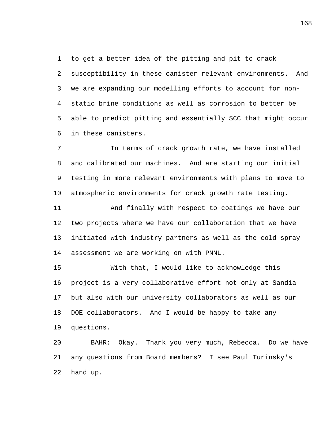to get a better idea of the pitting and pit to crack susceptibility in these canister-relevant environments. And we are expanding our modelling efforts to account for non- static brine conditions as well as corrosion to better be able to predict pitting and essentially SCC that might occur in these canisters.

 In terms of crack growth rate, we have installed and calibrated our machines. And are starting our initial testing in more relevant environments with plans to move to atmospheric environments for crack growth rate testing.

 And finally with respect to coatings we have our two projects where we have our collaboration that we have initiated with industry partners as well as the cold spray assessment we are working on with PNNL.

 With that, I would like to acknowledge this project is a very collaborative effort not only at Sandia but also with our university collaborators as well as our DOE collaborators. And I would be happy to take any questions.

 BAHR: Okay. Thank you very much, Rebecca. Do we have any questions from Board members? I see Paul Turinsky's hand up.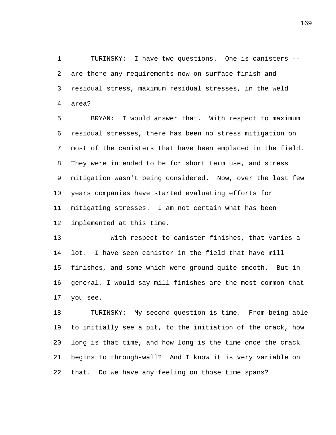TURINSKY: I have two questions. One is canisters -- are there any requirements now on surface finish and residual stress, maximum residual stresses, in the weld area?

 BRYAN: I would answer that. With respect to maximum residual stresses, there has been no stress mitigation on most of the canisters that have been emplaced in the field. They were intended to be for short term use, and stress mitigation wasn't being considered. Now, over the last few years companies have started evaluating efforts for mitigating stresses. I am not certain what has been implemented at this time.

 With respect to canister finishes, that varies a lot. I have seen canister in the field that have mill finishes, and some which were ground quite smooth. But in general, I would say mill finishes are the most common that you see.

 TURINSKY: My second question is time. From being able to initially see a pit, to the initiation of the crack, how long is that time, and how long is the time once the crack begins to through-wall? And I know it is very variable on that. Do we have any feeling on those time spans?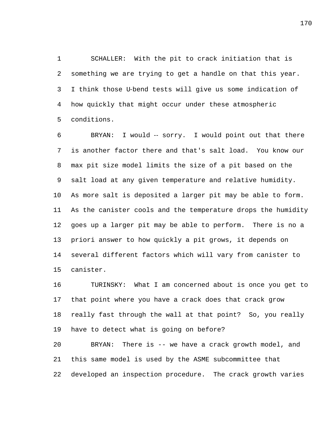SCHALLER: With the pit to crack initiation that is something we are trying to get a handle on that this year. I think those U‑bend tests will give us some indication of how quickly that might occur under these atmospheric conditions.

 BRYAN: I would ‑‑ sorry. I would point out that there is another factor there and that's salt load. You know our max pit size model limits the size of a pit based on the salt load at any given temperature and relative humidity. As more salt is deposited a larger pit may be able to form. As the canister cools and the temperature drops the humidity goes up a larger pit may be able to perform. There is no a priori answer to how quickly a pit grows, it depends on several different factors which will vary from canister to canister.

 TURINSKY: What I am concerned about is once you get to that point where you have a crack does that crack grow really fast through the wall at that point? So, you really have to detect what is going on before?

 BRYAN: There is -- we have a crack growth model, and this same model is used by the ASME subcommittee that developed an inspection procedure. The crack growth varies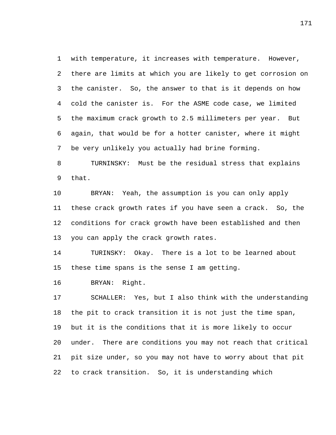with temperature, it increases with temperature. However, there are limits at which you are likely to get corrosion on the canister. So, the answer to that is it depends on how cold the canister is. For the ASME code case, we limited the maximum crack growth to 2.5 millimeters per year. But again, that would be for a hotter canister, where it might be very unlikely you actually had brine forming.

 TURNINSKY: Must be the residual stress that explains that.

 BRYAN: Yeah, the assumption is you can only apply these crack growth rates if you have seen a crack. So, the conditions for crack growth have been established and then you can apply the crack growth rates.

 TURINSKY: Okay. There is a lot to be learned about these time spans is the sense I am getting.

BRYAN: Right.

 SCHALLER: Yes, but I also think with the understanding the pit to crack transition it is not just the time span, but it is the conditions that it is more likely to occur under. There are conditions you may not reach that critical pit size under, so you may not have to worry about that pit to crack transition. So, it is understanding which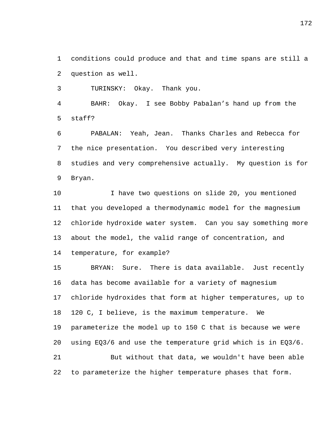conditions could produce and that and time spans are still a question as well.

TURINSKY: Okay. Thank you.

 BAHR: Okay. I see Bobby Pabalan's hand up from the staff?

 PABALAN: Yeah, Jean. Thanks Charles and Rebecca for the nice presentation. You described very interesting studies and very comprehensive actually. My question is for Bryan.

 I have two questions on slide 20, you mentioned that you developed a thermodynamic model for the magnesium chloride hydroxide water system. Can you say something more about the model, the valid range of concentration, and

temperature, for example?

 BRYAN: Sure. There is data available. Just recently data has become available for a variety of magnesium chloride hydroxides that form at higher temperatures, up to 120 C, I believe, is the maximum temperature. We parameterize the model up to 150 C that is because we were using EQ3/6 and use the temperature grid which is in EQ3/6. But without that data, we wouldn't have been able to parameterize the higher temperature phases that form.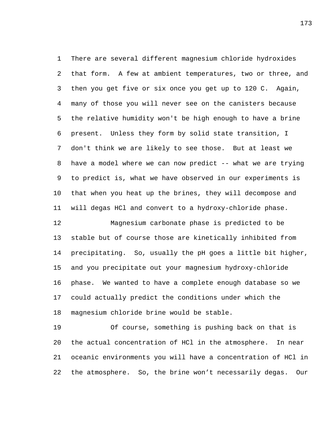There are several different magnesium chloride hydroxides that form. A few at ambient temperatures, two or three, and then you get five or six once you get up to 120 C. Again, many of those you will never see on the canisters because the relative humidity won't be high enough to have a brine present. Unless they form by solid state transition, I don't think we are likely to see those. But at least we have a model where we can now predict -- what we are trying to predict is, what we have observed in our experiments is that when you heat up the brines, they will decompose and will degas HCl and convert to a hydroxy-chloride phase.

 Magnesium carbonate phase is predicted to be stable but of course those are kinetically inhibited from precipitating. So, usually the pH goes a little bit higher, and you precipitate out your magnesium hydroxy-chloride phase. We wanted to have a complete enough database so we could actually predict the conditions under which the magnesium chloride brine would be stable.

 Of course, something is pushing back on that is the actual concentration of HCl in the atmosphere. In near oceanic environments you will have a concentration of HCl in the atmosphere. So, the brine won't necessarily degas. Our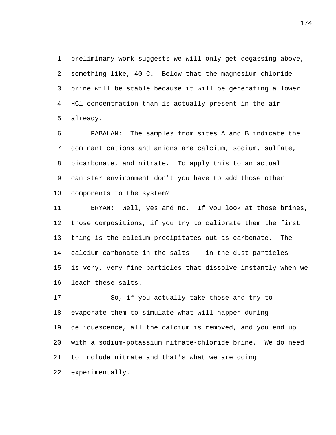preliminary work suggests we will only get degassing above, something like, 40 C. Below that the magnesium chloride brine will be stable because it will be generating a lower HCl concentration than is actually present in the air already.

 PABALAN: The samples from sites A and B indicate the dominant cations and anions are calcium, sodium, sulfate, bicarbonate, and nitrate. To apply this to an actual canister environment don't you have to add those other components to the system?

 BRYAN: Well, yes and no. If you look at those brines, those compositions, if you try to calibrate them the first thing is the calcium precipitates out as carbonate. The calcium carbonate in the salts -- in the dust particles -- is very, very fine particles that dissolve instantly when we leach these salts.

 So, if you actually take those and try to evaporate them to simulate what will happen during deliquescence, all the calcium is removed, and you end up with a sodium-potassium nitrate-chloride brine. We do need to include nitrate and that's what we are doing experimentally.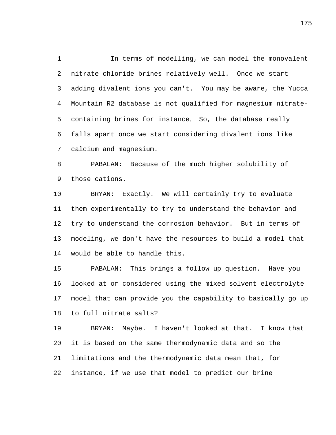In terms of modelling, we can model the monovalent nitrate chloride brines relatively well. Once we start adding divalent ions you can't. You may be aware, the Yucca Mountain R2 database is not qualified for magnesium nitrate- containing brines for instance. So, the database really falls apart once we start considering divalent ions like calcium and magnesium.

 PABALAN: Because of the much higher solubility of those cations.

 BRYAN: Exactly. We will certainly try to evaluate them experimentally to try to understand the behavior and try to understand the corrosion behavior. But in terms of modeling, we don't have the resources to build a model that would be able to handle this.

 PABALAN: This brings a follow up question. Have you looked at or considered using the mixed solvent electrolyte model that can provide you the capability to basically go up to full nitrate salts?

 BRYAN: Maybe. I haven't looked at that. I know that it is based on the same thermodynamic data and so the limitations and the thermodynamic data mean that, for instance, if we use that model to predict our brine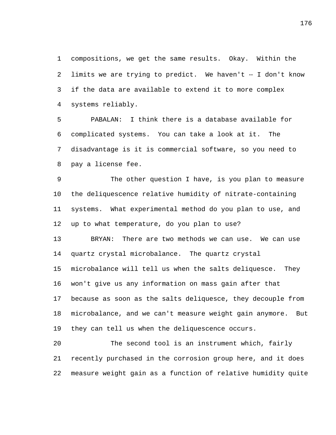compositions, we get the same results. Okay. Within the limits we are trying to predict. We haven't ‑‑ I don't know if the data are available to extend it to more complex systems reliably.

 PABALAN: I think there is a database available for complicated systems. You can take a look at it. The disadvantage is it is commercial software, so you need to pay a license fee.

 The other question I have, is you plan to measure the deliquescence relative humidity of nitrate-containing systems. What experimental method do you plan to use, and up to what temperature, do you plan to use?

 BRYAN: There are two methods we can use. We can use quartz crystal microbalance. The quartz crystal microbalance will tell us when the salts deliquesce. They won't give us any information on mass gain after that because as soon as the salts deliquesce, they decouple from

 microbalance, and we can't measure weight gain anymore. But they can tell us when the deliquescence occurs.

 The second tool is an instrument which, fairly recently purchased in the corrosion group here, and it does measure weight gain as a function of relative humidity quite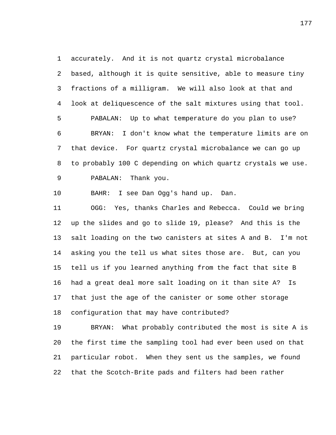accurately. And it is not quartz crystal microbalance based, although it is quite sensitive, able to measure tiny fractions of a milligram. We will also look at that and look at deliquescence of the salt mixtures using that tool. PABALAN: Up to what temperature do you plan to use? BRYAN: I don't know what the temperature limits are on that device. For quartz crystal microbalance we can go up to probably 100 C depending on which quartz crystals we use. PABALAN: Thank you.

BAHR: I see Dan Ogg's hand up. Dan.

 OGG: Yes, thanks Charles and Rebecca. Could we bring up the slides and go to slide 19, please? And this is the salt loading on the two canisters at sites A and B. I'm not asking you the tell us what sites those are. But, can you tell us if you learned anything from the fact that site B had a great deal more salt loading on it than site A? Is that just the age of the canister or some other storage configuration that may have contributed?

 BRYAN: What probably contributed the most is site A is the first time the sampling tool had ever been used on that particular robot. When they sent us the samples, we found that the Scotch-Brite pads and filters had been rather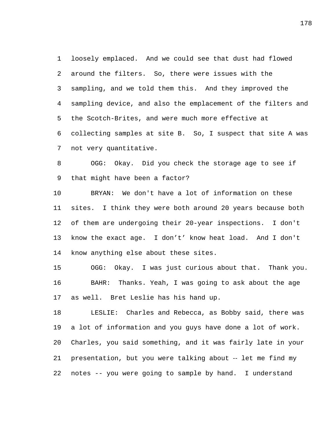loosely emplaced. And we could see that dust had flowed around the filters. So, there were issues with the sampling, and we told them this. And they improved the sampling device, and also the emplacement of the filters and the Scotch-Brites, and were much more effective at collecting samples at site B. So, I suspect that site A was not very quantitative.

 OGG: Okay. Did you check the storage age to see if that might have been a factor?

 BRYAN: We don't have a lot of information on these sites. I think they were both around 20 years because both of them are undergoing their 20-year inspections. I don't know the exact age. I don't' know heat load. And I don't know anything else about these sites.

 OGG: Okay. I was just curious about that. Thank you. BAHR: Thanks. Yeah, I was going to ask about the age as well. Bret Leslie has his hand up.

 LESLIE: Charles and Rebecca, as Bobby said, there was a lot of information and you guys have done a lot of work. Charles, you said something, and it was fairly late in your presentation, but you were talking about ‑‑ let me find my notes -- you were going to sample by hand. I understand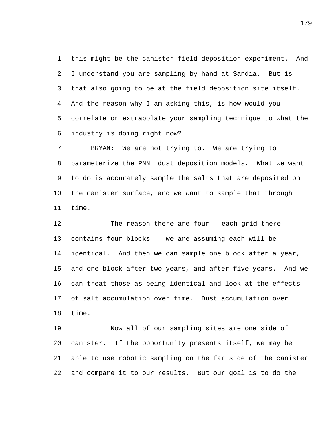this might be the canister field deposition experiment. And I understand you are sampling by hand at Sandia. But is that also going to be at the field deposition site itself. And the reason why I am asking this, is how would you correlate or extrapolate your sampling technique to what the industry is doing right now?

 BRYAN: We are not trying to. We are trying to parameterize the PNNL dust deposition models. What we want to do is accurately sample the salts that are deposited on the canister surface, and we want to sample that through time.

12 The reason there are four -- each grid there contains four blocks -- we are assuming each will be identical. And then we can sample one block after a year, and one block after two years, and after five years. And we can treat those as being identical and look at the effects of salt accumulation over time. Dust accumulation over time.

 Now all of our sampling sites are one side of canister. If the opportunity presents itself, we may be able to use robotic sampling on the far side of the canister and compare it to our results. But our goal is to do the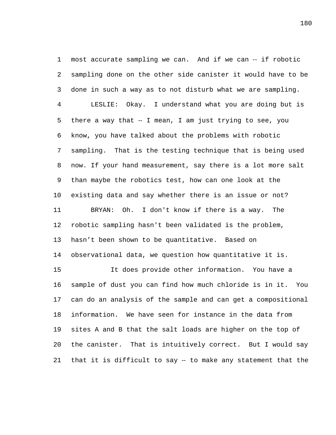most accurate sampling we can. And if we can ‑‑ if robotic sampling done on the other side canister it would have to be done in such a way as to not disturb what we are sampling. LESLIE: Okay. I understand what you are doing but is 5 there a way that -- I mean, I am just trying to see, you know, you have talked about the problems with robotic sampling. That is the testing technique that is being used now. If your hand measurement, say there is a lot more salt than maybe the robotics test, how can one look at the existing data and say whether there is an issue or not? BRYAN: Oh. I don't know if there is a way. The robotic sampling hasn't been validated is the problem, hasn't been shown to be quantitative. Based on observational data, we question how quantitative it is. It does provide other information. You have a sample of dust you can find how much chloride is in it. You can do an analysis of the sample and can get a compositional information. We have seen for instance in the data from sites A and B that the salt loads are higher on the top of the canister. That is intuitively correct. But I would say that it is difficult to say ‑‑ to make any statement that the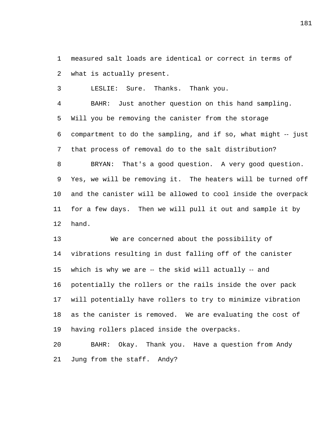measured salt loads are identical or correct in terms of what is actually present.

LESLIE: Sure. Thanks. Thank you.

 BAHR: Just another question on this hand sampling. Will you be removing the canister from the storage 6 compartment to do the sampling, and if so, what might -- just that process of removal do to the salt distribution? BRYAN: That's a good question. A very good question.

 and the canister will be allowed to cool inside the overpack for a few days. Then we will pull it out and sample it by hand.

Yes, we will be removing it. The heaters will be turned off

 We are concerned about the possibility of vibrations resulting in dust falling off of the canister 15 which is why we are -- the skid will actually -- and potentially the rollers or the rails inside the over pack will potentially have rollers to try to minimize vibration as the canister is removed. We are evaluating the cost of having rollers placed inside the overpacks.

 BAHR: Okay. Thank you. Have a question from Andy Jung from the staff. Andy?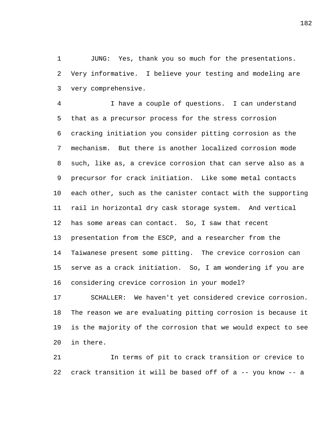JUNG: Yes, thank you so much for the presentations. Very informative. I believe your testing and modeling are very comprehensive.

 I have a couple of questions. I can understand that as a precursor process for the stress corrosion cracking initiation you consider pitting corrosion as the mechanism. But there is another localized corrosion mode such, like as, a crevice corrosion that can serve also as a precursor for crack initiation. Like some metal contacts each other, such as the canister contact with the supporting rail in horizontal dry cask storage system. And vertical has some areas can contact. So, I saw that recent presentation from the ESCP, and a researcher from the Taiwanese present some pitting. The crevice corrosion can serve as a crack initiation. So, I am wondering if you are considering crevice corrosion in your model?

 SCHALLER: We haven't yet considered crevice corrosion. The reason we are evaluating pitting corrosion is because it is the majority of the corrosion that we would expect to see in there.

 In terms of pit to crack transition or crevice to crack transition it will be based off of a -- you know -- a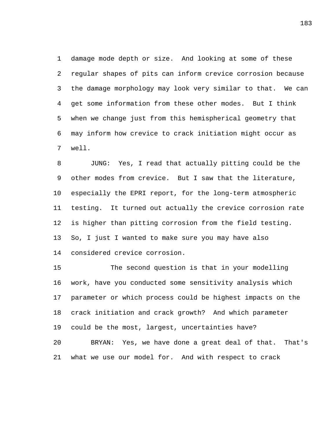damage mode depth or size. And looking at some of these regular shapes of pits can inform crevice corrosion because the damage morphology may look very similar to that. We can get some information from these other modes. But I think when we change just from this hemispherical geometry that may inform how crevice to crack initiation might occur as well.

 JUNG: Yes, I read that actually pitting could be the other modes from crevice. But I saw that the literature, especially the EPRI report, for the long-term atmospheric testing. It turned out actually the crevice corrosion rate is higher than pitting corrosion from the field testing. So, I just I wanted to make sure you may have also considered crevice corrosion.

 The second question is that in your modelling work, have you conducted some sensitivity analysis which parameter or which process could be highest impacts on the crack initiation and crack growth? And which parameter could be the most, largest, uncertainties have? BRYAN: Yes, we have done a great deal of that. That's

what we use our model for. And with respect to crack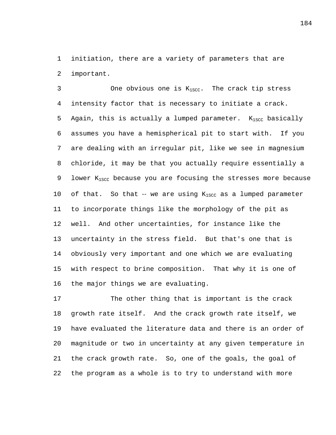initiation, there are a variety of parameters that are important.

3 One obvious one is  $K_{1SCC}$ . The crack tip stress intensity factor that is necessary to initiate a crack. 5 Again, this is actually a lumped parameter.  $K_{1SCC}$  basically assumes you have a hemispherical pit to start with. If you are dealing with an irregular pit, like we see in magnesium chloride, it may be that you actually require essentially a 9 lower  $K_{1SCC}$  because you are focusing the stresses more because 10 of that. So that  $-$  we are using  $K_{1SCC}$  as a lumped parameter to incorporate things like the morphology of the pit as well. And other uncertainties, for instance like the uncertainty in the stress field. But that's one that is obviously very important and one which we are evaluating with respect to brine composition. That why it is one of the major things we are evaluating.

 The other thing that is important is the crack growth rate itself. And the crack growth rate itself, we have evaluated the literature data and there is an order of magnitude or two in uncertainty at any given temperature in the crack growth rate. So, one of the goals, the goal of the program as a whole is to try to understand with more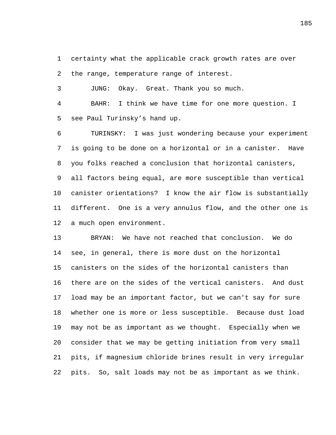certainty what the applicable crack growth rates are over the range, temperature range of interest.

JUNG: Okay. Great. Thank you so much.

 BAHR: I think we have time for one more question. I see Paul Turinsky's hand up.

 TURINSKY: I was just wondering because your experiment is going to be done on a horizontal or in a canister. Have you folks reached a conclusion that horizontal canisters, all factors being equal, are more susceptible than vertical canister orientations? I know the air flow is substantially different. One is a very annulus flow, and the other one is a much open environment.

 BRYAN: We have not reached that conclusion. We do see, in general, there is more dust on the horizontal canisters on the sides of the horizontal canisters than there are on the sides of the vertical canisters. And dust load may be an important factor, but we can't say for sure whether one is more or less susceptible. Because dust load may not be as important as we thought. Especially when we consider that we may be getting initiation from very small pits, if magnesium chloride brines result in very irregular pits. So, salt loads may not be as important as we think.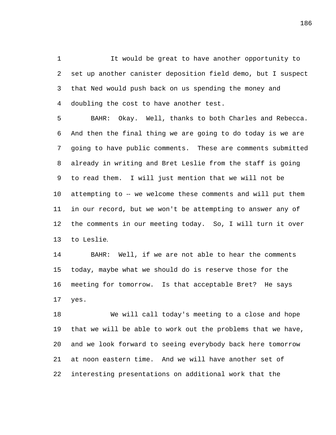It would be great to have another opportunity to set up another canister deposition field demo, but I suspect that Ned would push back on us spending the money and doubling the cost to have another test.

 BAHR: Okay. Well, thanks to both Charles and Rebecca. And then the final thing we are going to do today is we are going to have public comments. These are comments submitted already in writing and Bret Leslie from the staff is going to read them. I will just mention that we will not be 10 attempting to -- we welcome these comments and will put them in our record, but we won't be attempting to answer any of the comments in our meeting today. So, I will turn it over to Leslie.

 BAHR: Well, if we are not able to hear the comments today, maybe what we should do is reserve those for the meeting for tomorrow. Is that acceptable Bret? He says yes.

 We will call today's meeting to a close and hope that we will be able to work out the problems that we have, and we look forward to seeing everybody back here tomorrow at noon eastern time. And we will have another set of interesting presentations on additional work that the